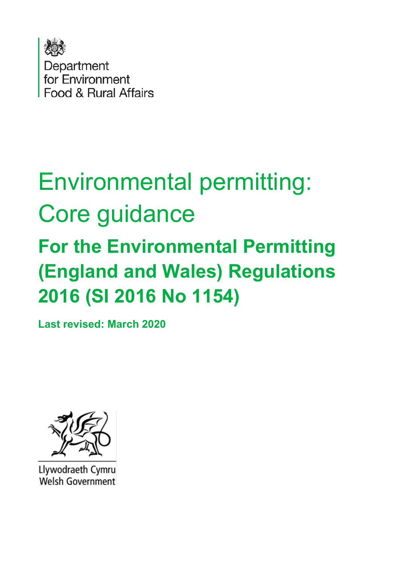

# Environmental permitting: Core guidance **For the Environmental Permitting (England and Wales) Regulations 2016 (SI 2016 No 1154)**

**Last revised: March 2020**



Llywodraeth Cymru Welsh Government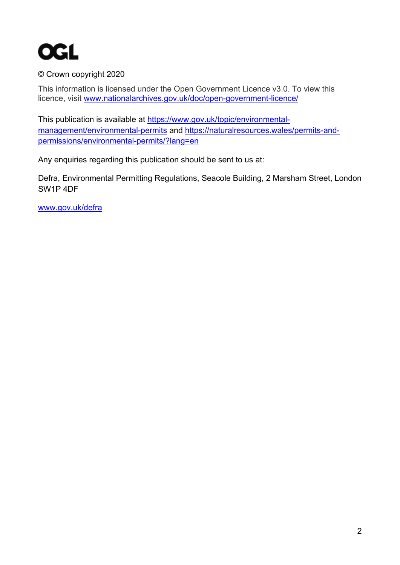

#### © Crown copyright 2020

This information is licensed under the Open Government Licence v3.0. To view this licence, visit [www.nationalarchives.gov.uk/doc/open-government-licence/](http://www.nationalarchives.gov.uk/doc/open-government-licence/) 

This publication is available at [https://www.gov.uk/topic/environmental](https://www.gov.uk/topic/environmental-management/environmental-permits)[management/environmental-permits](https://www.gov.uk/topic/environmental-management/environmental-permits) and [https://naturalresources.wales/permits-and](https://naturalresources.wales/permits-and-permissions/environmental-permits/?lang=en)[permissions/environmental-permits/?lang=en](https://naturalresources.wales/permits-and-permissions/environmental-permits/?lang=en)

Any enquiries regarding this publication should be sent to us at:

Defra, Environmental Permitting Regulations, Seacole Building, 2 Marsham Street, London SW1P 4DF

[www.gov.uk/defra](http://www.gov.uk/defra)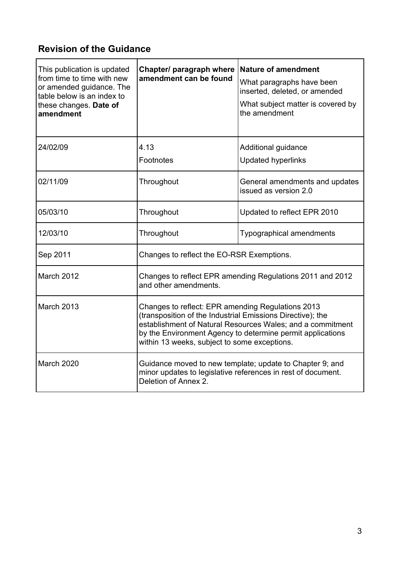### **Revision of the Guidance**

| This publication is updated<br>from time to time with new<br>or amended guidance. The<br>table below is an index to<br>these changes. Date of<br>amendment | Chapter/ paragraph where<br>amendment can be found                                                                                                                                                                                                                                          | <b>Nature of amendment</b><br>What paragraphs have been<br>inserted, deleted, or amended<br>What subject matter is covered by<br>the amendment |
|------------------------------------------------------------------------------------------------------------------------------------------------------------|---------------------------------------------------------------------------------------------------------------------------------------------------------------------------------------------------------------------------------------------------------------------------------------------|------------------------------------------------------------------------------------------------------------------------------------------------|
| 24/02/09                                                                                                                                                   | 4.13<br>Footnotes                                                                                                                                                                                                                                                                           | Additional guidance<br><b>Updated hyperlinks</b>                                                                                               |
| 02/11/09                                                                                                                                                   | Throughout                                                                                                                                                                                                                                                                                  | General amendments and updates<br>issued as version 2.0                                                                                        |
| 05/03/10                                                                                                                                                   | Throughout                                                                                                                                                                                                                                                                                  | Updated to reflect EPR 2010                                                                                                                    |
| 12/03/10                                                                                                                                                   | Throughout                                                                                                                                                                                                                                                                                  | <b>Typographical amendments</b>                                                                                                                |
| Sep 2011                                                                                                                                                   | Changes to reflect the EO-RSR Exemptions.                                                                                                                                                                                                                                                   |                                                                                                                                                |
| <b>March 2012</b>                                                                                                                                          | Changes to reflect EPR amending Regulations 2011 and 2012<br>and other amendments.                                                                                                                                                                                                          |                                                                                                                                                |
| March 2013                                                                                                                                                 | Changes to reflect: EPR amending Regulations 2013<br>(transposition of the Industrial Emissions Directive); the<br>establishment of Natural Resources Wales; and a commitment<br>by the Environment Agency to determine permit applications<br>within 13 weeks, subject to some exceptions. |                                                                                                                                                |
| March 2020                                                                                                                                                 | Guidance moved to new template; update to Chapter 9; and<br>minor updates to legislative references in rest of document.<br>Deletion of Annex 2.                                                                                                                                            |                                                                                                                                                |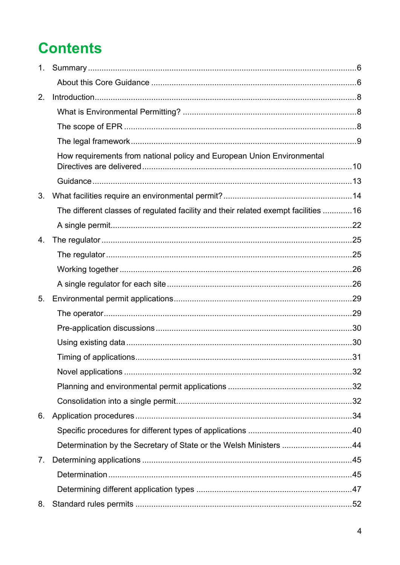## **Contents**

| 1 <sub>1</sub> |                                                                                    |  |
|----------------|------------------------------------------------------------------------------------|--|
|                |                                                                                    |  |
| 2.             |                                                                                    |  |
|                |                                                                                    |  |
|                |                                                                                    |  |
|                |                                                                                    |  |
|                | How requirements from national policy and European Union Environmental             |  |
|                |                                                                                    |  |
|                |                                                                                    |  |
| 3.             |                                                                                    |  |
|                | The different classes of regulated facility and their related exempt facilities 16 |  |
|                |                                                                                    |  |
| 4.             |                                                                                    |  |
|                |                                                                                    |  |
|                |                                                                                    |  |
|                |                                                                                    |  |
| 5.             |                                                                                    |  |
|                |                                                                                    |  |
|                |                                                                                    |  |
|                |                                                                                    |  |
|                |                                                                                    |  |
|                |                                                                                    |  |
|                |                                                                                    |  |
|                |                                                                                    |  |
| 6.             |                                                                                    |  |
|                |                                                                                    |  |
|                | Determination by the Secretary of State or the Welsh Ministers 44                  |  |
| 7.             |                                                                                    |  |
|                |                                                                                    |  |
|                |                                                                                    |  |
| 8.             |                                                                                    |  |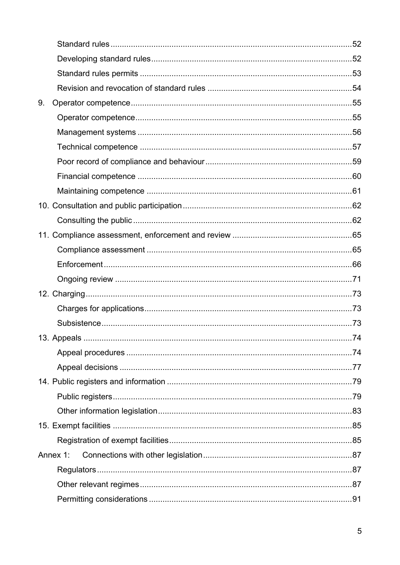| 9. |          |  |
|----|----------|--|
|    |          |  |
|    |          |  |
|    |          |  |
|    |          |  |
|    |          |  |
|    |          |  |
|    |          |  |
|    |          |  |
|    |          |  |
|    |          |  |
|    |          |  |
|    |          |  |
|    |          |  |
|    |          |  |
|    |          |  |
|    |          |  |
|    |          |  |
|    |          |  |
|    |          |  |
|    |          |  |
|    |          |  |
|    |          |  |
|    |          |  |
|    | Annex 1: |  |
|    |          |  |
|    |          |  |
|    |          |  |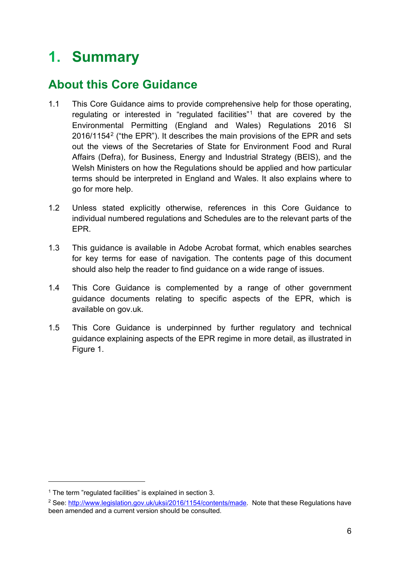## <span id="page-5-0"></span>**1. Summary**

### <span id="page-5-1"></span>**About this Core Guidance**

- 1.1 This Core Guidance aims to provide comprehensive help for those operating, regulating or interested in "regulated facilities"[1](#page-5-2) that are covered by the Environmental Permitting (England and Wales) Regulations 2016 SI [2](#page-5-3)016/1154<sup>2</sup> ("the EPR"). It describes the main provisions of the EPR and sets out the views of the Secretaries of State for Environment Food and Rural Affairs (Defra), for Business, Energy and Industrial Strategy (BEIS), and the Welsh Ministers on how the Regulations should be applied and how particular terms should be interpreted in England and Wales. It also explains where to go for more help.
- 1.2 Unless stated explicitly otherwise, references in this Core Guidance to individual numbered regulations and Schedules are to the relevant parts of the EPR.
- 1.3 This guidance is available in Adobe Acrobat format, which enables searches for key terms for ease of navigation. The contents page of this document should also help the reader to find guidance on a wide range of issues.
- 1.4 This Core Guidance is complemented by a range of other government guidance documents relating to specific aspects of the EPR, which is available on gov.uk.
- 1.5 This Core Guidance is underpinned by further regulatory and technical guidance explaining aspects of the EPR regime in more detail, as illustrated in Figure 1.

<span id="page-5-2"></span><sup>&</sup>lt;sup>1</sup> The term "requlated facilities" is explained in section 3.

<span id="page-5-3"></span><sup>&</sup>lt;sup>2</sup> See: [http://www.legislation.gov.uk/uksi/2016/1154/contents/made.](http://www.legislation.gov.uk/uksi/2016/1154/contents/made) Note that these Regulations have been amended and a current version should be consulted.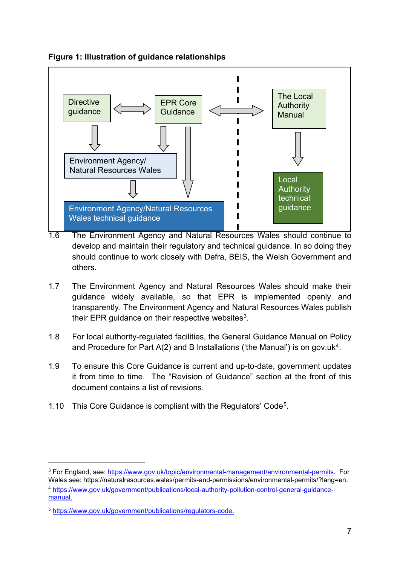

**Figure 1: Illustration of guidance relationships**

- 1.6 The Environment Agency and Natural Resources Wales should continue to develop and maintain their regulatory and technical guidance. In so doing they should continue to work closely with Defra, BEIS, the Welsh Government and others.
- 1.7 The Environment Agency and Natural Resources Wales should make their guidance widely available, so that EPR is implemented openly and transparently. The Environment Agency and Natural Resources Wales publish their EPR guidance on their respective websites $3$ .
- 1.8 For local authority-regulated facilities, the General Guidance Manual on Policy and Procedure for Part  $A(2)$  and B Installations ('the Manual') is on gov.uk<sup>4</sup>.
- 1.9 To ensure this Core Guidance is current and up-to-date, government updates it from time to time. The "Revision of Guidance" section at the front of this document contains a list of revisions.
- 1.10 This Core Guidance is compliant with the Regulators' Code[5.](#page-6-2)

<span id="page-6-0"></span><sup>&</sup>lt;sup>3</sup> For England, see: [https://www.gov.uk/topic/environmental-management/environmental-permits.](https://www.gov.uk/topic/environmental-management/environmental-permits) For Wales see: https://naturalresources.wales/permits-and-permissions/environmental-permits/?lang=en.

<span id="page-6-1"></span><sup>4</sup> [https://www.gov.uk/government/publications/local-authority-pollution-control-general-guidance](https://www.gov.uk/government/publications/local-authority-pollution-control-general-guidance-manual)[manual.](https://www.gov.uk/government/publications/local-authority-pollution-control-general-guidance-manual)

<span id="page-6-2"></span><sup>5</sup> [https://www.gov.uk/government/publications/regulators-code.](https://www.gov.uk/government/publications/regulators-code)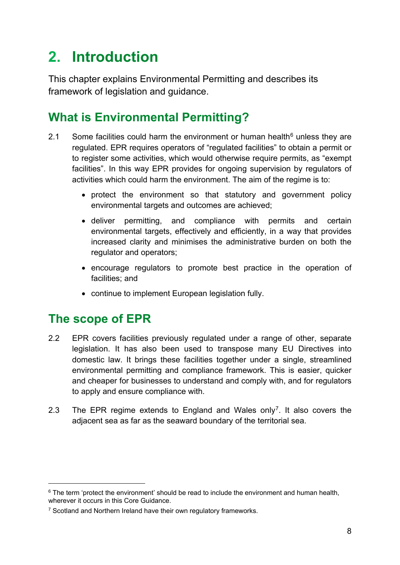## <span id="page-7-0"></span>**2. Introduction**

This chapter explains Environmental Permitting and describes its framework of legislation and guidance.

## <span id="page-7-1"></span>**What is Environmental Permitting?**

- 2.1 Some facilities could harm the environment or human health $6$  unless they are regulated. EPR requires operators of "regulated facilities" to obtain a permit or to register some activities, which would otherwise require permits, as "exempt facilities". In this way EPR provides for ongoing supervision by regulators of activities which could harm the environment. The aim of the regime is to:
	- protect the environment so that statutory and government policy environmental targets and outcomes are achieved;
	- deliver permitting, and compliance with permits and certain environmental targets, effectively and efficiently, in a way that provides increased clarity and minimises the administrative burden on both the regulator and operators;
	- encourage regulators to promote best practice in the operation of facilities; and
	- continue to implement European legislation fully.

### <span id="page-7-2"></span>**The scope of EPR**

- 2.2 EPR covers facilities previously regulated under a range of other, separate legislation. It has also been used to transpose many EU Directives into domestic law. It brings these facilities together under a single, streamlined environmental permitting and compliance framework. This is easier, quicker and cheaper for businesses to understand and comply with, and for regulators to apply and ensure compliance with.
- 2.3 The EPR regime extends to England and Wales only<sup>7</sup>. It also covers the adjacent sea as far as the seaward boundary of the territorial sea.

<span id="page-7-3"></span> $6$  The term 'protect the environment' should be read to include the environment and human health, wherever it occurs in this Core Guidance.

<span id="page-7-4"></span><sup>&</sup>lt;sup>7</sup> Scotland and Northern Ireland have their own regulatory frameworks.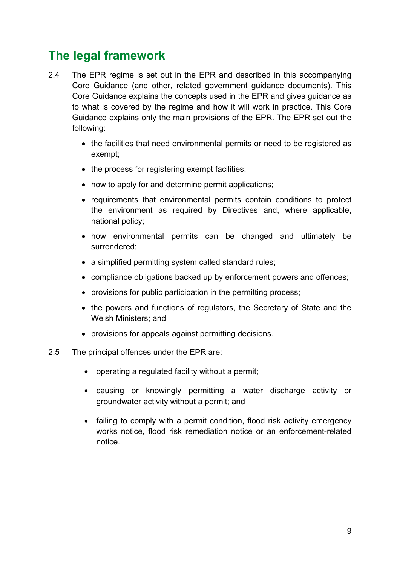## <span id="page-8-0"></span>**The legal framework**

- 2.4 The EPR regime is set out in the EPR and described in this accompanying Core Guidance (and other, related government guidance documents). This Core Guidance explains the concepts used in the EPR and gives guidance as to what is covered by the regime and how it will work in practice. This Core Guidance explains only the main provisions of the EPR. The EPR set out the following:
	- the facilities that need environmental permits or need to be registered as exempt;
	- the process for registering exempt facilities;
	- how to apply for and determine permit applications;
	- requirements that environmental permits contain conditions to protect the environment as required by Directives and, where applicable, national policy;
	- how environmental permits can be changed and ultimately be surrendered;
	- a simplified permitting system called standard rules;
	- compliance obligations backed up by enforcement powers and offences;
	- provisions for public participation in the permitting process;
	- the powers and functions of regulators, the Secretary of State and the Welsh Ministers; and
	- provisions for appeals against permitting decisions.
- 2.5 The principal offences under the EPR are:
	- operating a regulated facility without a permit;
	- causing or knowingly permitting a water discharge activity or groundwater activity without a permit; and
	- failing to comply with a permit condition, flood risk activity emergency works notice, flood risk remediation notice or an enforcement-related notice.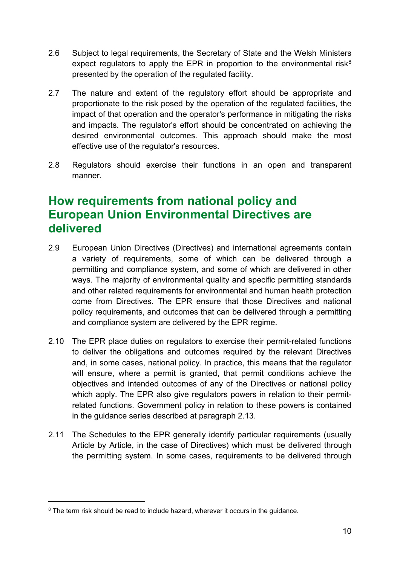- 2.6 Subject to legal requirements, the Secretary of State and the Welsh Ministers expect regulators to apply the EPR in proportion to the environmental risk<sup>[8](#page-9-1)</sup> presented by the operation of the regulated facility.
- 2.7 The nature and extent of the regulatory effort should be appropriate and proportionate to the risk posed by the operation of the regulated facilities, the impact of that operation and the operator's performance in mitigating the risks and impacts. The regulator's effort should be concentrated on achieving the desired environmental outcomes. This approach should make the most effective use of the regulator's resources.
- 2.8 Regulators should exercise their functions in an open and transparent manner.

## <span id="page-9-0"></span>**How requirements from national policy and European Union Environmental Directives are delivered**

- 2.9 European Union Directives (Directives) and international agreements contain a variety of requirements, some of which can be delivered through a permitting and compliance system, and some of which are delivered in other ways. The majority of environmental quality and specific permitting standards and other related requirements for environmental and human health protection come from Directives. The EPR ensure that those Directives and national policy requirements, and outcomes that can be delivered through a permitting and compliance system are delivered by the EPR regime.
- 2.10 The EPR place duties on regulators to exercise their permit-related functions to deliver the obligations and outcomes required by the relevant Directives and, in some cases, national policy. In practice, this means that the regulator will ensure, where a permit is granted, that permit conditions achieve the objectives and intended outcomes of any of the Directives or national policy which apply. The EPR also give regulators powers in relation to their permitrelated functions. Government policy in relation to these powers is contained in the guidance series described at paragraph 2.13.
- 2.11 The Schedules to the EPR generally identify particular requirements (usually Article by Article, in the case of Directives) which must be delivered through the permitting system. In some cases, requirements to be delivered through

<span id="page-9-1"></span><sup>&</sup>lt;sup>8</sup> The term risk should be read to include hazard, wherever it occurs in the quidance.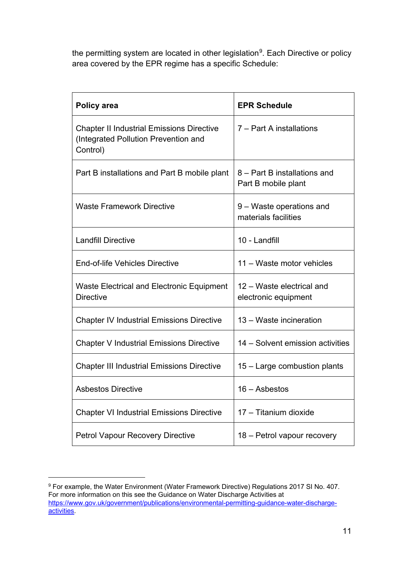the permitting system are located in other legislation<sup>[9](#page-10-0)</sup>. Each Directive or policy area covered by the EPR regime has a specific Schedule:

| Policy area                                                                                          | <b>EPR Schedule</b>                                 |  |
|------------------------------------------------------------------------------------------------------|-----------------------------------------------------|--|
| <b>Chapter II Industrial Emissions Directive</b><br>(Integrated Pollution Prevention and<br>Control) | 7 – Part A installations                            |  |
| Part B installations and Part B mobile plant                                                         | 8 – Part B installations and<br>Part B mobile plant |  |
| <b>Waste Framework Directive</b>                                                                     | 9 – Waste operations and<br>materials facilities    |  |
| <b>Landfill Directive</b>                                                                            | 10 - Landfill                                       |  |
| End-of-life Vehicles Directive                                                                       | 11 - Waste motor vehicles                           |  |
| <b>Waste Electrical and Electronic Equipment</b><br><b>Directive</b>                                 | 12 – Waste electrical and<br>electronic equipment   |  |
| <b>Chapter IV Industrial Emissions Directive</b>                                                     | 13 – Waste incineration                             |  |
| <b>Chapter V Industrial Emissions Directive</b>                                                      | 14 – Solvent emission activities                    |  |
| <b>Chapter III Industrial Emissions Directive</b>                                                    | 15 – Large combustion plants                        |  |
| <b>Asbestos Directive</b>                                                                            | 16 – Asbestos                                       |  |
| <b>Chapter VI Industrial Emissions Directive</b>                                                     | 17 - Titanium dioxide                               |  |
| <b>Petrol Vapour Recovery Directive</b>                                                              | 18 – Petrol vapour recovery                         |  |

<span id="page-10-0"></span><sup>9</sup> For example, the Water Environment (Water Framework Directive) Regulations 2017 SI No. 407. For more information on this see the Guidance on Water Discharge Activities at [https://www.gov.uk/government/publications/environmental-permitting-guidance-water-discharge](https://www.gov.uk/government/publications/environmental-permitting-guidance-water-discharge-activities)[activities.](https://www.gov.uk/government/publications/environmental-permitting-guidance-water-discharge-activities)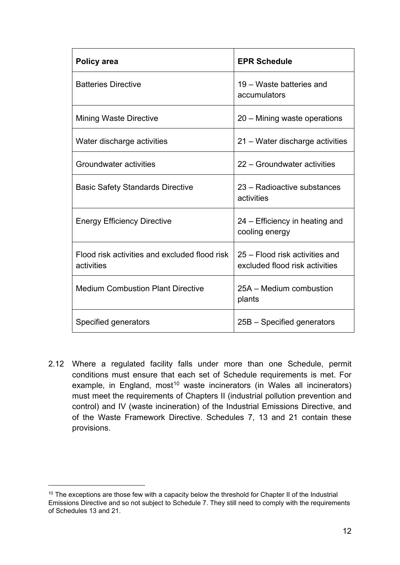| Policy area                                                 | <b>EPR Schedule</b>                                              |  |
|-------------------------------------------------------------|------------------------------------------------------------------|--|
| <b>Batteries Directive</b>                                  | 19 – Waste batteries and<br>accumulators                         |  |
| <b>Mining Waste Directive</b>                               | 20 – Mining waste operations                                     |  |
| Water discharge activities                                  | 21 – Water discharge activities                                  |  |
| Groundwater activities                                      | 22 – Groundwater activities                                      |  |
| <b>Basic Safety Standards Directive</b>                     | 23 – Radioactive substances<br>activities                        |  |
| <b>Energy Efficiency Directive</b>                          | 24 – Efficiency in heating and<br>cooling energy                 |  |
| Flood risk activities and excluded flood risk<br>activities | 25 – Flood risk activities and<br>excluded flood risk activities |  |
| <b>Medium Combustion Plant Directive</b>                    | 25A – Medium combustion<br>plants                                |  |
| Specified generators                                        | 25B – Specified generators                                       |  |

2.12 Where a regulated facility falls under more than one Schedule, permit conditions must ensure that each set of Schedule requirements is met. For example, in England, most<sup>[10](#page-11-0)</sup> waste incinerators (in Wales all incinerators) must meet the requirements of Chapters II (industrial pollution prevention and control) and IV (waste incineration) of the Industrial Emissions Directive, and of the Waste Framework Directive. Schedules 7, 13 and 21 contain these provisions.

<span id="page-11-0"></span><sup>&</sup>lt;sup>10</sup> The exceptions are those few with a capacity below the threshold for Chapter II of the Industrial Emissions Directive and so not subject to Schedule 7. They still need to comply with the requirements of Schedules 13 and 21.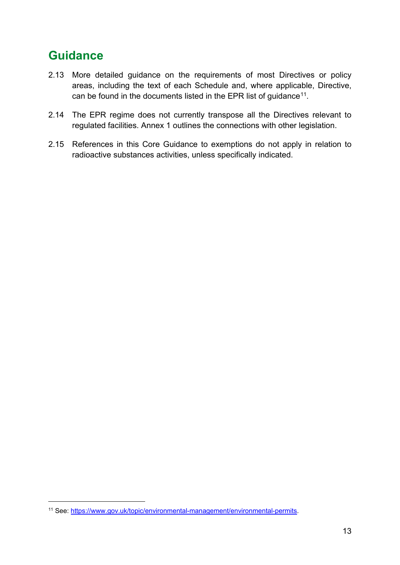## <span id="page-12-0"></span>**Guidance**

- 2.13 More detailed guidance on the requirements of most Directives or policy areas, including the text of each Schedule and, where applicable, Directive, can be found in the documents listed in the EPR list of guidance<sup>[11](#page-12-1)</sup>.
- 2.14 The EPR regime does not currently transpose all the Directives relevant to regulated facilities. Annex 1 outlines the connections with other legislation.
- 2.15 References in this Core Guidance to exemptions do not apply in relation to radioactive substances activities, unless specifically indicated.

<span id="page-12-1"></span><sup>11</sup> See: [https://www.gov.uk/topic/environmental-management/environmental-permits.](https://www.gov.uk/topic/environmental-management/environmental-permits)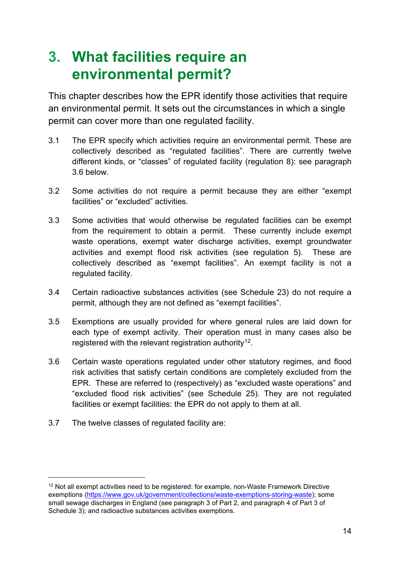## <span id="page-13-0"></span>**3. What facilities require an environmental permit?**

This chapter describes how the EPR identify those activities that require an environmental permit. It sets out the circumstances in which a single permit can cover more than one regulated facility.

- 3.1 The EPR specify which activities require an environmental permit. These are collectively described as "regulated facilities". There are currently twelve different kinds, or "classes" of regulated facility (regulation 8): see paragraph 3.6 below.
- 3.2 Some activities do not require a permit because they are either "exempt facilities" or "excluded" activities
- 3.3 Some activities that would otherwise be regulated facilities can be exempt from the requirement to obtain a permit. These currently include exempt waste operations, exempt water discharge activities, exempt groundwater activities and exempt flood risk activities (see regulation 5). These are collectively described as "exempt facilities". An exempt facility is not a regulated facility.
- 3.4 Certain radioactive substances activities (see Schedule 23) do not require a permit, although they are not defined as "exempt facilities".
- 3.5 Exemptions are usually provided for where general rules are laid down for each type of exempt activity. Their operation must in many cases also be registered with the relevant registration authority<sup>12</sup>.
- 3.6 Certain waste operations regulated under other statutory regimes, and flood risk activities that satisfy certain conditions are completely excluded from the EPR. These are referred to (respectively) as "excluded waste operations" and "excluded flood risk activities" (see Schedule 25). They are not regulated facilities or exempt facilities: the EPR do not apply to them at all.
- 3.7 The twelve classes of regulated facility are:

<span id="page-13-1"></span><sup>&</sup>lt;sup>12</sup> Not all exempt activities need to be registered: for example, non-Waste Framework Directive exemptions [\(https://www.gov.uk/government/collections/waste-exemptions-storing-waste\)](https://www.gov.uk/government/collections/waste-exemptions-storing-waste); some small sewage discharges in England (see paragraph 3 of Part 2, and paragraph 4 of Part 3 of Schedule 3); and radioactive substances activities exemptions.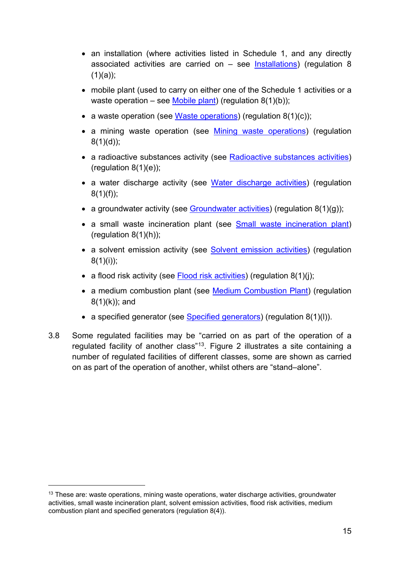- an installation (where activities listed in Schedule 1, and any directly associated activities are carried on – see [Installations\)](#page-15-1) (regulation 8  $(1)(a)$ ;
- mobile plant (used to carry on either one of the Schedule 1 activities or a waste operation – see [Mobile plant\)](#page-16-0) (requilation  $8(1)(b)$ );
- a waste operation (see [Waste operations\)](#page-16-1) (regulation 8(1)(c));
- a mining waste operation (see [Mining waste operations\)](#page-18-0) (regulation  $8(1)(d)$ ;
- a radioactive substances activity (see [Radioactive substances activities\)](#page-18-1) (regulation  $8(1)(e)$ );
- a water discharge activity (see [Water discharge activities\)](#page-18-2) (regulation  $8(1)(f)$ ;
- a groundwater activity (see [Groundwater activities\)](#page-19-0) (regulation  $8(1)(q)$ );
- a small waste incineration plant (see [Small waste incineration plant\)](#page-20-0) (regulation  $8(1)(h)$ );
- a solvent emission activity (see [Solvent emission activities\)](#page-20-1) (regulation  $8(1)(i)$ ;
- a flood risk activity (see [Flood risk activities\)](#page-20-2) (regulation 8(1)(i):
- a medium combustion plant (see [Medium Combustion Plant\)](#page-21-1) (regulation 8(1)(k)); and
- a specified generator (see [Specified generators\)](#page-21-2) (regulation 8(1)(l)).
- 3.8 Some regulated facilities may be "carried on as part of the operation of a regulated facility of another class"[13.](#page-14-0) Figure 2 illustrates a site containing a number of regulated facilities of different classes, some are shown as carried on as part of the operation of another, whilst others are "stand–alone".

<span id="page-14-0"></span><sup>&</sup>lt;sup>13</sup> These are: waste operations, mining waste operations, water discharge activities, groundwater activities, small waste incineration plant, solvent emission activities, flood risk activities, medium combustion plant and specified generators (regulation 8(4)).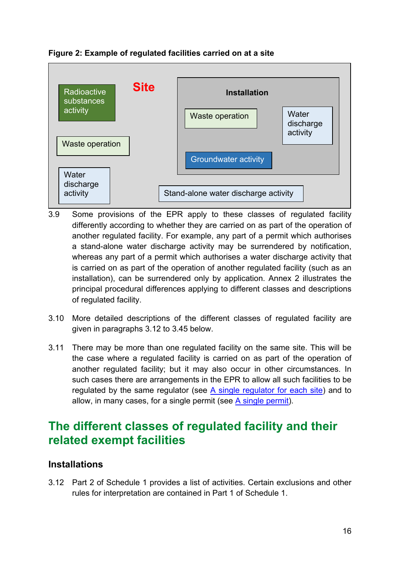

#### **Figure 2: Example of regulated facilities carried on at a site**

- 3.9 Some provisions of the EPR apply to these classes of regulated facility differently according to whether they are carried on as part of the operation of another regulated facility. For example, any part of a permit which authorises a stand-alone water discharge activity may be surrendered by notification, whereas any part of a permit which authorises a water discharge activity that is carried on as part of the operation of another regulated facility (such as an installation), can be surrendered only by application. Annex 2 illustrates the principal procedural differences applying to different classes and descriptions of regulated facility.
- 3.10 More detailed descriptions of the different classes of regulated facility are given in paragraphs 3.12 to 3.45 below.
- 3.11 There may be more than one regulated facility on the same site. This will be the case where a regulated facility is carried on as part of the operation of another regulated facility; but it may also occur in other circumstances. In such cases there are arrangements in the EPR to allow all such facilities to be regulated by the same regulator (see [A single regulator for each site\)](#page-25-1) and to allow, in many cases, for a single permit (see [A single permit\)](#page-21-0).

## <span id="page-15-0"></span>**The different classes of regulated facility and their related exempt facilities**

#### <span id="page-15-1"></span>**Installations**

3.12 Part 2 of Schedule 1 provides a list of activities. Certain exclusions and other rules for interpretation are contained in Part 1 of Schedule 1.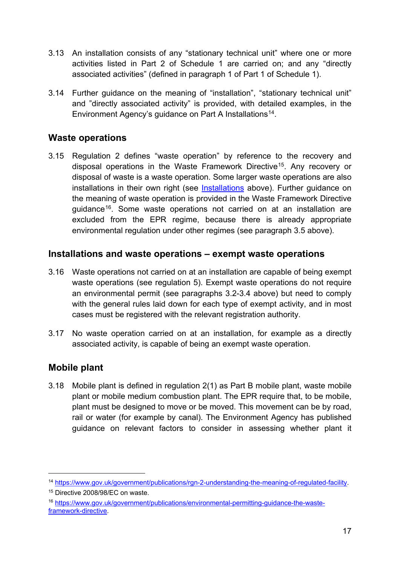- 3.13 An installation consists of any "stationary technical unit" where one or more activities listed in Part 2 of Schedule 1 are carried on; and any "directly associated activities" (defined in paragraph 1 of Part 1 of Schedule 1).
- 3.14 Further guidance on the meaning of "installation", "stationary technical unit" and "directly associated activity" is provided, with detailed examples, in the Environment Agency's guidance on Part A Installations<sup>[14](#page-16-2)</sup>.

#### <span id="page-16-1"></span>**Waste operations**

3.15 Regulation 2 defines "waste operation" by reference to the recovery and disposal operations in the Waste Framework Directive[15.](#page-16-3) Any recovery or disposal of waste is a waste operation. Some larger waste operations are also installations in their own right (see [Installations](#page-15-1) above). Further quidance on the meaning of waste operation is provided in the Waste Framework Directive guidance[16.](#page-16-4) Some waste operations not carried on at an installation are excluded from the EPR regime, because there is already appropriate environmental regulation under other regimes (see paragraph 3.5 above).

#### **Installations and waste operations – exempt waste operations**

- 3.16 Waste operations not carried on at an installation are capable of being exempt waste operations (see regulation 5). Exempt waste operations do not require an environmental permit (see paragraphs 3.2-3.4 above) but need to comply with the general rules laid down for each type of exempt activity, and in most cases must be registered with the relevant registration authority.
- 3.17 No waste operation carried on at an installation, for example as a directly associated activity, is capable of being an exempt waste operation.

#### <span id="page-16-0"></span>**Mobile plant**

-

3.18 Mobile plant is defined in regulation 2(1) as Part B mobile plant, waste mobile plant or mobile medium combustion plant. The EPR require that, to be mobile, plant must be designed to move or be moved. This movement can be by road, rail or water (for example by canal). The Environment Agency has published guidance on relevant factors to consider in assessing whether plant it

<span id="page-16-2"></span><sup>14</sup> [https://www.gov.uk/government/publications/rgn-2-understanding-the-meaning-of-regulated-facility.](https://www.gov.uk/government/publications/rgn-2-understanding-the-meaning-of-regulated-facility)

<span id="page-16-3"></span><sup>15</sup> Directive 2008/98/EC on waste.

<span id="page-16-4"></span><sup>16</sup> [https://www.gov.uk/government/publications/environmental-permitting-guidance-the-waste](https://www.gov.uk/government/publications/environmental-permitting-guidance-the-waste-framework-directive)[framework-directive.](https://www.gov.uk/government/publications/environmental-permitting-guidance-the-waste-framework-directive)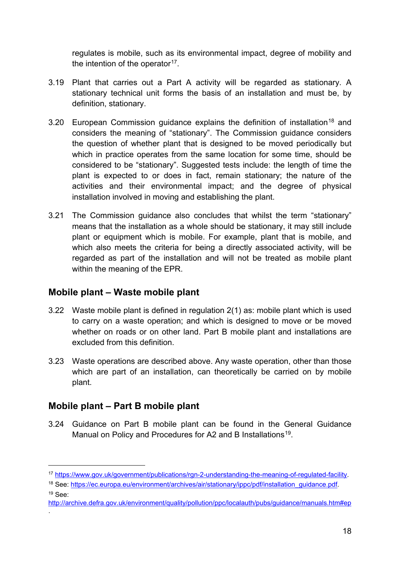regulates is mobile, such as its environmental impact, degree of mobility and the intention of the operator<sup>17</sup>.

- 3.19 Plant that carries out a Part A activity will be regarded as stationary. A stationary technical unit forms the basis of an installation and must be, by definition, stationary.
- 3.20 European Commission guidance explains the definition of installation<sup>[18](#page-17-1)</sup> and considers the meaning of "stationary". The Commission guidance considers the question of whether plant that is designed to be moved periodically but which in practice operates from the same location for some time, should be considered to be "stationary". Suggested tests include: the length of time the plant is expected to or does in fact, remain stationary; the nature of the activities and their environmental impact; and the degree of physical installation involved in moving and establishing the plant.
- 3.21 The Commission guidance also concludes that whilst the term "stationary" means that the installation as a whole should be stationary, it may still include plant or equipment which is mobile. For example, plant that is mobile, and which also meets the criteria for being a directly associated activity, will be regarded as part of the installation and will not be treated as mobile plant within the meaning of the EPR.

#### **Mobile plant – Waste mobile plant**

- 3.22 Waste mobile plant is defined in regulation 2(1) as: mobile plant which is used to carry on a waste operation; and which is designed to move or be moved whether on roads or on other land. Part B mobile plant and installations are excluded from this definition.
- 3.23 Waste operations are described above. Any waste operation, other than those which are part of an installation, can theoretically be carried on by mobile plant.

#### **Mobile plant – Part B mobile plant**

-

.

3.24 Guidance on Part B mobile plant can be found in the General Guidance Manual on Policy and Procedures for A2 and B Installations<sup>[19](#page-17-2)</sup>.

<span id="page-17-2"></span><http://archive.defra.gov.uk/environment/quality/pollution/ppc/localauth/pubs/guidance/manuals.htm#ep>

<span id="page-17-0"></span><sup>17</sup> [https://www.gov.uk/government/publications/rgn-2-understanding-the-meaning-of-regulated-facility.](https://www.gov.uk/government/publications/rgn-2-understanding-the-meaning-of-regulated-facility)

<span id="page-17-1"></span><sup>18</sup> See: https://ec.europa.eu/environment/archives/air/stationary/ippc/pdf/installation\_guidance.pdf.  $19$  See: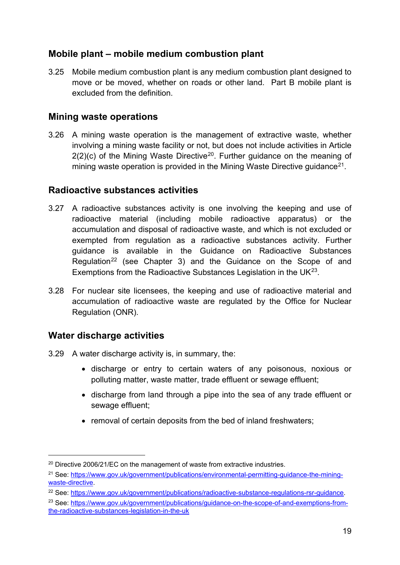#### **Mobile plant – mobile medium combustion plant**

3.25 Mobile medium combustion plant is any medium combustion plant designed to move or be moved, whether on roads or other land. Part B mobile plant is excluded from the definition.

#### <span id="page-18-0"></span>**Mining waste operations**

3.26 A mining waste operation is the management of extractive waste, whether involving a mining waste facility or not, but does not include activities in Article  $2(2)(c)$  of the Mining Waste Directive<sup>[20](#page-18-3)</sup>. Further guidance on the meaning of mining waste operation is provided in the Mining Waste Directive quidance<sup>[21](#page-18-4)</sup>.

#### <span id="page-18-1"></span>**Radioactive substances activities**

- 3.27 A radioactive substances activity is one involving the keeping and use of radioactive material (including mobile radioactive apparatus) or the accumulation and disposal of radioactive waste, and which is not excluded or exempted from regulation as a radioactive substances activity. Further guidance is available in the Guidance on Radioactive Substances Regulation<sup>[22](#page-18-5)</sup> (see Chapter 3) and the Guidance on the Scope of and Exemptions from the Radioactive Substances Legislation in the  $UK^{23}$  $UK^{23}$  $UK^{23}$ .
- 3.28 For nuclear site licensees, the keeping and use of radioactive material and accumulation of radioactive waste are regulated by the Office for Nuclear Regulation (ONR).

#### <span id="page-18-2"></span>**Water discharge activities**

- 3.29 A water discharge activity is, in summary, the:
	- discharge or entry to certain waters of any poisonous, noxious or polluting matter, waste matter, trade effluent or sewage effluent;
	- discharge from land through a pipe into the sea of any trade effluent or sewage effluent;
	- removal of certain deposits from the bed of inland freshwaters;

<span id="page-18-3"></span><sup>&</sup>lt;sup>20</sup> Directive 2006/21/EC on the management of waste from extractive industries.

<span id="page-18-4"></span><sup>&</sup>lt;sup>21</sup> See: [https://www.gov.uk/government/publications/environmental-permitting-guidance-the-mining](https://www.gov.uk/government/publications/environmental-permitting-guidance-the-mining-waste-directive)[waste-directive.](https://www.gov.uk/government/publications/environmental-permitting-guidance-the-mining-waste-directive)

<span id="page-18-5"></span><sup>22</sup> See: [https://www.gov.uk/government/publications/radioactive-substance-regulations-rsr-guidance.](https://www.gov.uk/government/publications/radioactive-substance-regulations-rsr-guidance)

<span id="page-18-6"></span><sup>&</sup>lt;sup>23</sup> See: [https://www.gov.uk/government/publications/guidance-on-the-scope-of-and-exemptions-from](https://www.gov.uk/government/publications/guidance-on-the-scope-of-and-exemptions-from-the-radioactive-substances-legislation-in-the-uk)[the-radioactive-substances-legislation-in-the-uk](https://www.gov.uk/government/publications/guidance-on-the-scope-of-and-exemptions-from-the-radioactive-substances-legislation-in-the-uk)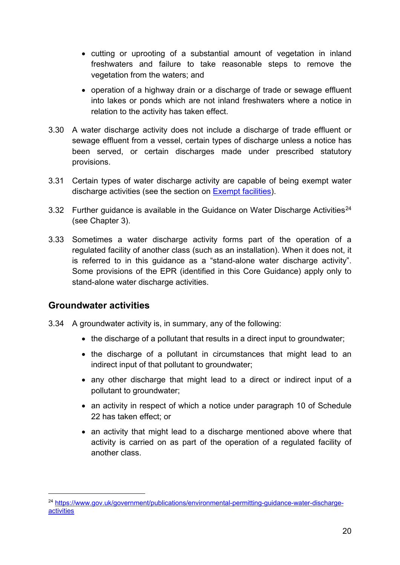- cutting or uprooting of a substantial amount of vegetation in inland freshwaters and failure to take reasonable steps to remove the vegetation from the waters; and
- operation of a highway drain or a discharge of trade or sewage effluent into lakes or ponds which are not inland freshwaters where a notice in relation to the activity has taken effect.
- 3.30 A water discharge activity does not include a discharge of trade effluent or sewage effluent from a vessel, certain types of discharge unless a notice has been served, or certain discharges made under prescribed statutory provisions.
- 3.31 Certain types of water discharge activity are capable of being exempt water discharge activities (see the section on [Exempt facilities\)](#page-84-0).
- 3.32 Further quidance is available in the Guidance on Water Discharge Activities<sup>[24](#page-19-1)</sup> (see Chapter 3).
- 3.33 Sometimes a water discharge activity forms part of the operation of a regulated facility of another class (such as an installation). When it does not, it is referred to in this guidance as a "stand-alone water discharge activity". Some provisions of the EPR (identified in this Core Guidance) apply only to stand-alone water discharge activities.

#### <span id="page-19-0"></span>**Groundwater activities**

- 3.34 A groundwater activity is, in summary, any of the following:
	- the discharge of a pollutant that results in a direct input to groundwater;
	- the discharge of a pollutant in circumstances that might lead to an indirect input of that pollutant to groundwater;
	- any other discharge that might lead to a direct or indirect input of a pollutant to groundwater;
	- an activity in respect of which a notice under paragraph 10 of Schedule 22 has taken effect; or
	- an activity that might lead to a discharge mentioned above where that activity is carried on as part of the operation of a regulated facility of another class.

<span id="page-19-1"></span><sup>24</sup> [https://www.gov.uk/government/publications/environmental-permitting-guidance-water-discharge](https://www.gov.uk/government/publications/environmental-permitting-guidance-water-discharge-activities)[activities](https://www.gov.uk/government/publications/environmental-permitting-guidance-water-discharge-activities)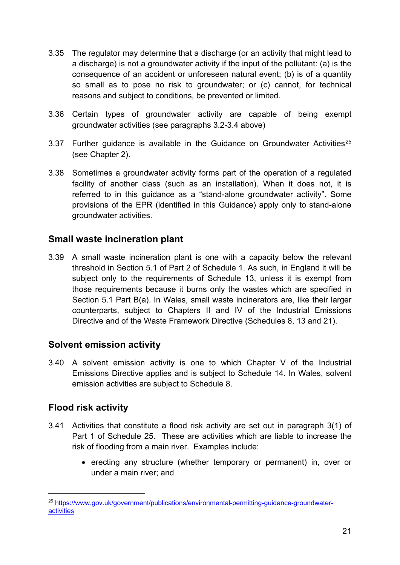- 3.35 The regulator may determine that a discharge (or an activity that might lead to a discharge) is not a groundwater activity if the input of the pollutant: (a) is the consequence of an accident or unforeseen natural event; (b) is of a quantity so small as to pose no risk to groundwater; or (c) cannot, for technical reasons and subject to conditions, be prevented or limited.
- 3.36 Certain types of groundwater activity are capable of being exempt groundwater activities (see paragraphs 3.2-3.4 above)
- 3.37 Further quidance is available in the Guidance on Groundwater Activities<sup>[25](#page-20-3)</sup> (see Chapter 2).
- 3.38 Sometimes a groundwater activity forms part of the operation of a regulated facility of another class (such as an installation). When it does not, it is referred to in this guidance as a "stand-alone groundwater activity". Some provisions of the EPR (identified in this Guidance) apply only to stand-alone groundwater activities.

#### <span id="page-20-0"></span>**Small waste incineration plant**

3.39 A small waste incineration plant is one with a capacity below the relevant threshold in Section 5.1 of Part 2 of Schedule 1. As such, in England it will be subject only to the requirements of Schedule 13, unless it is exempt from those requirements because it burns only the wastes which are specified in Section 5.1 Part B(a). In Wales, small waste incinerators are, like their larger counterparts, subject to Chapters II and IV of the Industrial Emissions Directive and of the Waste Framework Directive (Schedules 8, 13 and 21).

#### <span id="page-20-1"></span>**Solvent emission activity**

3.40 A solvent emission activity is one to which Chapter V of the Industrial Emissions Directive applies and is subject to Schedule 14. In Wales, solvent emission activities are subject to Schedule 8.

#### <span id="page-20-2"></span>**Flood risk activity**

- 3.41 Activities that constitute a flood risk activity are set out in paragraph 3(1) of Part 1 of Schedule 25. These are activities which are liable to increase the risk of flooding from a main river. Examples include:
	- erecting any structure (whether temporary or permanent) in, over or under a main river; and

<span id="page-20-3"></span><sup>25</sup> [https://www.gov.uk/government/publications/environmental-permitting-guidance-groundwater](https://www.gov.uk/government/publications/environmental-permitting-guidance-groundwater-activities)[activities](https://www.gov.uk/government/publications/environmental-permitting-guidance-groundwater-activities)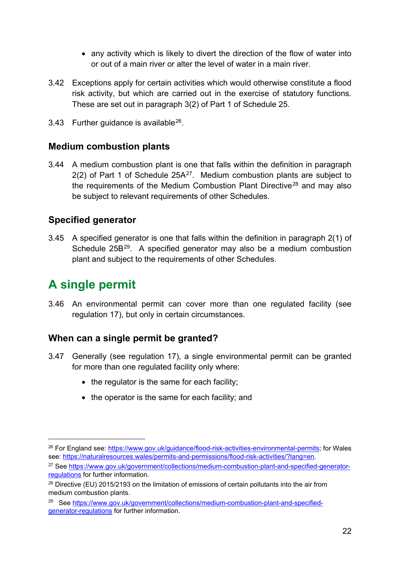- any activity which is likely to divert the direction of the flow of water into or out of a main river or alter the level of water in a main river.
- 3.42 Exceptions apply for certain activities which would otherwise constitute a flood risk activity, but which are carried out in the exercise of statutory functions. These are set out in paragraph 3(2) of Part 1 of Schedule 25.
- 3.43 Further quidance is available $^{26}$  $^{26}$  $^{26}$ .

#### <span id="page-21-1"></span>**Medium combustion plants**

<span id="page-21-6"></span><span id="page-21-5"></span>3.44 A medium combustion plant is one that falls within the definition in paragraph  $2(2)$  of Part 1 of Schedule  $25A^{27}$  $25A^{27}$  $25A^{27}$ . Medium combustion plants are subject to the requirements of the Medium Combustion Plant Directive<sup>[28](#page-21-5)</sup> and may also be subject to relevant requirements of other Schedules.

#### <span id="page-21-2"></span>**Specified generator**

<span id="page-21-7"></span>3.45 A specified generator is one that falls within the definition in paragraph 2(1) of Schedule 25B<sup>[29](#page-21-6)</sup>. A specified generator may also be a medium combustion plant and subject to the requirements of other Schedules.

## <span id="page-21-0"></span>**A single permit**

-

3.46 An environmental permit can cover more than one regulated facility (see regulation 17), but only in certain circumstances.

#### **When can a single permit be granted?**

- 3.47 Generally (see regulation 17), a single environmental permit can be granted for more than one regulated facility only where:
	- the regulator is the same for each facility;
	- the operator is the same for each facility; and

<span id="page-21-3"></span><sup>26</sup> For England see: [https://www.gov.uk/guidance/flood-risk-activities-environmental-permits;](https://www.gov.uk/guidance/flood-risk-activities-environmental-permits) for Wales see: [https://naturalresources.wales/permits-and-permissions/flood-risk-activities/?lang=en.](https://naturalresources.wales/permits-and-permissions/flood-risk-activities/?lang=en)

<span id="page-21-4"></span><sup>&</sup>lt;sup>27</sup> See [https://www.gov.uk/government/collections/medium-combustion-plant-and-specified-generator](https://www.gov.uk/government/collections/medium-combustion-plant-and-specified-generator-regulations)[regulations](https://www.gov.uk/government/collections/medium-combustion-plant-and-specified-generator-regulations) for further information.

<sup>&</sup>lt;sup>28</sup> Directive (EU) 2015/2193 on the limitation of emissions of certain pollutants into the air from medium combustion plants.

<sup>&</sup>lt;sup>29</sup> See [https://www.gov.uk/government/collections/medium-combustion-plant-and-specified](https://www.gov.uk/government/collections/medium-combustion-plant-and-specified-generator-regulations)[generator-regulations](https://www.gov.uk/government/collections/medium-combustion-plant-and-specified-generator-regulations) for further information.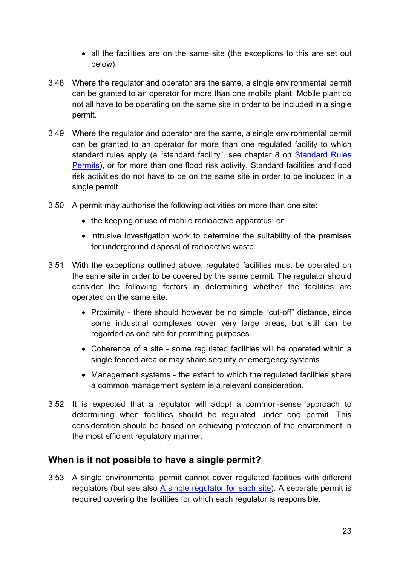- all the facilities are on the same site (the exceptions to this are set out below).
- 3.48 Where the regulator and operator are the same, a single environmental permit can be granted to an operator for more than one mobile plant. Mobile plant do not all have to be operating on the same site in order to be included in a single permit.
- 3.49 Where the regulator and operator are the same, a single environmental permit can be granted to an operator for more than one regulated facility to which standard rules apply (a "standard facility", see chapter 8 on [Standard Rules](#page-51-0)  [Permits\)](#page-51-0), or for more than one flood risk activity. Standard facilities and flood risk activities do not have to be on the same site in order to be included in a single permit.
- 3.50 A permit may authorise the following activities on more than one site:
	- the keeping or use of mobile radioactive apparatus; or
	- intrusive investigation work to determine the suitability of the premises for underground disposal of radioactive waste.
- 3.51 With the exceptions outlined above, regulated facilities must be operated on the same site in order to be covered by the same permit. The regulator should consider the following factors in determining whether the facilities are operated on the same site:
	- Proximity there should however be no simple "cut-off" distance, since some industrial complexes cover very large areas, but still can be regarded as one site for permitting purposes.
	- Coherence of a site some regulated facilities will be operated within a single fenced area or may share security or emergency systems.
	- Management systems the extent to which the regulated facilities share a common management system is a relevant consideration.
- 3.52 It is expected that a regulator will adopt a common-sense approach to determining when facilities should be regulated under one permit. This consideration should be based on achieving protection of the environment in the most efficient regulatory manner.

#### **When is it not possible to have a single permit?**

3.53 A single environmental permit cannot cover regulated facilities with different regulators (but see also [A single regulator for each site\)](#page-25-1). A separate permit is required covering the facilities for which each regulator is responsible.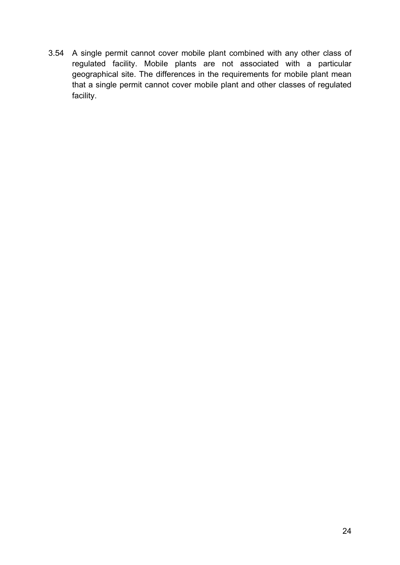3.54 A single permit cannot cover mobile plant combined with any other class of regulated facility. Mobile plants are not associated with a particular geographical site. The differences in the requirements for mobile plant mean that a single permit cannot cover mobile plant and other classes of regulated facility.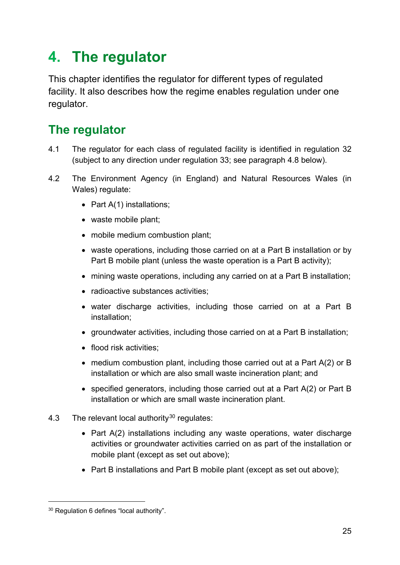## <span id="page-24-0"></span>**4. The regulator**

This chapter identifies the regulator for different types of regulated facility. It also describes how the regime enables regulation under one regulator.

## <span id="page-24-1"></span>**The regulator**

- 4.1 The regulator for each class of regulated facility is identified in regulation 32 (subject to any direction under regulation 33; see paragraph 4.8 below).
- 4.2 The Environment Agency (in England) and Natural Resources Wales (in Wales) regulate:
	- Part A(1) installations;
	- waste mobile plant;
	- mobile medium combustion plant;
	- waste operations, including those carried on at a Part B installation or by Part B mobile plant (unless the waste operation is a Part B activity);
	- mining waste operations, including any carried on at a Part B installation;
	- radioactive substances activities:
	- water discharge activities, including those carried on at a Part B installation;
	- groundwater activities, including those carried on at a Part B installation;
	- flood risk activities;
	- medium combustion plant, including those carried out at a Part A(2) or B installation or which are also small waste incineration plant; and
	- specified generators, including those carried out at a Part A(2) or Part B installation or which are small waste incineration plant.
- <span id="page-24-2"></span>4.3 The relevant local authority<sup>[30](#page-21-7)</sup> regulates:
	- Part A(2) installations including any waste operations, water discharge activities or groundwater activities carried on as part of the installation or mobile plant (except as set out above);
	- Part B installations and Part B mobile plant (except as set out above);

<sup>30</sup> Regulation 6 defines "local authority".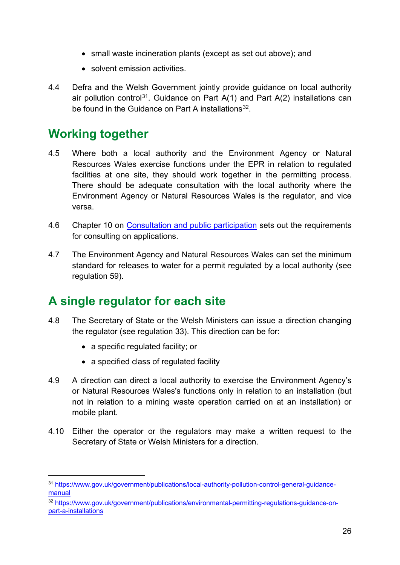- small waste incineration plants (except as set out above); and
- solvent emission activities.
- 4.4 Defra and the Welsh Government jointly provide guidance on local authority air pollution control<sup>[31](#page-24-2)</sup>. Guidance on Part  $A(1)$  and Part  $A(2)$  installations can be found in the Guidance on Part A installations<sup>[32](#page-25-2)</sup>.

### <span id="page-25-0"></span>**Working together**

- 4.5 Where both a local authority and the Environment Agency or Natural Resources Wales exercise functions under the EPR in relation to regulated facilities at one site, they should work together in the permitting process. There should be adequate consultation with the local authority where the Environment Agency or Natural Resources Wales is the regulator, and vice versa.
- 4.6 Chapter 10 on [Consultation and public participation](#page-61-0) sets out the requirements for consulting on applications.
- 4.7 The Environment Agency and Natural Resources Wales can set the minimum standard for releases to water for a permit regulated by a local authority (see regulation 59).

### <span id="page-25-1"></span>**A single regulator for each site**

- 4.8 The Secretary of State or the Welsh Ministers can issue a direction changing the regulator (see regulation 33). This direction can be for:
	- a specific regulated facility; or

- a specified class of regulated facility
- 4.9 A direction can direct a local authority to exercise the Environment Agency's or Natural Resources Wales's functions only in relation to an installation (but not in relation to a mining waste operation carried on at an installation) or mobile plant.
- 4.10 Either the operator or the regulators may make a written request to the Secretary of State or Welsh Ministers for a direction.

<sup>31</sup> [https://www.gov.uk/government/publications/local-authority-pollution-control-general-guidance](https://www.gov.uk/government/publications/local-authority-pollution-control-general-guidance-manual)[manual](https://www.gov.uk/government/publications/local-authority-pollution-control-general-guidance-manual) 

<span id="page-25-2"></span><sup>32</sup> [https://www.gov.uk/government/publications/environmental-permitting-regulations-guidance-on](https://www.gov.uk/government/publications/environmental-permitting-regulations-guidance-on-part-a-installations)[part-a-installations](https://www.gov.uk/government/publications/environmental-permitting-regulations-guidance-on-part-a-installations)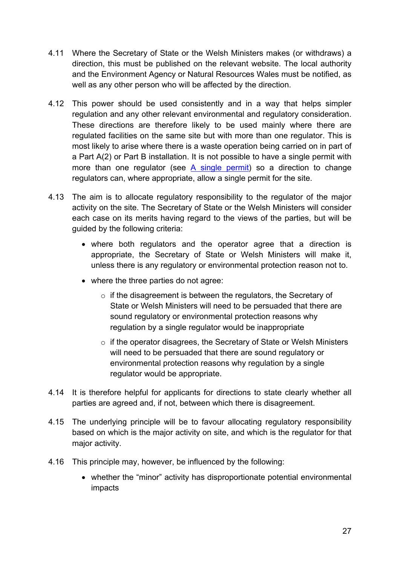- 4.11 Where the Secretary of State or the Welsh Ministers makes (or withdraws) a direction, this must be published on the relevant website. The local authority and the Environment Agency or Natural Resources Wales must be notified, as well as any other person who will be affected by the direction.
- 4.12 This power should be used consistently and in a way that helps simpler regulation and any other relevant environmental and regulatory consideration. These directions are therefore likely to be used mainly where there are regulated facilities on the same site but with more than one regulator. This is most likely to arise where there is a waste operation being carried on in part of a Part A(2) or Part B installation. It is not possible to have a single permit with more than one regulator (see [A single permit\)](#page-21-0) so a direction to change regulators can, where appropriate, allow a single permit for the site.
- 4.13 The aim is to allocate regulatory responsibility to the regulator of the major activity on the site. The Secretary of State or the Welsh Ministers will consider each case on its merits having regard to the views of the parties, but will be guided by the following criteria:
	- where both regulators and the operator agree that a direction is appropriate, the Secretary of State or Welsh Ministers will make it, unless there is any regulatory or environmental protection reason not to.
	- where the three parties do not agree:
		- $\circ$  if the disagreement is between the regulators, the Secretary of State or Welsh Ministers will need to be persuaded that there are sound regulatory or environmental protection reasons why regulation by a single regulator would be inappropriate
		- $\circ$  if the operator disagrees, the Secretary of State or Welsh Ministers will need to be persuaded that there are sound regulatory or environmental protection reasons why regulation by a single regulator would be appropriate.
- 4.14 It is therefore helpful for applicants for directions to state clearly whether all parties are agreed and, if not, between which there is disagreement.
- 4.15 The underlying principle will be to favour allocating regulatory responsibility based on which is the major activity on site, and which is the regulator for that major activity.
- 4.16 This principle may, however, be influenced by the following:
	- whether the "minor" activity has disproportionate potential environmental impacts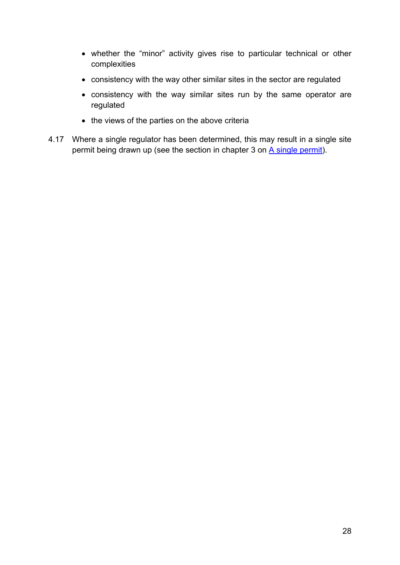- whether the "minor" activity gives rise to particular technical or other complexities
- consistency with the way other similar sites in the sector are regulated
- consistency with the way similar sites run by the same operator are regulated
- the views of the parties on the above criteria
- 4.17 Where a single regulator has been determined, this may result in a single site permit being drawn up (see the section in chapter 3 on [A single permit\)](#page-21-0).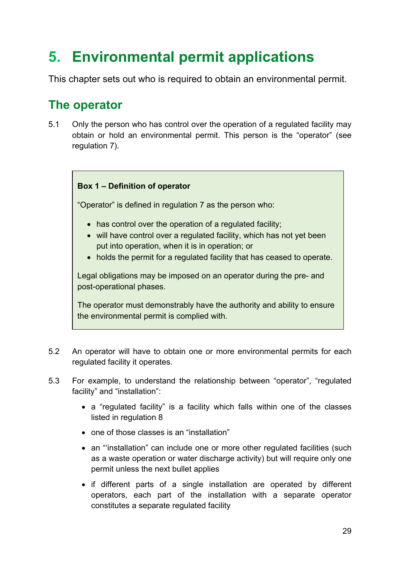## <span id="page-28-0"></span>**5. Environmental permit applications**

This chapter sets out who is required to obtain an environmental permit.

## <span id="page-28-1"></span>**The operator**

5.1 Only the person who has control over the operation of a regulated facility may obtain or hold an environmental permit. This person is the "operator" (see regulation 7).

#### **Box 1 – Definition of operator**

"Operator" is defined in regulation 7 as the person who:

- has control over the operation of a regulated facility;
- will have control over a regulated facility, which has not yet been put into operation, when it is in operation; or
- holds the permit for a regulated facility that has ceased to operate.

Legal obligations may be imposed on an operator during the pre- and post-operational phases.

The operator must demonstrably have the authority and ability to ensure the environmental permit is complied with.

- 5.2 An operator will have to obtain one or more environmental permits for each regulated facility it operates.
- 5.3 For example, to understand the relationship between "operator", "regulated facility" and "installation":
	- a "regulated facility" is a facility which falls within one of the classes listed in regulation 8
	- one of those classes is an "installation"
	- an "installation" can include one or more other regulated facilities (such as a waste operation or water discharge activity) but will require only one permit unless the next bullet applies
	- if different parts of a single installation are operated by different operators, each part of the installation with a separate operator constitutes a separate regulated facility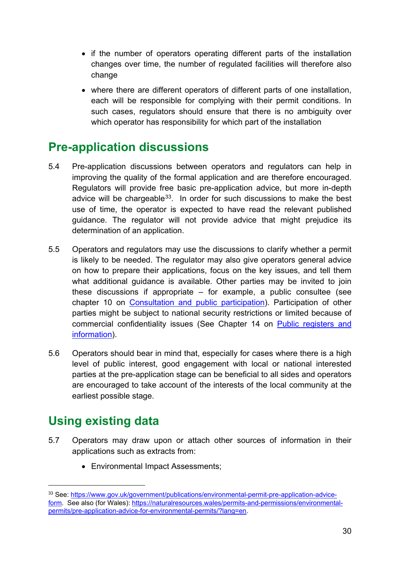- if the number of operators operating different parts of the installation changes over time, the number of regulated facilities will therefore also change
- where there are different operators of different parts of one installation, each will be responsible for complying with their permit conditions. In such cases, regulators should ensure that there is no ambiguity over which operator has responsibility for which part of the installation

## <span id="page-29-0"></span>**Pre-application discussions**

- 5.4 Pre-application discussions between operators and regulators can help in improving the quality of the formal application and are therefore encouraged. Regulators will provide free basic pre-application advice, but more in-depth advice will be chargeable<sup>33</sup>. In order for such discussions to make the best use of time, the operator is expected to have read the relevant published guidance. The regulator will not provide advice that might prejudice its determination of an application.
- 5.5 Operators and regulators may use the discussions to clarify whether a permit is likely to be needed. The regulator may also give operators general advice on how to prepare their applications, focus on the key issues, and tell them what additional guidance is available. Other parties may be invited to join these discussions if appropriate  $-$  for example, a public consultee (see chapter 10 on [Consultation and public participation\)](#page-61-0). Participation of other parties might be subject to national security restrictions or limited because of commercial confidentiality issues (See Chapter 14 on [Public registers and](#page-78-0)  [information\)](#page-78-0).
- 5.6 Operators should bear in mind that, especially for cases where there is a high level of public interest, good engagement with local or national interested parties at the pre-application stage can be beneficial to all sides and operators are encouraged to take account of the interests of the local community at the earliest possible stage.

## <span id="page-29-1"></span>**Using existing data**

- 5.7 Operators may draw upon or attach other sources of information in their applications such as extracts from:
	- Environmental Impact Assessments;

<span id="page-29-2"></span><sup>33</sup> See: [https://www.gov.uk/government/publications/environmental-permit-pre-application-advice](https://www.gov.uk/government/publications/environmental-permit-pre-application-advice-form)[form.](https://www.gov.uk/government/publications/environmental-permit-pre-application-advice-form) See also (for Wales): [https://naturalresources.wales/permits-and-permissions/environmental](https://naturalresources.wales/permits-and-permissions/environmental-permits/pre-application-advice-for-environmental-permits/?lang=en)[permits/pre-application-advice-for-environmental-permits/?lang=en.](https://naturalresources.wales/permits-and-permissions/environmental-permits/pre-application-advice-for-environmental-permits/?lang=en)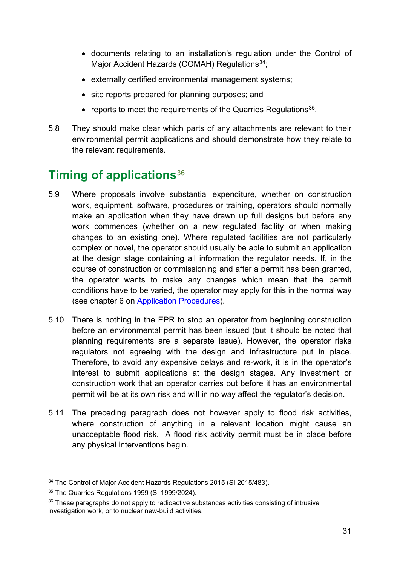- documents relating to an installation's regulation under the Control of Major Accident Hazards (COMAH) Regulations<sup>[34](#page-30-1)</sup>;
- externally certified environmental management systems;
- site reports prepared for planning purposes; and
- reports to meet the requirements of the Quarries Requiations<sup>35</sup>.
- 5.8 They should make clear which parts of any attachments are relevant to their environmental permit applications and should demonstrate how they relate to the relevant requirements.

## <span id="page-30-0"></span>**Timing of applications**[36](#page-30-3)

- 5.9 Where proposals involve substantial expenditure, whether on construction work, equipment, software, procedures or training, operators should normally make an application when they have drawn up full designs but before any work commences (whether on a new regulated facility or when making changes to an existing one). Where regulated facilities are not particularly complex or novel, the operator should usually be able to submit an application at the design stage containing all information the regulator needs. If, in the course of construction or commissioning and after a permit has been granted, the operator wants to make any changes which mean that the permit conditions have to be varied, the operator may apply for this in the normal way (see chapter 6 on [Application Procedures\)](#page-33-0).
- 5.10 There is nothing in the EPR to stop an operator from beginning construction before an environmental permit has been issued (but it should be noted that planning requirements are a separate issue). However, the operator risks regulators not agreeing with the design and infrastructure put in place. Therefore, to avoid any expensive delays and re-work, it is in the operator's interest to submit applications at the design stages. Any investment or construction work that an operator carries out before it has an environmental permit will be at its own risk and will in no way affect the regulator's decision.
- 5.11 The preceding paragraph does not however apply to flood risk activities, where construction of anything in a relevant location might cause an unacceptable flood risk. A flood risk activity permit must be in place before any physical interventions begin.

<span id="page-30-1"></span><sup>&</sup>lt;sup>34</sup> The Control of Major Accident Hazards Regulations 2015 (SI 2015/483).

<span id="page-30-2"></span><sup>&</sup>lt;sup>35</sup> The Quarries Regulations 1999 (SI 1999/2024).

<span id="page-30-3"></span> $36$  These paragraphs do not apply to radioactive substances activities consisting of intrusive investigation work, or to nuclear new-build activities.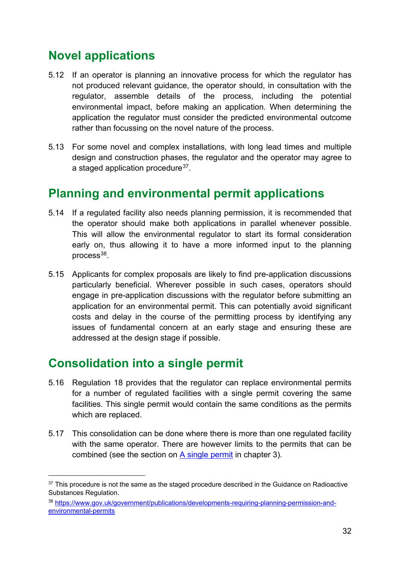## <span id="page-31-0"></span>**Novel applications**

- 5.12 If an operator is planning an innovative process for which the regulator has not produced relevant guidance, the operator should, in consultation with the regulator, assemble details of the process, including the potential environmental impact, before making an application. When determining the application the regulator must consider the predicted environmental outcome rather than focussing on the novel nature of the process.
- 5.13 For some novel and complex installations, with long lead times and multiple design and construction phases, the regulator and the operator may agree to a staged application procedure<sup>37</sup>.

## <span id="page-31-1"></span>**Planning and environmental permit applications**

- 5.14 If a regulated facility also needs planning permission, it is recommended that the operator should make both applications in parallel whenever possible. This will allow the environmental regulator to start its formal consideration early on, thus allowing it to have a more informed input to the planning process $38$ .
- 5.15 Applicants for complex proposals are likely to find pre-application discussions particularly beneficial. Wherever possible in such cases, operators should engage in pre-application discussions with the regulator before submitting an application for an environmental permit. This can potentially avoid significant costs and delay in the course of the permitting process by identifying any issues of fundamental concern at an early stage and ensuring these are addressed at the design stage if possible.

### <span id="page-31-2"></span>**Consolidation into a single permit**

- 5.16 Regulation 18 provides that the regulator can replace environmental permits for a number of regulated facilities with a single permit covering the same facilities. This single permit would contain the same conditions as the permits which are replaced.
- 5.17 This consolidation can be done where there is more than one regulated facility with the same operator. There are however limits to the permits that can be combined (see the section on [A single permit](#page-21-0) in chapter 3).

<span id="page-31-3"></span> $37$  This procedure is not the same as the staged procedure described in the Guidance on Radioactive Substances Regulation.

<span id="page-31-4"></span><sup>38</sup> [https://www.gov.uk/government/publications/developments-requiring-planning-permission-and](https://www.gov.uk/government/publications/developments-requiring-planning-permission-and-environmental-permits)[environmental-permits](https://www.gov.uk/government/publications/developments-requiring-planning-permission-and-environmental-permits)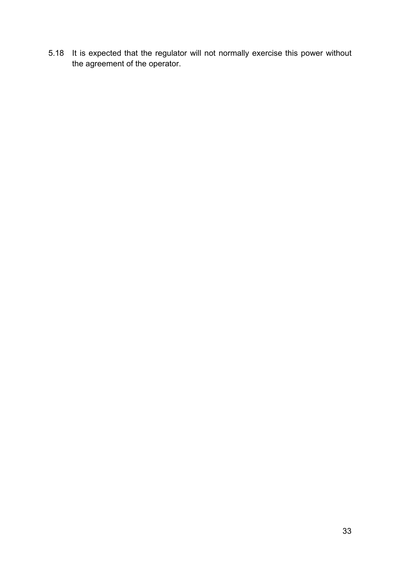5.18 It is expected that the regulator will not normally exercise this power without the agreement of the operator.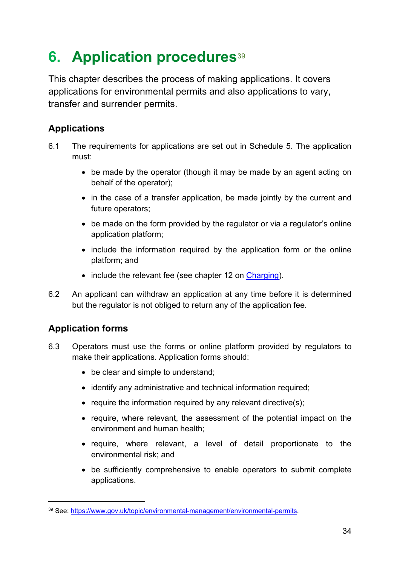## <span id="page-33-0"></span>**6. Application procedures**<sup>[39](#page-33-1)</sup>

This chapter describes the process of making applications. It covers applications for environmental permits and also applications to vary, transfer and surrender permits.

#### **Applications**

- 6.1 The requirements for applications are set out in Schedule 5. The application must:
	- be made by the operator (though it may be made by an agent acting on behalf of the operator);
	- in the case of a transfer application, be made jointly by the current and future operators;
	- be made on the form provided by the regulator or via a regulator's online application platform;
	- include the information required by the application form or the online platform; and
	- include the relevant fee (see chapter 12 on [Charging\)](#page-72-0).
- 6.2 An applicant can withdraw an application at any time before it is determined but the regulator is not obliged to return any of the application fee.

#### **Application forms**

- 6.3 Operators must use the forms or online platform provided by regulators to make their applications. Application forms should:
	- be clear and simple to understand;
	- identify any administrative and technical information required;
	- require the information required by any relevant directive(s);
	- require, where relevant, the assessment of the potential impact on the environment and human health;
	- require, where relevant, a level of detail proportionate to the environmental risk; and
	- be sufficiently comprehensive to enable operators to submit complete applications.

<span id="page-33-1"></span><sup>39</sup> See: [https://www.gov.uk/topic/environmental-management/environmental-permits.](https://www.gov.uk/topic/environmental-management/environmental-permits)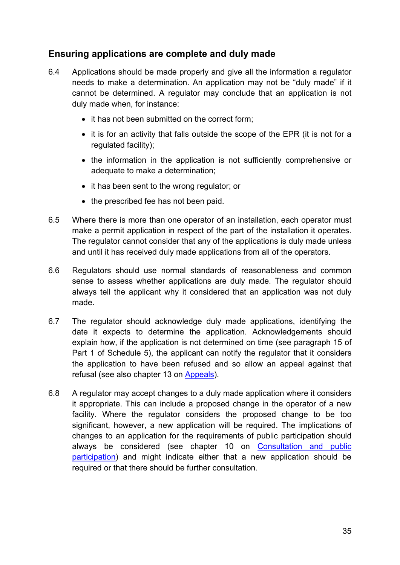#### **Ensuring applications are complete and duly made**

- 6.4 Applications should be made properly and give all the information a regulator needs to make a determination. An application may not be "duly made" if it cannot be determined. A regulator may conclude that an application is not duly made when, for instance:
	- it has not been submitted on the correct form;
	- it is for an activity that falls outside the scope of the EPR (it is not for a regulated facility);
	- the information in the application is not sufficiently comprehensive or adequate to make a determination;
	- it has been sent to the wrong regulator; or
	- the prescribed fee has not been paid.
- 6.5 Where there is more than one operator of an installation, each operator must make a permit application in respect of the part of the installation it operates. The regulator cannot consider that any of the applications is duly made unless and until it has received duly made applications from all of the operators.
- 6.6 Regulators should use normal standards of reasonableness and common sense to assess whether applications are duly made. The regulator should always tell the applicant why it considered that an application was not duly made.
- 6.7 The regulator should acknowledge duly made applications, identifying the date it expects to determine the application. Acknowledgements should explain how, if the application is not determined on time (see paragraph 15 of Part 1 of Schedule 5), the applicant can notify the regulator that it considers the application to have been refused and so allow an appeal against that refusal (see also chapter 13 on [Appeals\)](#page-72-3).
- 6.8 A regulator may accept changes to a duly made application where it considers it appropriate. This can include a proposed change in the operator of a new facility. Where the regulator considers the proposed change to be too significant, however, a new application will be required. The implications of changes to an application for the requirements of public participation should always be considered (see chapter 10 on [Consultation and public](#page-61-0)  [participation\)](#page-61-0) and might indicate either that a new application should be required or that there should be further consultation.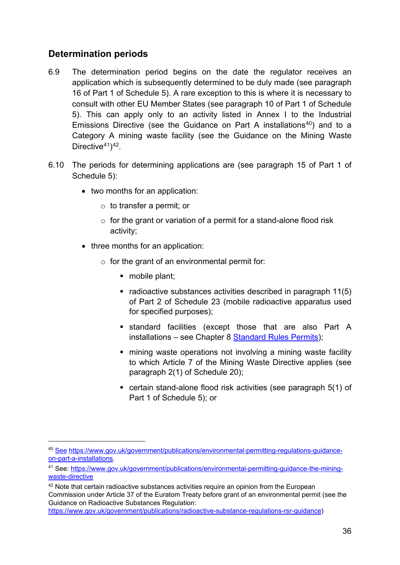#### **Determination periods**

- 6.9 The determination period begins on the date the regulator receives an application which is subsequently determined to be duly made (see paragraph 16 of Part 1 of Schedule 5). A rare exception to this is where it is necessary to consult with other EU Member States (see paragraph 10 of Part 1 of Schedule 5). This can apply only to an activity listed in Annex I to the Industrial Emissions Directive (see the Guidance on Part A installations<sup>[40](#page-35-0)</sup>) and to a Category A mining waste facility (see the Guidance on the Mining Waste Directive $41$ <sup>42</sup>.
- 6.10 The periods for determining applications are (see paragraph 15 of Part 1 of Schedule 5):
	- two months for an application:
		- o to transfer a permit; or
		- $\circ$  for the grant or variation of a permit for a stand-alone flood risk activity;
	- three months for an application:
		- $\circ$  for the grant of an environmental permit for:
			- mobile plant;
			- radioactive substances activities described in paragraph 11(5) of Part 2 of Schedule 23 (mobile radioactive apparatus used for specified purposes);
			- standard facilities (except those that are also Part A installations – see Chapter 8 [Standard Rules Permits\)](#page-51-0);
			- mining waste operations not involving a mining waste facility to which Article 7 of the Mining Waste Directive applies (see paragraph 2(1) of Schedule 20);
			- certain stand-alone flood risk activities (see paragraph 5(1) of Part 1 of Schedule 5); or

<span id="page-35-0"></span><sup>40</sup> [See](http://see/) [https://www.gov.uk/government/publications/environmental-permitting-regulations-guidance](https://www.gov.uk/government/publications/environmental-permitting-regulations-guidance-on-part-a-installations)[on-part-a-installations.](https://www.gov.uk/government/publications/environmental-permitting-regulations-guidance-on-part-a-installations)

<span id="page-35-1"></span><sup>41</sup> See: [https://www.gov.uk/government/publications/environmental-permitting-guidance-the-mining](https://www.gov.uk/government/publications/environmental-permitting-guidance-the-mining-waste-directive)[waste-directive](https://www.gov.uk/government/publications/environmental-permitting-guidance-the-mining-waste-directive) 

<span id="page-35-2"></span><sup>&</sup>lt;sup>42</sup> Note that certain radioactive substances activities require an opinion from the European Commission under Article 37 of the Euratom Treaty before grant of an environmental permit (see the Guidance on Radioactive Substances Regulation:

[https://www.gov.uk/government/publications/radioactive-substance-regulations-rsr-guidance\)](https://www.gov.uk/government/publications/radioactive-substance-regulations-rsr-guidance)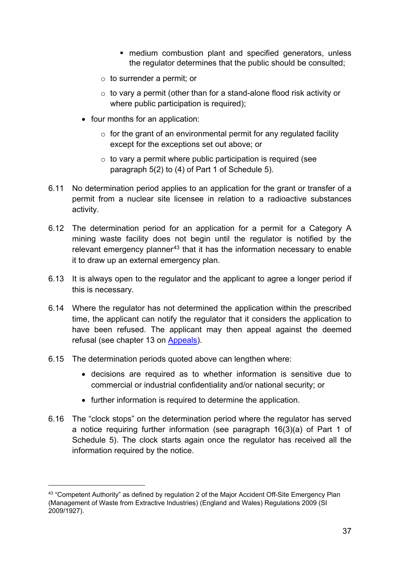- medium combustion plant and specified generators, unless the regulator determines that the public should be consulted;
- o to surrender a permit; or
- $\circ$  to vary a permit (other than for a stand-alone flood risk activity or where public participation is required);
- four months for an application:
	- $\circ$  for the grant of an environmental permit for any regulated facility except for the exceptions set out above; or
	- $\circ$  to vary a permit where public participation is required (see paragraph 5(2) to (4) of Part 1 of Schedule 5).
- 6.11 No determination period applies to an application for the grant or transfer of a permit from a nuclear site licensee in relation to a radioactive substances activity.
- 6.12 The determination period for an application for a permit for a Category A mining waste facility does not begin until the regulator is notified by the relevant emergency planner<sup>[43](#page-36-0)</sup> that it has the information necessary to enable it to draw up an external emergency plan.
- 6.13 It is always open to the regulator and the applicant to agree a longer period if this is necessary.
- 6.14 Where the regulator has not determined the application within the prescribed time, the applicant can notify the regulator that it considers the application to have been refused. The applicant may then appeal against the deemed refusal (see chapter 13 on [Appeals\)](#page-72-0).
- 6.15 The determination periods quoted above can lengthen where:

- decisions are required as to whether information is sensitive due to commercial or industrial confidentiality and/or national security; or
- further information is required to determine the application.
- 6.16 The "clock stops" on the determination period where the regulator has served a notice requiring further information (see paragraph 16(3)(a) of Part 1 of Schedule 5). The clock starts again once the regulator has received all the information required by the notice.

<span id="page-36-0"></span><sup>&</sup>lt;sup>43</sup> "Competent Authority" as defined by regulation 2 of the Major Accident Off-Site Emergency Plan (Management of Waste from Extractive Industries) (England and Wales) Regulations 2009 (SI 2009/1927).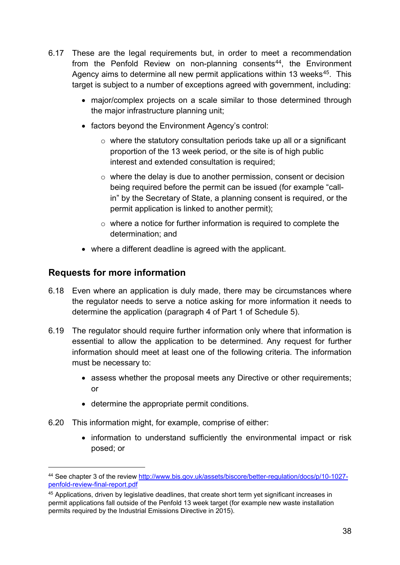- 6.17 These are the legal requirements but, in order to meet a recommendation from the Penfold Review on non-planning consents<sup>44</sup>, the Environment Agency aims to determine all new permit applications within 13 weeks<sup>[45](#page-37-1)</sup>. This target is subject to a number of exceptions agreed with government, including:
	- major/complex projects on a scale similar to those determined through the major infrastructure planning unit;
	- factors beyond the Environment Agency's control:
		- $\circ$  where the statutory consultation periods take up all or a significant proportion of the 13 week period, or the site is of high public interest and extended consultation is required;
		- $\circ$  where the delay is due to another permission, consent or decision being required before the permit can be issued (for example "callin" by the Secretary of State, a planning consent is required, or the permit application is linked to another permit);
		- $\circ$  where a notice for further information is required to complete the determination; and
	- where a different deadline is agreed with the applicant.

### <span id="page-37-2"></span>**Requests for more information**

- 6.18 Even where an application is duly made, there may be circumstances where the regulator needs to serve a notice asking for more information it needs to determine the application (paragraph 4 of Part 1 of Schedule 5).
- 6.19 The regulator should require further information only where that information is essential to allow the application to be determined. Any request for further information should meet at least one of the following criteria. The information must be necessary to:
	- assess whether the proposal meets any Directive or other requirements; or
	- determine the appropriate permit conditions.
- 6.20 This information might, for example, comprise of either:
	- information to understand sufficiently the environmental impact or risk posed; or

<span id="page-37-0"></span><sup>44</sup> See chapter 3 of the review [http://www.bis.gov.uk/assets/biscore/better-regulation/docs/p/10-1027](http://www.bis.gov.uk/assets/biscore/better-regulation/docs/p/10-1027-penfold-review-final-report.pdf) [penfold-review-final-report.pdf](http://www.bis.gov.uk/assets/biscore/better-regulation/docs/p/10-1027-penfold-review-final-report.pdf) 

<span id="page-37-1"></span><sup>45</sup> Applications, driven by legislative deadlines, that create short term yet significant increases in permit applications fall outside of the Penfold 13 week target (for example new waste installation permits required by the Industrial Emissions Directive in 2015).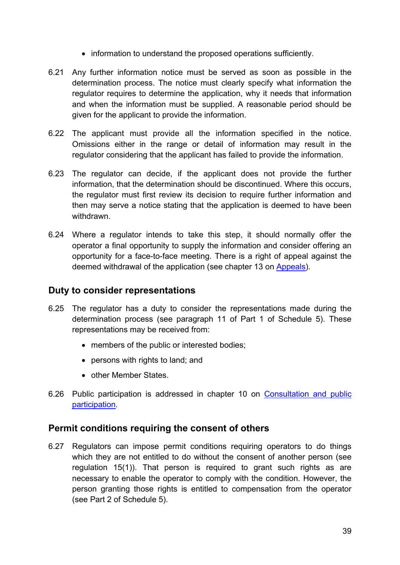- information to understand the proposed operations sufficiently.
- 6.21 Any further information notice must be served as soon as possible in the determination process. The notice must clearly specify what information the regulator requires to determine the application, why it needs that information and when the information must be supplied. A reasonable period should be given for the applicant to provide the information.
- 6.22 The applicant must provide all the information specified in the notice. Omissions either in the range or detail of information may result in the regulator considering that the applicant has failed to provide the information.
- 6.23 The regulator can decide, if the applicant does not provide the further information, that the determination should be discontinued. Where this occurs, the regulator must first review its decision to require further information and then may serve a notice stating that the application is deemed to have been withdrawn.
- 6.24 Where a regulator intends to take this step, it should normally offer the operator a final opportunity to supply the information and consider offering an opportunity for a face-to-face meeting. There is a right of appeal against the deemed withdrawal of the application (see chapter 13 on [Appeals\)](#page-72-0).

### **Duty to consider representations**

- 6.25 The regulator has a duty to consider the representations made during the determination process (see paragraph 11 of Part 1 of Schedule 5). These representations may be received from:
	- members of the public or interested bodies;
	- persons with rights to land; and
	- other Member States.
- 6.26 Public participation is addressed in chapter 10 on [Consultation and public](#page-61-0)  [participation.](#page-61-0)

### **Permit conditions requiring the consent of others**

6.27 Regulators can impose permit conditions requiring operators to do things which they are not entitled to do without the consent of another person (see regulation 15(1)). That person is required to grant such rights as are necessary to enable the operator to comply with the condition. However, the person granting those rights is entitled to compensation from the operator (see Part 2 of Schedule 5).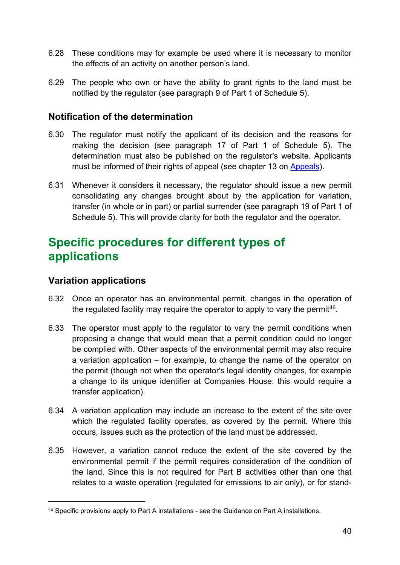- 6.28 These conditions may for example be used where it is necessary to monitor the effects of an activity on another person's land.
- 6.29 The people who own or have the ability to grant rights to the land must be notified by the regulator (see paragraph 9 of Part 1 of Schedule 5).

### **Notification of the determination**

- 6.30 The regulator must notify the applicant of its decision and the reasons for making the decision (see paragraph 17 of Part 1 of Schedule 5). The determination must also be published on the regulator's website. Applicants must be informed of their rights of appeal (see chapter 13 on [Appeals\)](#page-72-0).
- 6.31 Whenever it considers it necessary, the regulator should issue a new permit consolidating any changes brought about by the application for variation, transfer (in whole or in part) or partial surrender (see paragraph 19 of Part 1 of Schedule 5). This will provide clarity for both the regulator and the operator.

## **Specific procedures for different types of applications**

#### **Variation applications**

- 6.32 Once an operator has an environmental permit, changes in the operation of the regulated facility may require the operator to apply to vary the permit<sup>46</sup>.
- 6.33 The operator must apply to the regulator to vary the permit conditions when proposing a change that would mean that a permit condition could no longer be complied with. Other aspects of the environmental permit may also require a variation application – for example, to change the name of the operator on the permit (though not when the operator's legal identity changes, for example a change to its unique identifier at Companies House: this would require a transfer application).
- 6.34 A variation application may include an increase to the extent of the site over which the regulated facility operates, as covered by the permit. Where this occurs, issues such as the protection of the land must be addressed.
- 6.35 However, a variation cannot reduce the extent of the site covered by the environmental permit if the permit requires consideration of the condition of the land. Since this is not required for Part B activities other than one that relates to a waste operation (regulated for emissions to air only), or for stand-

<span id="page-39-0"></span><sup>46</sup> Specific provisions apply to Part A installations - see the Guidance on Part A installations.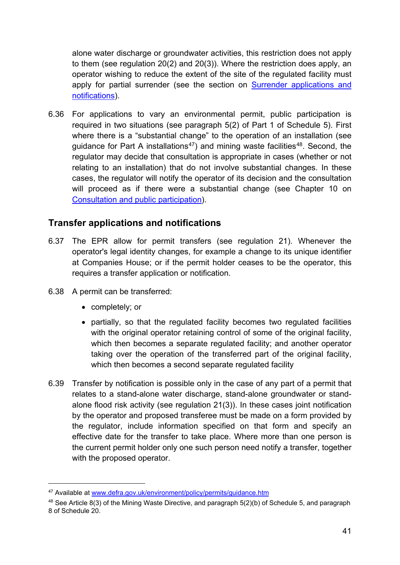alone water discharge or groundwater activities, this restriction does not apply to them (see regulation 20(2) and 20(3)). Where the restriction does apply, an operator wishing to reduce the extent of the site of the regulated facility must apply for partial surrender (see the section on Surrender applications and [notifications\)](#page-42-0).

6.36 For applications to vary an environmental permit, public participation is required in two situations (see paragraph 5(2) of Part 1 of Schedule 5). First where there is a "substantial change" to the operation of an installation (see quidance for Part A installations<sup>47</sup>) and mining waste facilities<sup>[48](#page-40-1)</sup>. Second, the regulator may decide that consultation is appropriate in cases (whether or not relating to an installation) that do not involve substantial changes. In these cases, the regulator will notify the operator of its decision and the consultation will proceed as if there were a substantial change (see Chapter 10 on [Consultation and public participation\)](#page-61-0).

### **Transfer applications and notifications**

- 6.37 The EPR allow for permit transfers (see regulation 21). Whenever the operator's legal identity changes, for example a change to its unique identifier at Companies House; or if the permit holder ceases to be the operator, this requires a transfer application or notification.
- 6.38 A permit can be transferred:
	- completely; or

- partially, so that the regulated facility becomes two regulated facilities with the original operator retaining control of some of the original facility, which then becomes a separate regulated facility; and another operator taking over the operation of the transferred part of the original facility, which then becomes a second separate regulated facility
- 6.39 Transfer by notification is possible only in the case of any part of a permit that relates to a stand-alone water discharge, stand-alone groundwater or standalone flood risk activity (see regulation 21(3)). In these cases joint notification by the operator and proposed transferee must be made on a form provided by the regulator, include information specified on that form and specify an effective date for the transfer to take place. Where more than one person is the current permit holder only one such person need notify a transfer, together with the proposed operator.

<span id="page-40-0"></span><sup>47</sup> Available at [www.defra.gov.uk/environment/policy/permits/guidance.htm](http://www.defra.gov.uk/environment/policy/permits/guidance.htm)

<span id="page-40-1"></span><sup>48</sup> See Article 8(3) of the Mining Waste Directive, and paragraph 5(2)(b) of Schedule 5, and paragraph 8 of Schedule 20.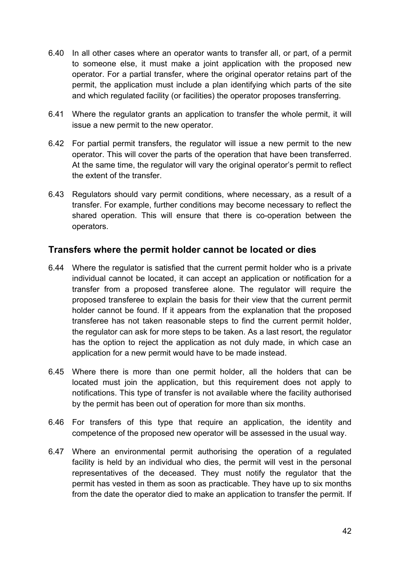- 6.40 In all other cases where an operator wants to transfer all, or part, of a permit to someone else, it must make a joint application with the proposed new operator. For a partial transfer, where the original operator retains part of the permit, the application must include a plan identifying which parts of the site and which regulated facility (or facilities) the operator proposes transferring.
- 6.41 Where the regulator grants an application to transfer the whole permit, it will issue a new permit to the new operator.
- 6.42 For partial permit transfers, the regulator will issue a new permit to the new operator. This will cover the parts of the operation that have been transferred. At the same time, the regulator will vary the original operator's permit to reflect the extent of the transfer.
- 6.43 Regulators should vary permit conditions, where necessary, as a result of a transfer. For example, further conditions may become necessary to reflect the shared operation. This will ensure that there is co-operation between the operators.

### <span id="page-41-0"></span>**Transfers where the permit holder cannot be located or dies**

- 6.44 Where the regulator is satisfied that the current permit holder who is a private individual cannot be located, it can accept an application or notification for a transfer from a proposed transferee alone. The regulator will require the proposed transferee to explain the basis for their view that the current permit holder cannot be found. If it appears from the explanation that the proposed transferee has not taken reasonable steps to find the current permit holder, the regulator can ask for more steps to be taken. As a last resort, the regulator has the option to reject the application as not duly made, in which case an application for a new permit would have to be made instead.
- 6.45 Where there is more than one permit holder, all the holders that can be located must join the application, but this requirement does not apply to notifications. This type of transfer is not available where the facility authorised by the permit has been out of operation for more than six months.
- 6.46 For transfers of this type that require an application, the identity and competence of the proposed new operator will be assessed in the usual way.
- 6.47 Where an environmental permit authorising the operation of a regulated facility is held by an individual who dies, the permit will vest in the personal representatives of the deceased. They must notify the regulator that the permit has vested in them as soon as practicable. They have up to six months from the date the operator died to make an application to transfer the permit. If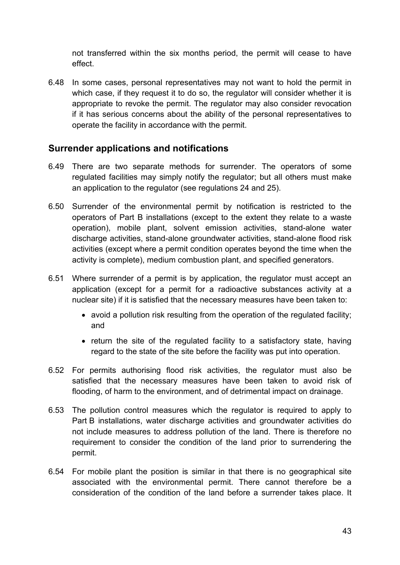not transferred within the six months period, the permit will cease to have effect.

6.48 In some cases, personal representatives may not want to hold the permit in which case, if they request it to do so, the regulator will consider whether it is appropriate to revoke the permit. The regulator may also consider revocation if it has serious concerns about the ability of the personal representatives to operate the facility in accordance with the permit.

### <span id="page-42-0"></span>**Surrender applications and notifications**

- 6.49 There are two separate methods for surrender. The operators of some regulated facilities may simply notify the regulator; but all others must make an application to the regulator (see regulations 24 and 25).
- 6.50 Surrender of the environmental permit by notification is restricted to the operators of Part B installations (except to the extent they relate to a waste operation), mobile plant, solvent emission activities, stand-alone water discharge activities, stand-alone groundwater activities, stand-alone flood risk activities (except where a permit condition operates beyond the time when the activity is complete), medium combustion plant, and specified generators.
- 6.51 Where surrender of a permit is by application, the regulator must accept an application (except for a permit for a radioactive substances activity at a nuclear site) if it is satisfied that the necessary measures have been taken to:
	- avoid a pollution risk resulting from the operation of the regulated facility; and
	- return the site of the regulated facility to a satisfactory state, having regard to the state of the site before the facility was put into operation.
- 6.52 For permits authorising flood risk activities, the regulator must also be satisfied that the necessary measures have been taken to avoid risk of flooding, of harm to the environment, and of detrimental impact on drainage.
- 6.53 The pollution control measures which the regulator is required to apply to Part B installations, water discharge activities and groundwater activities do not include measures to address pollution of the land. There is therefore no requirement to consider the condition of the land prior to surrendering the permit.
- 6.54 For mobile plant the position is similar in that there is no geographical site associated with the environmental permit. There cannot therefore be a consideration of the condition of the land before a surrender takes place. It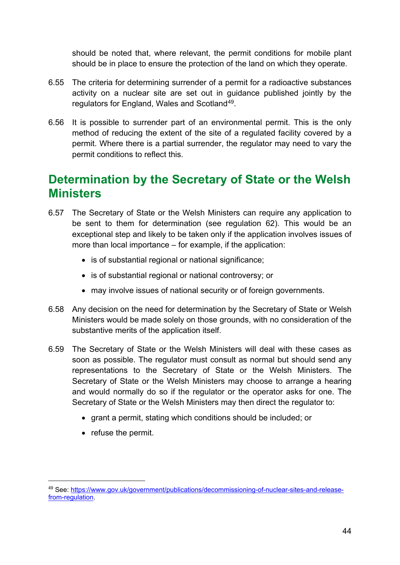should be noted that, where relevant, the permit conditions for mobile plant should be in place to ensure the protection of the land on which they operate.

- 6.55 The criteria for determining surrender of a permit for a radioactive substances activity on a nuclear site are set out in guidance published jointly by the regulators for England, Wales and Scotland<sup>[49](#page-43-0)</sup>.
- 6.56 It is possible to surrender part of an environmental permit. This is the only method of reducing the extent of the site of a regulated facility covered by a permit. Where there is a partial surrender, the regulator may need to vary the permit conditions to reflect this.

## **Determination by the Secretary of State or the Welsh Ministers**

- 6.57 The Secretary of State or the Welsh Ministers can require any application to be sent to them for determination (see regulation 62). This would be an exceptional step and likely to be taken only if the application involves issues of more than local importance – for example, if the application:
	- is of substantial regional or national significance;
	- is of substantial regional or national controversy; or
	- may involve issues of national security or of foreign governments.
- 6.58 Any decision on the need for determination by the Secretary of State or Welsh Ministers would be made solely on those grounds, with no consideration of the substantive merits of the application itself.
- 6.59 The Secretary of State or the Welsh Ministers will deal with these cases as soon as possible. The regulator must consult as normal but should send any representations to the Secretary of State or the Welsh Ministers. The Secretary of State or the Welsh Ministers may choose to arrange a hearing and would normally do so if the regulator or the operator asks for one. The Secretary of State or the Welsh Ministers may then direct the regulator to:
	- grant a permit, stating which conditions should be included; or
	- refuse the permit.

<span id="page-43-0"></span><sup>49</sup> See: [https://www.gov.uk/government/publications/decommissioning-of-nuclear-sites-and-release](https://www.gov.uk/government/publications/decommissioning-of-nuclear-sites-and-release-from-regulation)[from-regulation.](https://www.gov.uk/government/publications/decommissioning-of-nuclear-sites-and-release-from-regulation)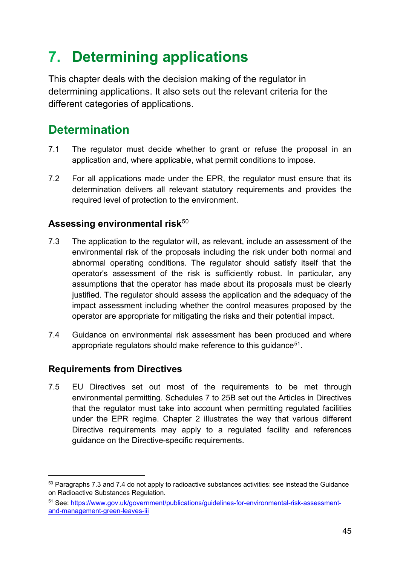# **7. Determining applications**

This chapter deals with the decision making of the regulator in determining applications. It also sets out the relevant criteria for the different categories of applications.

# **Determination**

- 7.1 The regulator must decide whether to grant or refuse the proposal in an application and, where applicable, what permit conditions to impose.
- 7.2 For all applications made under the EPR, the regulator must ensure that its determination delivers all relevant statutory requirements and provides the required level of protection to the environment.

### Assessing environmental risk<sup>[50](#page-44-0)</sup>

- 7.3 The application to the regulator will, as relevant, include an assessment of the environmental risk of the proposals including the risk under both normal and abnormal operating conditions. The regulator should satisfy itself that the operator's assessment of the risk is sufficiently robust. In particular, any assumptions that the operator has made about its proposals must be clearly justified. The regulator should assess the application and the adequacy of the impact assessment including whether the control measures proposed by the operator are appropriate for mitigating the risks and their potential impact.
- 7.4 Guidance on environmental risk assessment has been produced and where appropriate regulators should make reference to this guidance<sup>[51](#page-44-1)</sup>.

### <span id="page-44-2"></span>**Requirements from Directives**

-

7.5 EU Directives set out most of the requirements to be met through environmental permitting. Schedules 7 to 25B set out the Articles in Directives that the regulator must take into account when permitting regulated facilities under the EPR regime. Chapter 2 illustrates the way that various different Directive requirements may apply to a regulated facility and references guidance on the Directive-specific requirements.

<span id="page-44-0"></span><sup>50</sup> Paragraphs 7.3 and 7.4 do not apply to radioactive substances activities: see instead the Guidance on Radioactive Substances Regulation.

<span id="page-44-1"></span><sup>51</sup> See: [https://www.gov.uk/government/publications/guidelines-for-environmental-risk-assessment](https://www.gov.uk/government/publications/guidelines-for-environmental-risk-assessment-and-management-green-leaves-iii)[and-management-green-leaves-iii](https://www.gov.uk/government/publications/guidelines-for-environmental-risk-assessment-and-management-green-leaves-iii)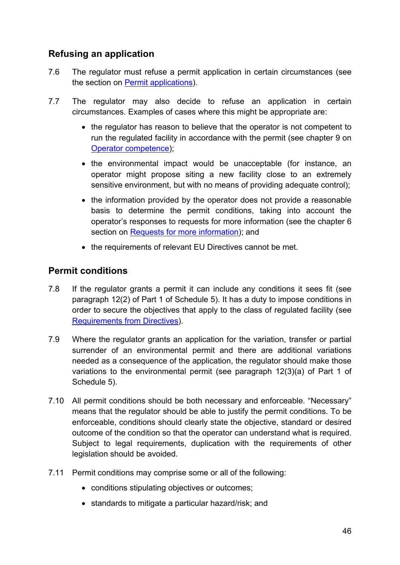### **Refusing an application**

- 7.6 The regulator must refuse a permit application in certain circumstances (see the section on [Permit applications\)](#page-46-0).
- 7.7 The regulator may also decide to refuse an application in certain circumstances. Examples of cases where this might be appropriate are:
	- the regulator has reason to believe that the operator is not competent to run the regulated facility in accordance with the permit (see chapter 9 on [Operator competence\)](#page-54-0);
	- the environmental impact would be unacceptable (for instance, an operator might propose siting a new facility close to an extremely sensitive environment, but with no means of providing adequate control);
	- the information provided by the operator does not provide a reasonable basis to determine the permit conditions, taking into account the operator's responses to requests for more information (see the chapter 6 section on [Requests for more information\)](#page-37-2); and
	- the requirements of relevant EU Directives cannot be met.

### **Permit conditions**

- 7.8 If the regulator grants a permit it can include any conditions it sees fit (see paragraph 12(2) of Part 1 of Schedule 5). It has a duty to impose conditions in order to secure the objectives that apply to the class of regulated facility (see [Requirements from Directives\)](#page-44-2).
- 7.9 Where the regulator grants an application for the variation, transfer or partial surrender of an environmental permit and there are additional variations needed as a consequence of the application, the regulator should make those variations to the environmental permit (see paragraph 12(3)(a) of Part 1 of Schedule 5).
- 7.10 All permit conditions should be both necessary and enforceable. "Necessary" means that the regulator should be able to justify the permit conditions. To be enforceable, conditions should clearly state the objective, standard or desired outcome of the condition so that the operator can understand what is required. Subject to legal requirements, duplication with the requirements of other legislation should be avoided.
- 7.11 Permit conditions may comprise some or all of the following:
	- conditions stipulating objectives or outcomes;
	- standards to mitigate a particular hazard/risk; and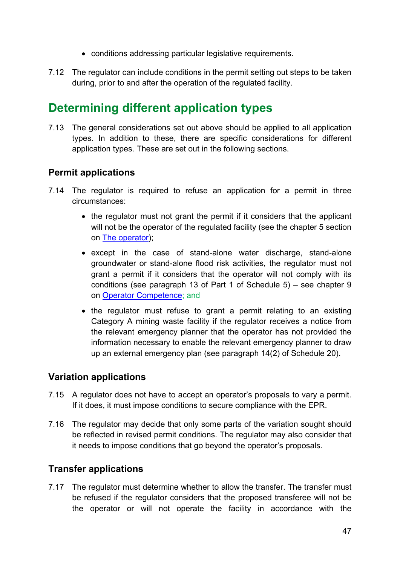- conditions addressing particular legislative requirements.
- 7.12 The regulator can include conditions in the permit setting out steps to be taken during, prior to and after the operation of the regulated facility.

## **Determining different application types**

7.13 The general considerations set out above should be applied to all application types. In addition to these, there are specific considerations for different application types. These are set out in the following sections.

### <span id="page-46-0"></span>**Permit applications**

- 7.14 The regulator is required to refuse an application for a permit in three circumstances:
	- the regulator must not grant the permit if it considers that the applicant will not be the operator of the regulated facility (see the chapter 5 section on [The operator\)](#page-28-0);
	- except in the case of stand-alone water discharge, stand-alone groundwater or stand-alone flood risk activities, the regulator must not grant a permit if it considers that the operator will not comply with its conditions (see paragraph 13 of Part 1 of Schedule 5) – see chapter 9 on [Operator Competence;](#page-54-0) and
	- the regulator must refuse to grant a permit relating to an existing Category A mining waste facility if the regulator receives a notice from the relevant emergency planner that the operator has not provided the information necessary to enable the relevant emergency planner to draw up an external emergency plan (see paragraph 14(2) of Schedule 20).

### **Variation applications**

- 7.15 A regulator does not have to accept an operator's proposals to vary a permit. If it does, it must impose conditions to secure compliance with the EPR.
- 7.16 The regulator may decide that only some parts of the variation sought should be reflected in revised permit conditions. The regulator may also consider that it needs to impose conditions that go beyond the operator's proposals.

## **Transfer applications**

7.17 The regulator must determine whether to allow the transfer. The transfer must be refused if the regulator considers that the proposed transferee will not be the operator or will not operate the facility in accordance with the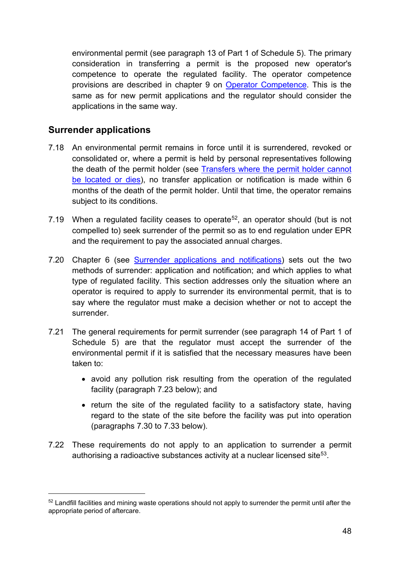environmental permit (see paragraph 13 of Part 1 of Schedule 5). The primary consideration in transferring a permit is the proposed new operator's competence to operate the regulated facility. The operator competence provisions are described in chapter 9 on [Operator Competence.](#page-54-0) This is the same as for new permit applications and the regulator should consider the applications in the same way.

### **Surrender applications**

- 7.18 An environmental permit remains in force until it is surrendered, revoked or consolidated or, where a permit is held by personal representatives following the death of the permit holder (see [Transfers where the permit holder cannot](#page-41-0)  [be located or dies\)](#page-41-0), no transfer application or notification is made within 6 months of the death of the permit holder. Until that time, the operator remains subject to its conditions.
- 7.19 When a regulated facility ceases to operate<sup>52</sup>, an operator should (but is not compelled to) seek surrender of the permit so as to end regulation under EPR and the requirement to pay the associated annual charges.
- 7.20 Chapter 6 (see [Surrender applications and notifications\)](#page-42-0) sets out the two methods of surrender: application and notification; and which applies to what type of regulated facility. This section addresses only the situation where an operator is required to apply to surrender its environmental permit, that is to say where the regulator must make a decision whether or not to accept the surrender.
- 7.21 The general requirements for permit surrender (see paragraph 14 of Part 1 of Schedule 5) are that the regulator must accept the surrender of the environmental permit if it is satisfied that the necessary measures have been taken to:
	- avoid any pollution risk resulting from the operation of the regulated facility (paragraph 7.23 below); and
	- return the site of the regulated facility to a satisfactory state, having regard to the state of the site before the facility was put into operation (paragraphs 7.30 to 7.33 below).
- <span id="page-47-1"></span>7.22 These requirements do not apply to an application to surrender a permit authorising a radioactive substances activity at a nuclear licensed site<sup>[53](#page-47-1)</sup>.

<span id="page-47-0"></span><sup>&</sup>lt;sup>52</sup> Landfill facilities and mining waste operations should not apply to surrender the permit until after the appropriate period of aftercare.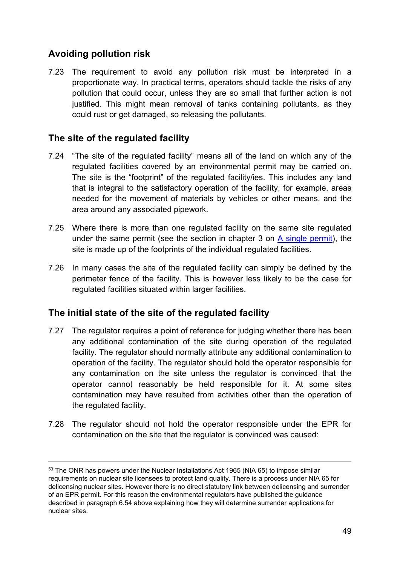## **Avoiding pollution risk**

-

7.23 The requirement to avoid any pollution risk must be interpreted in a proportionate way. In practical terms, operators should tackle the risks of any pollution that could occur, unless they are so small that further action is not justified. This might mean removal of tanks containing pollutants, as they could rust or get damaged, so releasing the pollutants.

### **The site of the regulated facility**

- 7.24 "The site of the regulated facility" means all of the land on which any of the regulated facilities covered by an environmental permit may be carried on. The site is the "footprint" of the regulated facility/ies. This includes any land that is integral to the satisfactory operation of the facility, for example, areas needed for the movement of materials by vehicles or other means, and the area around any associated pipework.
- 7.25 Where there is more than one regulated facility on the same site regulated under the same permit (see the section in chapter 3 on [A single permit\)](#page-21-0), the site is made up of the footprints of the individual regulated facilities.
- 7.26 In many cases the site of the regulated facility can simply be defined by the perimeter fence of the facility. This is however less likely to be the case for regulated facilities situated within larger facilities.

### **The initial state of the site of the regulated facility**

- 7.27 The regulator requires a point of reference for judging whether there has been any additional contamination of the site during operation of the regulated facility. The regulator should normally attribute any additional contamination to operation of the facility. The regulator should hold the operator responsible for any contamination on the site unless the regulator is convinced that the operator cannot reasonably be held responsible for it. At some sites contamination may have resulted from activities other than the operation of the regulated facility.
- 7.28 The regulator should not hold the operator responsible under the EPR for contamination on the site that the regulator is convinced was caused:

<sup>&</sup>lt;sup>53</sup> The ONR has powers under the Nuclear Installations Act 1965 (NIA 65) to impose similar requirements on nuclear site licensees to protect land quality. There is a process under NIA 65 for delicensing nuclear sites. However there is no direct statutory link between delicensing and surrender of an EPR permit. For this reason the environmental regulators have published the guidance described in paragraph 6.54 above explaining how they will determine surrender applications for nuclear sites.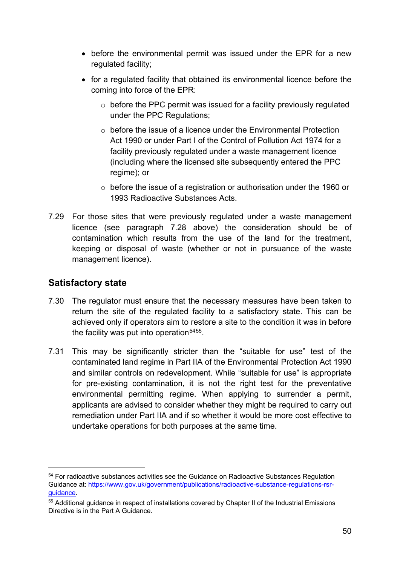- before the environmental permit was issued under the EPR for a new regulated facility;
- for a regulated facility that obtained its environmental licence before the coming into force of the EPR:
	- $\circ$  before the PPC permit was issued for a facility previously regulated under the PPC Regulations;
	- $\circ$  before the issue of a licence under the Environmental Protection Act 1990 or under Part I of the Control of Pollution Act 1974 for a facility previously regulated under a waste management licence (including where the licensed site subsequently entered the PPC regime); or
	- o before the issue of a registration or authorisation under the 1960 or 1993 Radioactive Substances Acts.
- 7.29 For those sites that were previously regulated under a waste management licence (see paragraph 7.28 above) the consideration should be of contamination which results from the use of the land for the treatment, keeping or disposal of waste (whether or not in pursuance of the waste management licence).

### **Satisfactory state**

- 7.30 The regulator must ensure that the necessary measures have been taken to return the site of the regulated facility to a satisfactory state. This can be achieved only if operators aim to restore a site to the condition it was in before the facility was put into operation<sup>[54](#page-49-0)[55](#page-49-1)</sup>.
- 7.31 This may be significantly stricter than the "suitable for use" test of the contaminated land regime in Part IIA of the Environmental Protection Act 1990 and similar controls on redevelopment. While "suitable for use" is appropriate for pre-existing contamination, it is not the right test for the preventative environmental permitting regime. When applying to surrender a permit, applicants are advised to consider whether they might be required to carry out remediation under Part IIA and if so whether it would be more cost effective to undertake operations for both purposes at the same time.

<span id="page-49-0"></span><sup>&</sup>lt;sup>54</sup> For radioactive substances activities see the Guidance on Radioactive Substances Regulation Guidance at: [https://www.gov.uk/government/publications/radioactive-substance-regulations-rsr](https://www.gov.uk/government/publications/radioactive-substance-regulations-rsr-guidance)[guidance.](https://www.gov.uk/government/publications/radioactive-substance-regulations-rsr-guidance)

<span id="page-49-1"></span><sup>55</sup> Additional guidance in respect of installations covered by Chapter II of the Industrial Emissions Directive is in the Part A Guidance.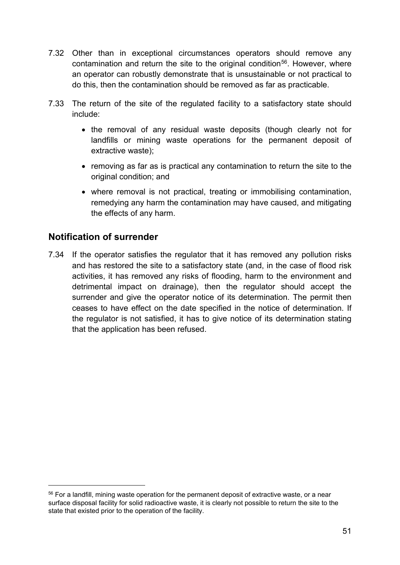- 7.32 Other than in exceptional circumstances operators should remove any contamination and return the site to the original condition<sup>56</sup>. However, where an operator can robustly demonstrate that is unsustainable or not practical to do this, then the contamination should be removed as far as practicable.
- 7.33 The return of the site of the regulated facility to a satisfactory state should include:
	- the removal of any residual waste deposits (though clearly not for landfills or mining waste operations for the permanent deposit of extractive waste);
	- removing as far as is practical any contamination to return the site to the original condition; and
	- where removal is not practical, treating or immobilising contamination, remedying any harm the contamination may have caused, and mitigating the effects of any harm.

### **Notification of surrender**

-

7.34 If the operator satisfies the regulator that it has removed any pollution risks and has restored the site to a satisfactory state (and, in the case of flood risk activities, it has removed any risks of flooding, harm to the environment and detrimental impact on drainage), then the regulator should accept the surrender and give the operator notice of its determination. The permit then ceases to have effect on the date specified in the notice of determination. If the regulator is not satisfied, it has to give notice of its determination stating that the application has been refused.

<span id="page-50-0"></span><sup>&</sup>lt;sup>56</sup> For a landfill, mining waste operation for the permanent deposit of extractive waste, or a near surface disposal facility for solid radioactive waste, it is clearly not possible to return the site to the state that existed prior to the operation of the facility.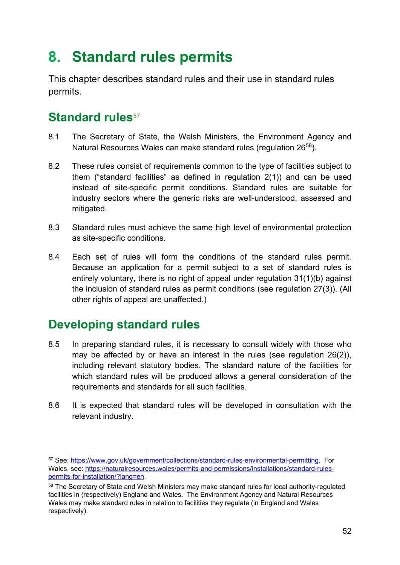# <span id="page-51-2"></span>**8. Standard rules permits**

This chapter describes standard rules and their use in standard rules permits.

## **Standard rules**<sup>[57](#page-51-0)</sup>

- 8.1 The Secretary of State, the Welsh Ministers, the Environment Agency and Natural Resources Wales can make standard rules (regulation 26<sup>[58](#page-51-1)</sup>).
- 8.2 These rules consist of requirements common to the type of facilities subject to them ("standard facilities" as defined in regulation 2(1)) and can be used instead of site-specific permit conditions. Standard rules are suitable for industry sectors where the generic risks are well-understood, assessed and mitigated.
- 8.3 Standard rules must achieve the same high level of environmental protection as site-specific conditions.
- 8.4 Each set of rules will form the conditions of the standard rules permit. Because an application for a permit subject to a set of standard rules is entirely voluntary, there is no right of appeal under regulation 31(1)(b) against the inclusion of standard rules as permit conditions (see regulation 27(3)). (All other rights of appeal are unaffected.)

## **Developing standard rules**

- 8.5 In preparing standard rules, it is necessary to consult widely with those who may be affected by or have an interest in the rules (see regulation 26(2)), including relevant statutory bodies. The standard nature of the facilities for which standard rules will be produced allows a general consideration of the requirements and standards for all such facilities.
- 8.6 It is expected that standard rules will be developed in consultation with the relevant industry.

<span id="page-51-0"></span><sup>57</sup> See: [https://www.gov.uk/government/collections/standard-rules-environmental-permitting.](https://www.gov.uk/government/collections/standard-rules-environmental-permitting) For Wales, see: [https://naturalresources.wales/permits-and-permissions/installations/standard-rules](https://naturalresources.wales/permits-and-permissions/installations/standard-rules-permits-for-installation/?lang=en)[permits-for-installation/?lang=en.](https://naturalresources.wales/permits-and-permissions/installations/standard-rules-permits-for-installation/?lang=en)

<span id="page-51-1"></span><sup>58</sup> The Secretary of State and Welsh Ministers may make standard rules for local authority-regulated facilities in (respectively) England and Wales. The Environment Agency and Natural Resources Wales may make standard rules in relation to facilities they regulate (in England and Wales respectively).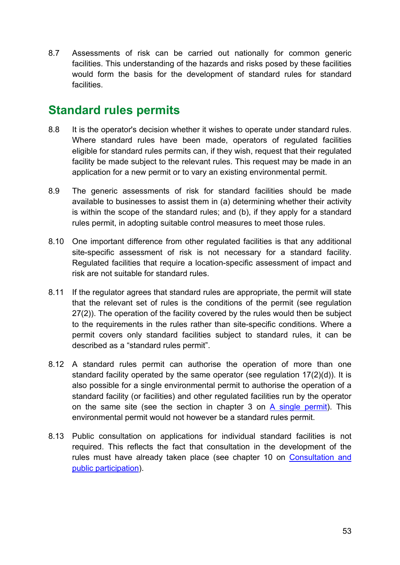8.7 Assessments of risk can be carried out nationally for common generic facilities. This understanding of the hazards and risks posed by these facilities would form the basis for the development of standard rules for standard facilities.

## **Standard rules permits**

- 8.8 It is the operator's decision whether it wishes to operate under standard rules. Where standard rules have been made, operators of regulated facilities eligible for standard rules permits can, if they wish, request that their regulated facility be made subject to the relevant rules. This request may be made in an application for a new permit or to vary an existing environmental permit.
- 8.9 The generic assessments of risk for standard facilities should be made available to businesses to assist them in (a) determining whether their activity is within the scope of the standard rules; and (b), if they apply for a standard rules permit, in adopting suitable control measures to meet those rules.
- 8.10 One important difference from other regulated facilities is that any additional site-specific assessment of risk is not necessary for a standard facility. Regulated facilities that require a location-specific assessment of impact and risk are not suitable for standard rules.
- 8.11 If the regulator agrees that standard rules are appropriate, the permit will state that the relevant set of rules is the conditions of the permit (see regulation 27(2)). The operation of the facility covered by the rules would then be subject to the requirements in the rules rather than site-specific conditions. Where a permit covers only standard facilities subject to standard rules, it can be described as a "standard rules permit".
- 8.12 A standard rules permit can authorise the operation of more than one standard facility operated by the same operator (see regulation 17(2)(d)). It is also possible for a single environmental permit to authorise the operation of a standard facility (or facilities) and other regulated facilities run by the operator on the same site (see the section in chapter 3 on [A single permit\)](#page-21-0). This environmental permit would not however be a standard rules permit.
- 8.13 Public consultation on applications for individual standard facilities is not required. This reflects the fact that consultation in the development of the rules must have already taken place (see chapter 10 on [Consultation and](#page-61-0)  [public participation\)](#page-61-0).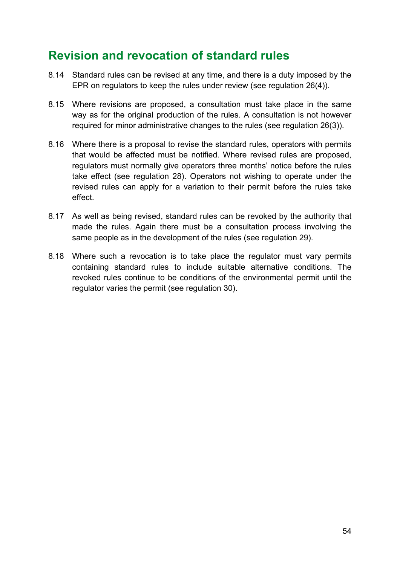## **Revision and revocation of standard rules**

- 8.14 Standard rules can be revised at any time, and there is a duty imposed by the EPR on regulators to keep the rules under review (see regulation 26(4)).
- 8.15 Where revisions are proposed, a consultation must take place in the same way as for the original production of the rules. A consultation is not however required for minor administrative changes to the rules (see regulation 26(3)).
- 8.16 Where there is a proposal to revise the standard rules, operators with permits that would be affected must be notified. Where revised rules are proposed, regulators must normally give operators three months' notice before the rules take effect (see regulation 28). Operators not wishing to operate under the revised rules can apply for a variation to their permit before the rules take effect.
- 8.17 As well as being revised, standard rules can be revoked by the authority that made the rules. Again there must be a consultation process involving the same people as in the development of the rules (see regulation 29).
- 8.18 Where such a revocation is to take place the regulator must vary permits containing standard rules to include suitable alternative conditions. The revoked rules continue to be conditions of the environmental permit until the regulator varies the permit (see regulation 30).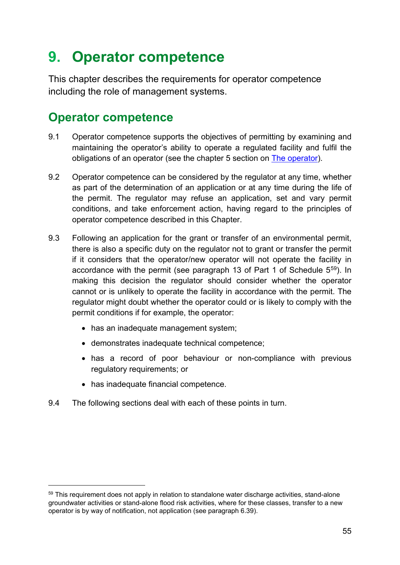# <span id="page-54-0"></span>**9. Operator competence**

This chapter describes the requirements for operator competence including the role of management systems.

## **Operator competence**

- 9.1 Operator competence supports the objectives of permitting by examining and maintaining the operator's ability to operate a regulated facility and fulfil the obligations of an operator (see the chapter 5 section on [The operator\)](#page-28-0).
- 9.2 Operator competence can be considered by the regulator at any time, whether as part of the determination of an application or at any time during the life of the permit. The regulator may refuse an application, set and vary permit conditions, and take enforcement action, having regard to the principles of operator competence described in this Chapter.
- 9.3 Following an application for the grant or transfer of an environmental permit, there is also a specific duty on the regulator not to grant or transfer the permit if it considers that the operator/new operator will not operate the facility in accordance with the permit (see paragraph 13 of Part 1 of Schedule 5[59](#page-54-1)). In making this decision the regulator should consider whether the operator cannot or is unlikely to operate the facility in accordance with the permit. The regulator might doubt whether the operator could or is likely to comply with the permit conditions if for example, the operator:
	- has an inadequate management system:
	- demonstrates inadequate technical competence;
	- has a record of poor behaviour or non-compliance with previous regulatory requirements; or
	- has inadequate financial competence.

-

9.4 The following sections deal with each of these points in turn.

<span id="page-54-1"></span><sup>&</sup>lt;sup>59</sup> This requirement does not apply in relation to standalone water discharge activities, stand-alone groundwater activities or stand-alone flood risk activities, where for these classes, transfer to a new operator is by way of notification, not application (see paragraph 6.39).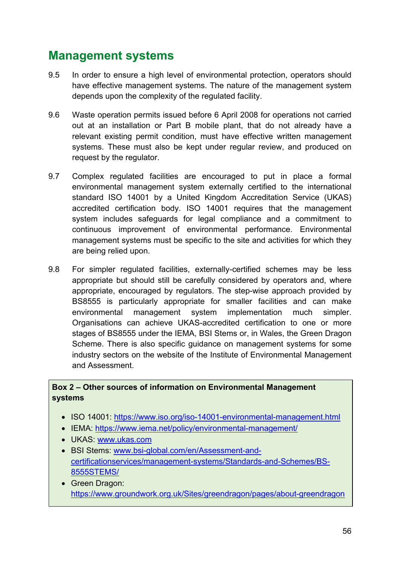## **Management systems**

- 9.5 In order to ensure a high level of environmental protection, operators should have effective management systems. The nature of the management system depends upon the complexity of the regulated facility.
- 9.6 Waste operation permits issued before 6 April 2008 for operations not carried out at an installation or Part B mobile plant, that do not already have a relevant existing permit condition, must have effective written management systems. These must also be kept under regular review, and produced on request by the regulator.
- 9.7 Complex regulated facilities are encouraged to put in place a formal environmental management system externally certified to the international standard ISO 14001 by a United Kingdom Accreditation Service (UKAS) accredited certification body. ISO 14001 requires that the management system includes safeguards for legal compliance and a commitment to continuous improvement of environmental performance. Environmental management systems must be specific to the site and activities for which they are being relied upon.
- 9.8 For simpler regulated facilities, externally-certified schemes may be less appropriate but should still be carefully considered by operators and, where appropriate, encouraged by regulators. The step-wise approach provided by BS8555 is particularly appropriate for smaller facilities and can make environmental management system implementation much simpler. Organisations can achieve UKAS-accredited certification to one or more stages of BS8555 under the IEMA, BSI Stems or, in Wales, the Green Dragon Scheme. There is also specific quidance on management systems for some industry sectors on the website of the Institute of Environmental Management and Assessment.

#### **Box 2 – Other sources of information on Environmental Management systems**

- ISO 14001:<https://www.iso.org/iso-14001-environmental-management.html>
- IEMA: https://www.iema.net/policy/environmental-management/
- UKAS: [www.ukas.com](http://www.ukas.com/)
- BSI Stems: [www.bsi-global.com/en/Assessment-and](http://www.bsi-global.com/en/Assessment-and-certificationservices/management-systems/Standards-and-Schemes/BS-8555STEMS/)[certificationservices/management-systems/Standards-and-Schemes/BS-](http://www.bsi-global.com/en/Assessment-and-certificationservices/management-systems/Standards-and-Schemes/BS-8555STEMS/)[8555STEMS/](http://www.bsi-global.com/en/Assessment-and-certificationservices/management-systems/Standards-and-Schemes/BS-8555STEMS/)
- Green Dragon: <https://www.groundwork.org.uk/Sites/greendragon/pages/about-greendragon>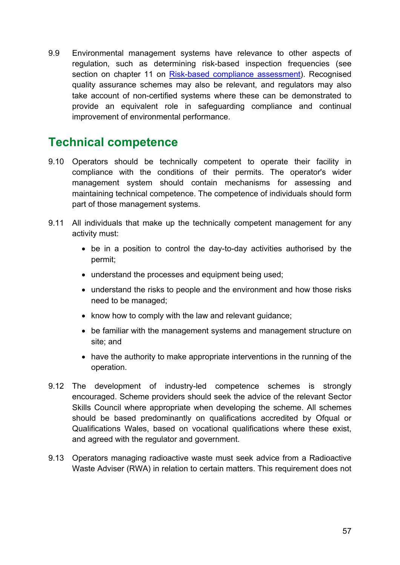9.9 Environmental management systems have relevance to other aspects of regulation, such as determining risk-based inspection frequencies (see section on chapter 11 on [Risk-based compliance assessment\)](#page-64-0). Recognised quality assurance schemes may also be relevant, and regulators may also take account of non-certified systems where these can be demonstrated to provide an equivalent role in safeguarding compliance and continual improvement of environmental performance.

## **Technical competence**

- 9.10 Operators should be technically competent to operate their facility in compliance with the conditions of their permits. The operator's wider management system should contain mechanisms for assessing and maintaining technical competence. The competence of individuals should form part of those management systems.
- 9.11 All individuals that make up the technically competent management for any activity must:
	- be in a position to control the day-to-day activities authorised by the permit;
	- understand the processes and equipment being used;
	- understand the risks to people and the environment and how those risks need to be managed;
	- know how to comply with the law and relevant guidance;
	- be familiar with the management systems and management structure on site; and
	- have the authority to make appropriate interventions in the running of the operation.
- 9.12 The development of industry-led competence schemes is strongly encouraged. Scheme providers should seek the advice of the relevant Sector Skills Council where appropriate when developing the scheme. All schemes should be based predominantly on qualifications accredited by Ofqual or Qualifications Wales, based on vocational qualifications where these exist, and agreed with the regulator and government.
- 9.13 Operators managing radioactive waste must seek advice from a Radioactive Waste Adviser (RWA) in relation to certain matters. This requirement does not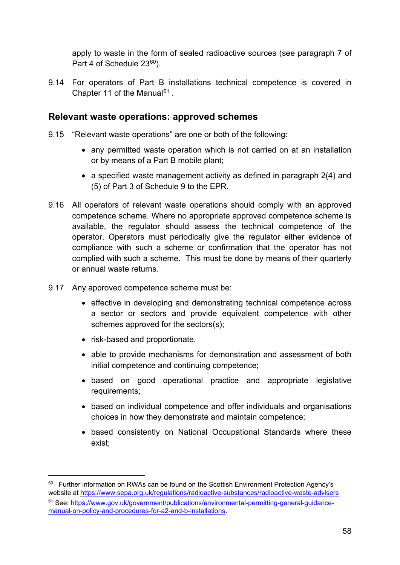apply to waste in the form of sealed radioactive sources (see paragraph 7 of Part 4 of Schedule 23<sup>[60](#page-57-0)</sup>).

9.14 For operators of Part B installations technical competence is covered in Chapter 11 of the Manual<sup>[61](#page-57-1)</sup>.

#### **Relevant waste operations: approved schemes**

- 9.15 "Relevant waste operations" are one or both of the following:
	- any permitted waste operation which is not carried on at an installation or by means of a Part B mobile plant;
	- a specified waste management activity as defined in paragraph 2(4) and (5) of Part 3 of Schedule 9 to the EPR.
- 9.16 All operators of relevant waste operations should comply with an approved competence scheme. Where no appropriate approved competence scheme is available, the regulator should assess the technical competence of the operator. Operators must periodically give the regulator either evidence of compliance with such a scheme or confirmation that the operator has not complied with such a scheme. This must be done by means of their quarterly or annual waste returns.
- 9.17 Any approved competence scheme must be:
	- effective in developing and demonstrating technical competence across a sector or sectors and provide equivalent competence with other schemes approved for the sectors(s);
	- risk-based and proportionate.

- able to provide mechanisms for demonstration and assessment of both initial competence and continuing competence;
- based on good operational practice and appropriate legislative requirements;
- based on individual competence and offer individuals and organisations choices in how they demonstrate and maintain competence;
- based consistently on National Occupational Standards where these exist;

<span id="page-57-1"></span><span id="page-57-0"></span><sup>&</sup>lt;sup>60</sup> Further information on RWAs can be found on the Scottish Environment Protection Agency's website at<https://www.sepa.org.uk/regulations/radioactive-substances/radioactive-waste-advisers> <sup>61</sup> See: [https://www.gov.uk/government/publications/environmental-permitting-general-guidance](https://www.gov.uk/government/publications/environmental-permitting-general-guidance-manual-on-policy-and-procedures-for-a2-and-b-installations)[manual-on-policy-and-procedures-for-a2-and-b-installations.](https://www.gov.uk/government/publications/environmental-permitting-general-guidance-manual-on-policy-and-procedures-for-a2-and-b-installations)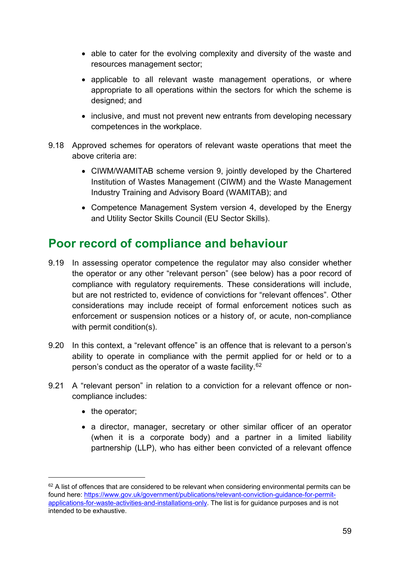- able to cater for the evolving complexity and diversity of the waste and resources management sector;
- applicable to all relevant waste management operations, or where appropriate to all operations within the sectors for which the scheme is designed; and
- inclusive, and must not prevent new entrants from developing necessary competences in the workplace.
- 9.18 Approved schemes for operators of relevant waste operations that meet the above criteria are:
	- CIWM/WAMITAB scheme version 9, jointly developed by the Chartered Institution of Wastes Management (CIWM) and the Waste Management Industry Training and Advisory Board (WAMITAB); and
	- Competence Management System version 4, developed by the Energy and Utility Sector Skills Council (EU Sector Skills).

## **Poor record of compliance and behaviour**

- 9.19 In assessing operator competence the regulator may also consider whether the operator or any other "relevant person" (see below) has a poor record of compliance with regulatory requirements. These considerations will include, but are not restricted to, evidence of convictions for "relevant offences". Other considerations may include receipt of formal enforcement notices such as enforcement or suspension notices or a history of, or acute, non-compliance with permit condition(s).
- 9.20 In this context, a "relevant offence" is an offence that is relevant to a person's ability to operate in compliance with the permit applied for or held or to a person's conduct as the operator of a waste facility.[62](#page-58-0)
- 9.21 A "relevant person" in relation to a conviction for a relevant offence or noncompliance includes:
	- the operator:

-

• a director, manager, secretary or other similar officer of an operator (when it is a corporate body) and a partner in a limited liability partnership (LLP), who has either been convicted of a relevant offence

<span id="page-58-0"></span><sup>&</sup>lt;sup>62</sup> A list of offences that are considered to be relevant when considering environmental permits can be found here: [https://www.gov.uk/government/publications/relevant-conviction-guidance-for-permit](https://www.gov.uk/government/publications/relevant-conviction-guidance-for-permit-applications-for-waste-activities-and-installations-only)[applications-for-waste-activities-and-installations-only.](https://www.gov.uk/government/publications/relevant-conviction-guidance-for-permit-applications-for-waste-activities-and-installations-only) The list is for guidance purposes and is not intended to be exhaustive.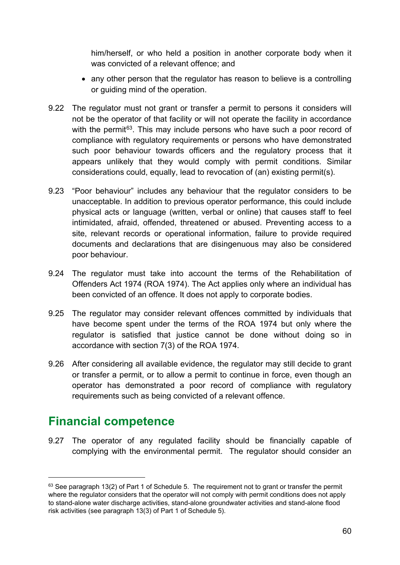him/herself, or who held a position in another corporate body when it was convicted of a relevant offence; and

- any other person that the regulator has reason to believe is a controlling or guiding mind of the operation.
- 9.22 The regulator must not grant or transfer a permit to persons it considers will not be the operator of that facility or will not operate the facility in accordance with the permit<sup>[63](#page-59-0)</sup>. This may include persons who have such a poor record of compliance with regulatory requirements or persons who have demonstrated such poor behaviour towards officers and the regulatory process that it appears unlikely that they would comply with permit conditions. Similar considerations could, equally, lead to revocation of (an) existing permit(s).
- 9.23 "Poor behaviour" includes any behaviour that the regulator considers to be unacceptable. In addition to previous operator performance, this could include physical acts or language (written, verbal or online) that causes staff to feel intimidated, afraid, offended, threatened or abused. Preventing access to a site, relevant records or operational information, failure to provide required documents and declarations that are disingenuous may also be considered poor behaviour.
- 9.24 The regulator must take into account the terms of the Rehabilitation of Offenders Act 1974 (ROA 1974). The Act applies only where an individual has been convicted of an offence. It does not apply to corporate bodies.
- 9.25 The regulator may consider relevant offences committed by individuals that have become spent under the terms of the ROA 1974 but only where the regulator is satisfied that justice cannot be done without doing so in accordance with section 7(3) of the ROA 1974.
- 9.26 After considering all available evidence, the regulator may still decide to grant or transfer a permit, or to allow a permit to continue in force, even though an operator has demonstrated a poor record of compliance with regulatory requirements such as being convicted of a relevant offence.

## **Financial competence**

-

9.27 The operator of any regulated facility should be financially capable of complying with the environmental permit. The regulator should consider an

<span id="page-59-0"></span> $63$  See paragraph 13(2) of Part 1 of Schedule 5. The requirement not to grant or transfer the permit where the regulator considers that the operator will not comply with permit conditions does not apply to stand-alone water discharge activities, stand-alone groundwater activities and stand-alone flood risk activities (see paragraph 13(3) of Part 1 of Schedule 5).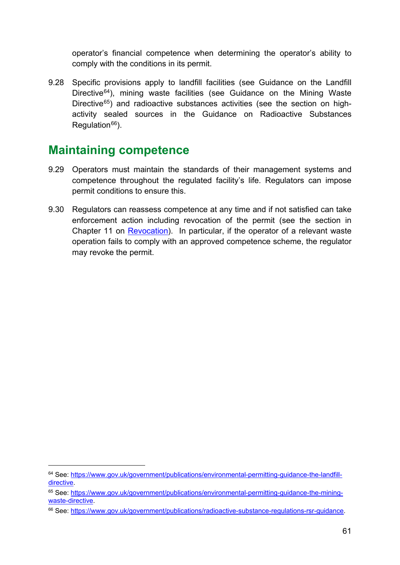operator's financial competence when determining the operator's ability to comply with the conditions in its permit.

9.28 Specific provisions apply to landfill facilities (see Guidance on the Landfill Directive<sup>[64](#page-60-0)</sup>), mining waste facilities (see Guidance on the Mining Waste Directive $65$ ) and radioactive substances activities (see the section on highactivity sealed sources in the Guidance on Radioactive Substances Regulation $66$ ).

## **Maintaining competence**

- 9.29 Operators must maintain the standards of their management systems and competence throughout the regulated facility's life. Regulators can impose permit conditions to ensure this.
- 9.30 Regulators can reassess competence at any time and if not satisfied can take enforcement action including revocation of the permit (see the section in Chapter 11 on [Revocation\)](#page-68-0). In particular, if the operator of a relevant waste operation fails to comply with an approved competence scheme, the regulator may revoke the permit.

<span id="page-60-0"></span><sup>64</sup> See: [https://www.gov.uk/government/publications/environmental-permitting-guidance-the-landfill](https://www.gov.uk/government/publications/environmental-permitting-guidance-the-landfill-directive)[directive.](https://www.gov.uk/government/publications/environmental-permitting-guidance-the-landfill-directive)

<span id="page-60-1"></span><sup>65</sup> See: [https://www.gov.uk/government/publications/environmental-permitting-guidance-the-mining](https://www.gov.uk/government/publications/environmental-permitting-guidance-the-mining-waste-directive)[waste-directive.](https://www.gov.uk/government/publications/environmental-permitting-guidance-the-mining-waste-directive)

<span id="page-60-2"></span><sup>66</sup> See: [https://www.gov.uk/government/publications/radioactive-substance-regulations-rsr-guidance.](https://www.gov.uk/government/publications/radioactive-substance-regulations-rsr-guidance)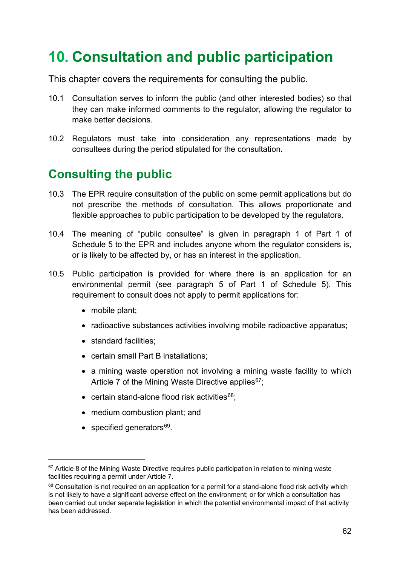# <span id="page-61-0"></span>**10. Consultation and public participation**

This chapter covers the requirements for consulting the public.

- 10.1 Consultation serves to inform the public (and other interested bodies) so that they can make informed comments to the regulator, allowing the regulator to make better decisions.
- 10.2 Regulators must take into consideration any representations made by consultees during the period stipulated for the consultation.

## **Consulting the public**

- 10.3 The EPR require consultation of the public on some permit applications but do not prescribe the methods of consultation. This allows proportionate and flexible approaches to public participation to be developed by the regulators.
- 10.4 The meaning of "public consultee" is given in paragraph 1 of Part 1 of Schedule 5 to the EPR and includes anyone whom the regulator considers is, or is likely to be affected by, or has an interest in the application.
- 10.5 Public participation is provided for where there is an application for an environmental permit (see paragraph 5 of Part 1 of Schedule 5). This requirement to consult does not apply to permit applications for:
	- mobile plant;
	- radioactive substances activities involving mobile radioactive apparatus;
	- standard facilities:
	- certain small Part B installations;
	- a mining waste operation not involving a mining waste facility to which Article 7 of the Mining Waste Directive applies $67$ ;
	- certain stand-alone flood risk activities $68$ ;
	- medium combustion plant; and
	- specified generators $69$ .

<span id="page-61-3"></span><span id="page-61-1"></span> $67$  Article 8 of the Mining Waste Directive requires public participation in relation to mining waste facilities requiring a permit under Article 7.

<span id="page-61-2"></span><sup>68</sup> Consultation is not required on an application for a permit for a stand-alone flood risk activity which is not likely to have a significant adverse effect on the environment; or for which a consultation has been carried out under separate legislation in which the potential environmental impact of that activity has been addressed.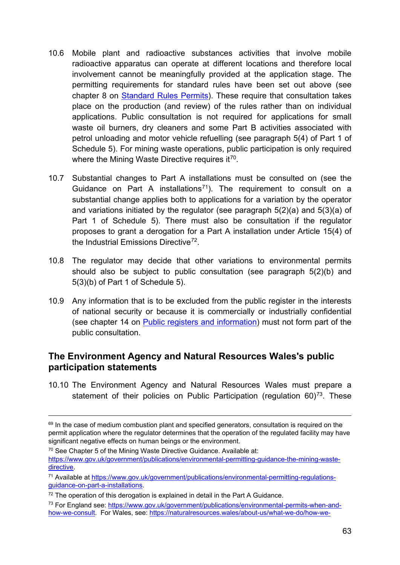- 10.6 Mobile plant and radioactive substances activities that involve mobile radioactive apparatus can operate at different locations and therefore local involvement cannot be meaningfully provided at the application stage. The permitting requirements for standard rules have been set out above (see chapter 8 on [Standard Rules Permits\)](#page-51-2). These require that consultation takes place on the production (and review) of the rules rather than on individual applications. Public consultation is not required for applications for small waste oil burners, dry cleaners and some Part B activities associated with petrol unloading and motor vehicle refuelling (see paragraph 5(4) of Part 1 of Schedule 5). For mining waste operations, public participation is only required where the Mining Waste Directive requires it<sup>70</sup>.
- 10.7 Substantial changes to Part A installations must be consulted on (see the Guidance on Part A installations<sup>71</sup>). The requirement to consult on a substantial change applies both to applications for a variation by the operator and variations initiated by the regulator (see paragraph 5(2)(a) and 5(3)(a) of Part 1 of Schedule 5). There must also be consultation if the regulator proposes to grant a derogation for a Part A installation under Article 15(4) of the Industrial Emissions Directive<sup>72</sup>.
- 10.8 The regulator may decide that other variations to environmental permits should also be subject to public consultation (see paragraph 5(2)(b) and 5(3)(b) of Part 1 of Schedule 5).
- 10.9 Any information that is to be excluded from the public register in the interests of national security or because it is commercially or industrially confidential (see chapter 14 on [Public registers and information\)](#page-78-0) must not form part of the public consultation.

### **The Environment Agency and Natural Resources Wales's public participation statements**

10.10 The Environment Agency and Natural Resources Wales must prepare a statement of their policies on Public Participation (regulation  $60$ )<sup>[73](#page-62-3)</sup>. These

 $69$  In the case of medium combustion plant and specified generators, consultation is required on the permit application where the regulator determines that the operation of the regulated facility may have significant negative effects on human beings or the environment.

<span id="page-62-0"></span><sup>70</sup> See Chapter 5 of the Mining Waste Directive Guidance. Available at: [https://www.gov.uk/government/publications/environmental-permitting-guidance-the-mining-waste](https://www.gov.uk/government/publications/environmental-permitting-guidance-the-mining-waste-directive)[directive.](https://www.gov.uk/government/publications/environmental-permitting-guidance-the-mining-waste-directive)

<span id="page-62-1"></span><sup>71</sup> Available at [https://www.gov.uk/government/publications/environmental-permitting-regulations](https://www.gov.uk/government/publications/environmental-permitting-regulations-guidance-on-part-a-installations)[guidance-on-part-a-installations.](https://www.gov.uk/government/publications/environmental-permitting-regulations-guidance-on-part-a-installations)

<span id="page-62-2"></span> $72$  The operation of this derogation is explained in detail in the Part A Guidance.

<span id="page-62-3"></span><sup>73</sup> For England see: [https://www.gov.uk/government/publications/environmental-permits-when-and](https://www.gov.uk/government/publications/environmental-permits-when-and-how-we-consult)[how-we-consult.](https://www.gov.uk/government/publications/environmental-permits-when-and-how-we-consult) For Wales, see: [https://naturalresources.wales/about-us/what-we-do/how-we-](https://naturalresources.wales/about-us/what-we-do/how-we-regulate-you/environmental-permitting-how-we-work-together/?lang=en)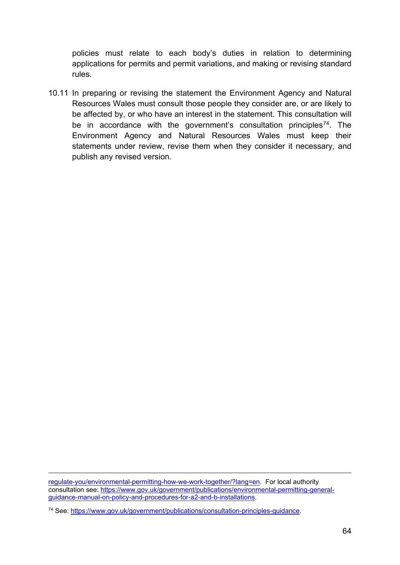policies must relate to each body's duties in relation to determining applications for permits and permit variations, and making or revising standard rules.

10.11 In preparing or revising the statement the Environment Agency and Natural Resources Wales must consult those people they consider are, or are likely to be affected by, or who have an interest in the statement. This consultation will be in accordance with the government's consultation principles<sup>[74](#page-63-0)</sup>. The Environment Agency and Natural Resources Wales must keep their statements under review, revise them when they consider it necessary, and publish any revised version.

[regulate-you/environmental-permitting-how-we-work-together/?lang=en.](https://naturalresources.wales/about-us/what-we-do/how-we-regulate-you/environmental-permitting-how-we-work-together/?lang=en) For local authority consultation see: [https://www.gov.uk/government/publications/environmental-permitting-general](https://www.gov.uk/government/publications/environmental-permitting-general-guidance-manual-on-policy-and-procedures-for-a2-and-b-installations)[guidance-manual-on-policy-and-procedures-for-a2-and-b-installations.](https://www.gov.uk/government/publications/environmental-permitting-general-guidance-manual-on-policy-and-procedures-for-a2-and-b-installations)

<span id="page-63-0"></span><sup>74</sup> See: [https://www.gov.uk/government/publications/consultation-principles-guidance.](https://www.gov.uk/government/publications/consultation-principles-guidance)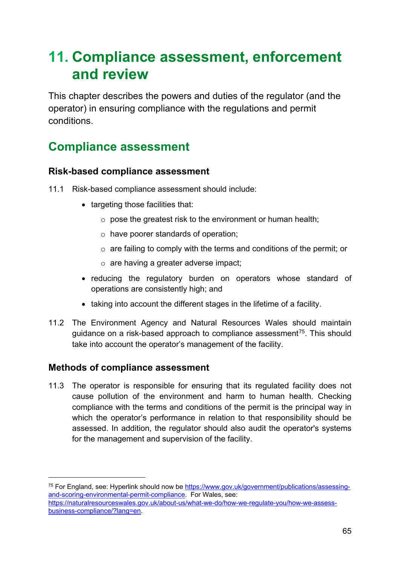# **11. Compliance assessment, enforcement and review**

This chapter describes the powers and duties of the regulator (and the operator) in ensuring compliance with the regulations and permit conditions.

## **Compliance assessment**

### <span id="page-64-0"></span>**Risk-based compliance assessment**

- 11.1 Risk-based compliance assessment should include:
	- targeting those facilities that:
		- $\circ$  pose the greatest risk to the environment or human health;
		- o have poorer standards of operation;
		- o are failing to comply with the terms and conditions of the permit; or
		- o are having a greater adverse impact;
	- reducing the regulatory burden on operators whose standard of operations are consistently high; and
	- taking into account the different stages in the lifetime of a facility.
- 11.2 The Environment Agency and Natural Resources Wales should maintain guidance on a risk-based approach to compliance assessment<sup>75</sup>. This should take into account the operator's management of the facility.

### **Methods of compliance assessment**

-

11.3 The operator is responsible for ensuring that its regulated facility does not cause pollution of the environment and harm to human health. Checking compliance with the terms and conditions of the permit is the principal way in which the operator's performance in relation to that responsibility should be assessed. In addition, the regulator should also audit the operator's systems for the management and supervision of the facility.

<span id="page-64-1"></span><sup>&</sup>lt;sup>75</sup> For England, see: Hyperlink should now be [https://www.gov.uk/government/publications/assessing](https://www.gov.uk/government/publications/assessing-and-scoring-environmental-permit-compliance)[and-scoring-environmental-permit-compliance.](https://www.gov.uk/government/publications/assessing-and-scoring-environmental-permit-compliance) For Wales, see: [https://naturalresourceswales.gov.uk/about-us/what-we-do/how-we-regulate-you/how-we-assess](https://naturalresourceswales.gov.uk/about-us/what-we-do/how-we-regulate-you/how-we-assess-business-compliance/?lang=en)[business-compliance/?lang=en.](https://naturalresourceswales.gov.uk/about-us/what-we-do/how-we-regulate-you/how-we-assess-business-compliance/?lang=en)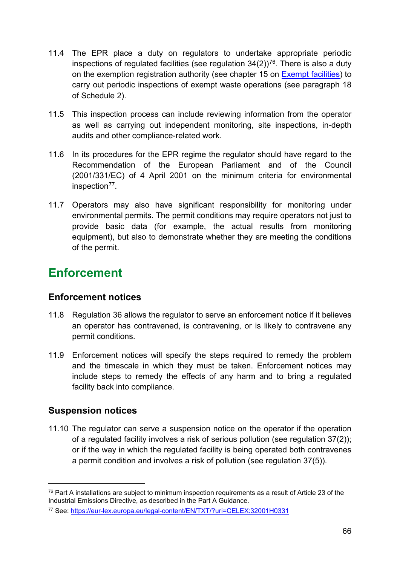- 11.4 The EPR place a duty on regulators to undertake appropriate periodic inspections of regulated facilities (see regulation  $34(2)$ )<sup>76</sup>. There is also a duty on the exemption registration authority (see chapter 15 on [Exempt facilities\)](#page-84-0) to carry out periodic inspections of exempt waste operations (see paragraph 18 of Schedule 2).
- 11.5 This inspection process can include reviewing information from the operator as well as carrying out independent monitoring, site inspections, in-depth audits and other compliance-related work.
- 11.6 In its procedures for the EPR regime the regulator should have regard to the Recommendation of the European Parliament and of the Council (2001/331/EC) of 4 April 2001 on the minimum criteria for environmental inspection<sup>77</sup>.
- 11.7 Operators may also have significant responsibility for monitoring under environmental permits. The permit conditions may require operators not just to provide basic data (for example, the actual results from monitoring equipment), but also to demonstrate whether they are meeting the conditions of the permit.

# **Enforcement**

### **Enforcement notices**

- 11.8 Regulation 36 allows the regulator to serve an enforcement notice if it believes an operator has contravened, is contravening, or is likely to contravene any permit conditions.
- 11.9 Enforcement notices will specify the steps required to remedy the problem and the timescale in which they must be taken. Enforcement notices may include steps to remedy the effects of any harm and to bring a regulated facility back into compliance.

## **Suspension notices**

-

11.10 The regulator can serve a suspension notice on the operator if the operation of a regulated facility involves a risk of serious pollution (see regulation 37(2)); or if the way in which the regulated facility is being operated both contravenes a permit condition and involves a risk of pollution (see regulation 37(5)).

<span id="page-65-0"></span> $76$  Part A installations are subject to minimum inspection requirements as a result of Article 23 of the Industrial Emissions Directive, as described in the Part A Guidance.

<span id="page-65-1"></span><sup>77</sup> See:<https://eur-lex.europa.eu/legal-content/EN/TXT/?uri=CELEX:32001H0331>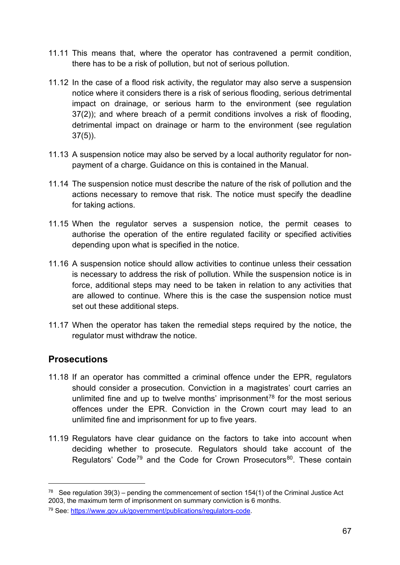- 11.11 This means that, where the operator has contravened a permit condition, there has to be a risk of pollution, but not of serious pollution.
- 11.12 In the case of a flood risk activity, the regulator may also serve a suspension notice where it considers there is a risk of serious flooding, serious detrimental impact on drainage, or serious harm to the environment (see regulation 37(2)); and where breach of a permit conditions involves a risk of flooding, detrimental impact on drainage or harm to the environment (see regulation 37(5)).
- 11.13 A suspension notice may also be served by a local authority regulator for nonpayment of a charge. Guidance on this is contained in the Manual.
- 11.14 The suspension notice must describe the nature of the risk of pollution and the actions necessary to remove that risk. The notice must specify the deadline for taking actions.
- 11.15 When the regulator serves a suspension notice, the permit ceases to authorise the operation of the entire regulated facility or specified activities depending upon what is specified in the notice.
- 11.16 A suspension notice should allow activities to continue unless their cessation is necessary to address the risk of pollution. While the suspension notice is in force, additional steps may need to be taken in relation to any activities that are allowed to continue. Where this is the case the suspension notice must set out these additional steps.
- 11.17 When the operator has taken the remedial steps required by the notice, the regulator must withdraw the notice.

### **Prosecutions**

- 11.18 If an operator has committed a criminal offence under the EPR, regulators should consider a prosecution. Conviction in a magistrates' court carries an unlimited fine and up to twelve months' imprisonment<sup>[78](#page-66-0)</sup> for the most serious offences under the EPR. Conviction in the Crown court may lead to an unlimited fine and imprisonment for up to five years.
- <span id="page-66-2"></span>11.19 Regulators have clear guidance on the factors to take into account when deciding whether to prosecute. Regulators should take account of the Regulators' Code<sup>[79](#page-66-1)</sup> and the Code for Crown Prosecutors<sup>80</sup>. These contain

<span id="page-66-0"></span><sup>&</sup>lt;sup>78</sup> See regulation 39(3) – pending the commencement of section 154(1) of the Criminal Justice Act 2003, the maximum term of imprisonment on summary conviction is 6 months.

<span id="page-66-1"></span><sup>79</sup> See: [https://www.gov.uk/government/publications/regulators-code.](https://www.gov.uk/government/publications/regulators-code)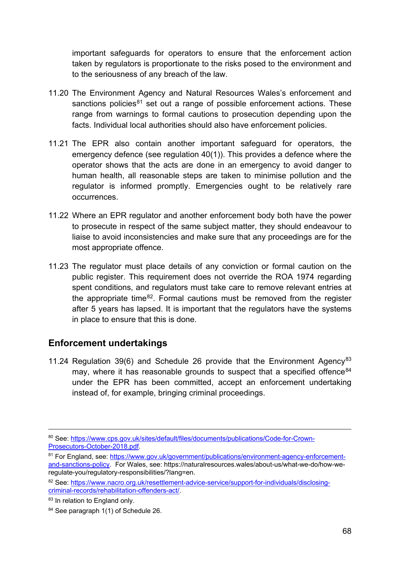important safeguards for operators to ensure that the enforcement action taken by regulators is proportionate to the risks posed to the environment and to the seriousness of any breach of the law.

- 11.20 The Environment Agency and Natural Resources Wales's enforcement and sanctions policies $81$  set out a range of possible enforcement actions. These range from warnings to formal cautions to prosecution depending upon the facts. Individual local authorities should also have enforcement policies.
- 11.21 The EPR also contain another important safeguard for operators, the emergency defence (see regulation 40(1)). This provides a defence where the operator shows that the acts are done in an emergency to avoid danger to human health, all reasonable steps are taken to minimise pollution and the regulator is informed promptly. Emergencies ought to be relatively rare occurrences.
- 11.22 Where an EPR regulator and another enforcement body both have the power to prosecute in respect of the same subject matter, they should endeavour to liaise to avoid inconsistencies and make sure that any proceedings are for the most appropriate offence.
- 11.23 The regulator must place details of any conviction or formal caution on the public register. This requirement does not override the ROA 1974 regarding spent conditions, and regulators must take care to remove relevant entries at the appropriate time $82$ . Formal cautions must be removed from the register after 5 years has lapsed. It is important that the regulators have the systems in place to ensure that this is done.

### **Enforcement undertakings**

11.24 Regulation 39(6) and Schedule 26 provide that the Environment Agency<sup>[83](#page-67-2)</sup> may, where it has reasonable grounds to suspect that a specified offence  $84$ under the EPR has been committed, accept an enforcement undertaking instead of, for example, bringing criminal proceedings.

<sup>80</sup> See: [https://www.cps.gov.uk/sites/default/files/documents/publications/Code-for-Crown-](https://www.cps.gov.uk/sites/default/files/documents/publications/Code-for-Crown-Prosecutors-October-2018.pdf)[Prosecutors-October-2018.pdf.](https://www.cps.gov.uk/sites/default/files/documents/publications/Code-for-Crown-Prosecutors-October-2018.pdf)

<span id="page-67-0"></span><sup>81</sup> For England, see[: https://www.gov.uk/government/publications/environment-agency-enforcement](https://www.gov.uk/government/publications/environment-agency-enforcement-and-sanctions-policy)[and-sanctions-policy.](https://www.gov.uk/government/publications/environment-agency-enforcement-and-sanctions-policy) For Wales, see: https://naturalresources.wales/about-us/what-we-do/how-weregulate-you/regulatory-responsibilities/?lang=en.

<span id="page-67-1"></span><sup>82</sup> See: [https://www.nacro.org.uk/resettlement-advice-service/support-for-individuals/disclosing](https://www.nacro.org.uk/resettlement-advice-service/support-for-individuals/disclosing-criminal-records/rehabilitation-offenders-act/)[criminal-records/rehabilitation-offenders-act/.](https://www.nacro.org.uk/resettlement-advice-service/support-for-individuals/disclosing-criminal-records/rehabilitation-offenders-act/)

<span id="page-67-2"></span><sup>83</sup> In relation to England only.

<span id="page-67-3"></span><sup>84</sup> See paragraph 1(1) of Schedule 26.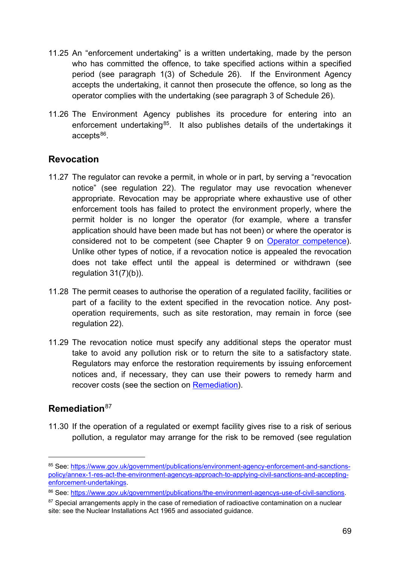- 11.25 An "enforcement undertaking" is a written undertaking, made by the person who has committed the offence, to take specified actions within a specified period (see paragraph 1(3) of Schedule 26). If the Environment Agency accepts the undertaking, it cannot then prosecute the offence, so long as the operator complies with the undertaking (see paragraph 3 of Schedule 26).
- 11.26 The Environment Agency publishes its procedure for entering into an enforcement undertaking<sup>[85](#page-68-2)</sup>. It also publishes details of the undertakings it  $accepts<sup>86</sup>$  $accepts<sup>86</sup>$  $accepts<sup>86</sup>$ .

### <span id="page-68-0"></span>**Revocation**

- 11.27 The regulator can revoke a permit, in whole or in part, by serving a "revocation notice" (see regulation 22). The regulator may use revocation whenever appropriate. Revocation may be appropriate where exhaustive use of other enforcement tools has failed to protect the environment properly, where the permit holder is no longer the operator (for example, where a transfer application should have been made but has not been) or where the operator is considered not to be competent (see Chapter 9 on [Operator competence\)](#page-54-0). Unlike other types of notice, if a revocation notice is appealed the revocation does not take effect until the appeal is determined or withdrawn (see regulation 31(7)(b)).
- 11.28 The permit ceases to authorise the operation of a regulated facility, facilities or part of a facility to the extent specified in the revocation notice. Any postoperation requirements, such as site restoration, may remain in force (see regulation 22).
- 11.29 The revocation notice must specify any additional steps the operator must take to avoid any pollution risk or to return the site to a satisfactory state. Regulators may enforce the restoration requirements by issuing enforcement notices and, if necessary, they can use their powers to remedy harm and recover costs (see the section on [Remediation\)](#page-68-1).

### <span id="page-68-1"></span>**Remediation**[87](#page-68-4)

-

11.30 If the operation of a regulated or exempt facility gives rise to a risk of serious pollution, a regulator may arrange for the risk to be removed (see regulation

<span id="page-68-2"></span><sup>85</sup> See: [https://www.gov.uk/government/publications/environment-agency-enforcement-and-sanctions](https://www.gov.uk/government/publications/environment-agency-enforcement-and-sanctions-policy/annex-1-res-act-the-environment-agencys-approach-to-applying-civil-sanctions-and-accepting-enforcement-undertakings)[policy/annex-1-res-act-the-environment-agencys-approach-to-applying-civil-sanctions-and-accepting](https://www.gov.uk/government/publications/environment-agency-enforcement-and-sanctions-policy/annex-1-res-act-the-environment-agencys-approach-to-applying-civil-sanctions-and-accepting-enforcement-undertakings)[enforcement-undertakings.](https://www.gov.uk/government/publications/environment-agency-enforcement-and-sanctions-policy/annex-1-res-act-the-environment-agencys-approach-to-applying-civil-sanctions-and-accepting-enforcement-undertakings)

<span id="page-68-3"></span><sup>86</sup> See: [https://www.gov.uk/government/publications/the-environment-agencys-use-of-civil-sanctions.](https://www.gov.uk/government/publications/the-environment-agencys-use-of-civil-sanctions)

<span id="page-68-4"></span><sup>&</sup>lt;sup>87</sup> Special arrangements apply in the case of remediation of radioactive contamination on a nuclear site: see the Nuclear Installations Act 1965 and associated guidance.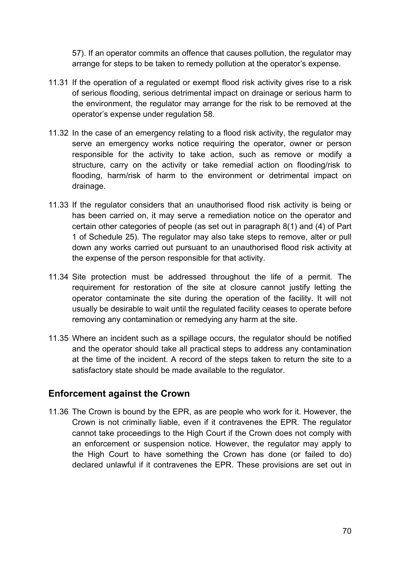57). If an operator commits an offence that causes pollution, the regulator may arrange for steps to be taken to remedy pollution at the operator's expense.

- 11.31 If the operation of a regulated or exempt flood risk activity gives rise to a risk of serious flooding, serious detrimental impact on drainage or serious harm to the environment, the regulator may arrange for the risk to be removed at the operator's expense under regulation 58.
- 11.32 In the case of an emergency relating to a flood risk activity, the regulator may serve an emergency works notice requiring the operator, owner or person responsible for the activity to take action, such as remove or modify a structure, carry on the activity or take remedial action on flooding/risk to flooding, harm/risk of harm to the environment or detrimental impact on drainage.
- 11.33 If the regulator considers that an unauthorised flood risk activity is being or has been carried on, it may serve a remediation notice on the operator and certain other categories of people (as set out in paragraph 8(1) and (4) of Part 1 of Schedule 25). The regulator may also take steps to remove, alter or pull down any works carried out pursuant to an unauthorised flood risk activity at the expense of the person responsible for that activity.
- 11.34 Site protection must be addressed throughout the life of a permit. The requirement for restoration of the site at closure cannot justify letting the operator contaminate the site during the operation of the facility. It will not usually be desirable to wait until the regulated facility ceases to operate before removing any contamination or remedying any harm at the site.
- 11.35 Where an incident such as a spillage occurs, the regulator should be notified and the operator should take all practical steps to address any contamination at the time of the incident. A record of the steps taken to return the site to a satisfactory state should be made available to the regulator.

#### **Enforcement against the Crown**

11.36 The Crown is bound by the EPR, as are people who work for it. However, the Crown is not criminally liable, even if it contravenes the EPR. The regulator cannot take proceedings to the High Court if the Crown does not comply with an enforcement or suspension notice. However, the regulator may apply to the High Court to have something the Crown has done (or failed to do) declared unlawful if it contravenes the EPR. These provisions are set out in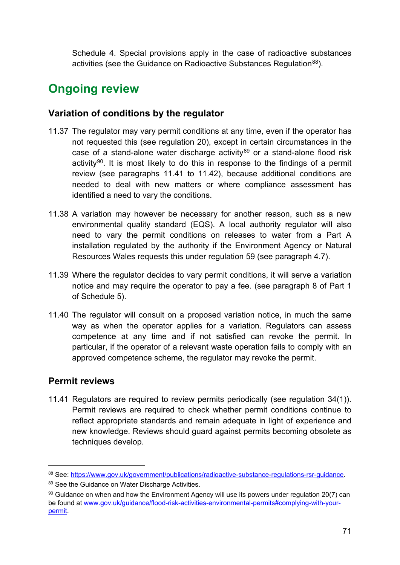Schedule 4. Special provisions apply in the case of radioactive substances activities (see the Guidance on Radioactive Substances Regulation<sup>88</sup>).

## **Ongoing review**

### <span id="page-70-4"></span>**Variation of conditions by the regulator**

- 11.37 The regulator may vary permit conditions at any time, even if the operator has not requested this (see regulation 20), except in certain circumstances in the case of a stand-alone water discharge activity<sup>[89](#page-70-2)</sup> or a stand-alone flood risk activity<sup>90</sup>. It is most likely to do this in response to the findings of a permit review (see paragraphs [11.41](#page-70-0) to [11.42\)](#page-71-0), because additional conditions are needed to deal with new matters or where compliance assessment has identified a need to vary the conditions.
- 11.38 A variation may however be necessary for another reason, such as a new environmental quality standard (EQS). A local authority regulator will also need to vary the permit conditions on releases to water from a Part A installation regulated by the authority if the Environment Agency or Natural Resources Wales requests this under regulation 59 (see paragraph 4.7).
- 11.39 Where the regulator decides to vary permit conditions, it will serve a variation notice and may require the operator to pay a fee. (see paragraph 8 of Part 1 of Schedule 5).
- 11.40 The regulator will consult on a proposed variation notice, in much the same way as when the operator applies for a variation. Regulators can assess competence at any time and if not satisfied can revoke the permit. In particular, if the operator of a relevant waste operation fails to comply with an approved competence scheme, the regulator may revoke the permit.

### **Permit reviews**

-

<span id="page-70-0"></span>11.41 Regulators are required to review permits periodically (see regulation 34(1)). Permit reviews are required to check whether permit conditions continue to reflect appropriate standards and remain adequate in light of experience and new knowledge. Reviews should guard against permits becoming obsolete as techniques develop.

<span id="page-70-1"></span><sup>88</sup> See: [https://www.gov.uk/government/publications/radioactive-substance-regulations-rsr-guidance.](https://www.gov.uk/government/publications/radioactive-substance-regulations-rsr-guidance)

<span id="page-70-2"></span><sup>89</sup> See the Guidance on Water Discharge Activities.

<span id="page-70-3"></span> $90$  Guidance on when and how the Environment Agency will use its powers under regulation 20(7) can be found at [www.gov.uk/guidance/flood-risk-activities-environmental-permits#complying-with-your](http://www.gov.uk/guidance/flood-risk-activities-environmental-permits#complying-with-your-permit)[permit.](http://www.gov.uk/guidance/flood-risk-activities-environmental-permits#complying-with-your-permit)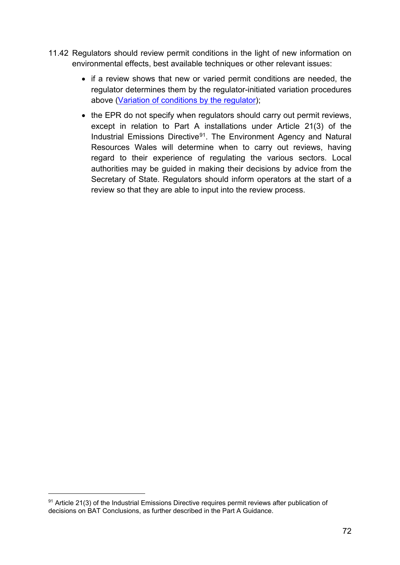- <span id="page-71-0"></span>11.42 Regulators should review permit conditions in the light of new information on environmental effects, best available techniques or other relevant issues:
	- if a review shows that new or varied permit conditions are needed, the regulator determines them by the regulator-initiated variation procedures above [\(Variation of conditions by the regulator\)](#page-70-4);
	- the EPR do not specify when regulators should carry out permit reviews, except in relation to Part A installations under Article 21(3) of the Industrial Emissions Directive[91](#page-71-1). The Environment Agency and Natural Resources Wales will determine when to carry out reviews, having regard to their experience of regulating the various sectors. Local authorities may be guided in making their decisions by advice from the Secretary of State. Regulators should inform operators at the start of a review so that they are able to input into the review process.

<span id="page-71-1"></span> $91$  Article 21(3) of the Industrial Emissions Directive requires permit reviews after publication of decisions on BAT Conclusions, as further described in the Part A Guidance.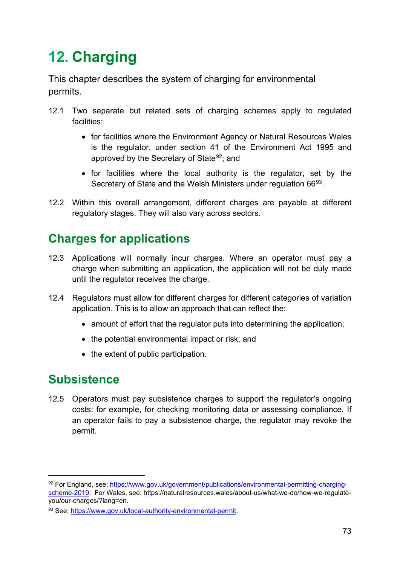# **12. Charging**

This chapter describes the system of charging for environmental permits.

- 12.1 Two separate but related sets of charging schemes apply to regulated facilities:
	- for facilities where the Environment Agency or Natural Resources Wales is the regulator, under section 41 of the Environment Act 1995 and approved by the Secretary of State<sup>92</sup>; and
	- for facilities where the local authority is the regulator, set by the Secretary of State and the Welsh Ministers under regulation 66<sup>[93](#page-72-1)</sup>.
- 12.2 Within this overall arrangement, different charges are payable at different regulatory stages. They will also vary across sectors.

## **Charges for applications**

- 12.3 Applications will normally incur charges. Where an operator must pay a charge when submitting an application, the application will not be duly made until the regulator receives the charge.
- 12.4 Regulators must allow for different charges for different categories of variation application. This is to allow an approach that can reflect the:
	- amount of effort that the regulator puts into determining the application;
	- the potential environmental impact or risk; and
	- the extent of public participation.

### **Subsistence**

-

<span id="page-72-2"></span>12.5 Operators must pay subsistence charges to support the regulator's ongoing costs: for example, for checking monitoring data or assessing compliance. If an operator fails to pay a subsistence charge, the regulator may revoke the permit.

<span id="page-72-0"></span><sup>92</sup> For England, see[: https://www.gov.uk/government/publications/environmental-permitting-charging](https://www.gov.uk/government/publications/environmental-permitting-charging-scheme-2019)[scheme-2019.](https://www.gov.uk/government/publications/environmental-permitting-charging-scheme-2019) For Wales, see: https://naturalresources.wales/about-us/what-we-do/how-we-regulateyou/our-charges/?lang=en.

<span id="page-72-1"></span><sup>93</sup> See: [https://www.gov.uk/local-authority-environmental-permit.](https://www.gov.uk/local-authority-environmental-permit)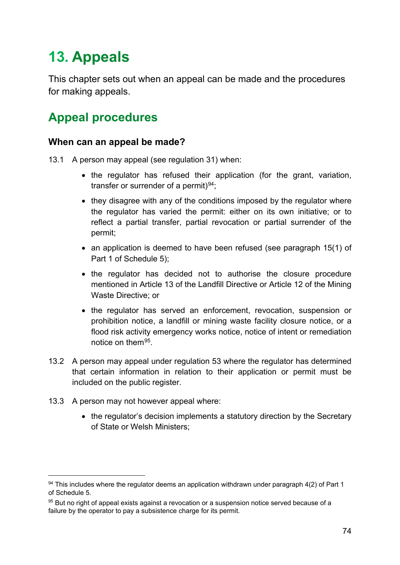# **13. Appeals**

This chapter sets out when an appeal can be made and the procedures for making appeals.

## **Appeal procedures**

#### **When can an appeal be made?**

- 13.1 A person may appeal (see regulation 31) when:
	- the regulator has refused their application (for the grant, variation, transfer or surrender of a permit) $94$ ;
	- they disagree with any of the conditions imposed by the regulator where the regulator has varied the permit: either on its own initiative; or to reflect a partial transfer, partial revocation or partial surrender of the permit;
	- an application is deemed to have been refused (see paragraph 15(1) of Part 1 of Schedule 5);
	- the regulator has decided not to authorise the closure procedure mentioned in Article 13 of the Landfill Directive or Article 12 of the Mining Waste Directive; or
	- the regulator has served an enforcement, revocation, suspension or prohibition notice, a landfill or mining waste facility closure notice, or a flood risk activity emergency works notice, notice of intent or remediation notice on them[95.](#page-73-1)
- 13.2 A person may appeal under regulation 53 where the regulator has determined that certain information in relation to their application or permit must be included on the public register.
- 13.3 A person may not however appeal where:

-

• the regulator's decision implements a statutory direction by the Secretary of State or Welsh Ministers;

<span id="page-73-0"></span> $94$  This includes where the regulator deems an application withdrawn under paragraph 4(2) of Part 1 of Schedule 5.

<span id="page-73-1"></span><sup>95</sup> But no right of appeal exists against a revocation or a suspension notice served because of a failure by the operator to pay a subsistence charge for its permit.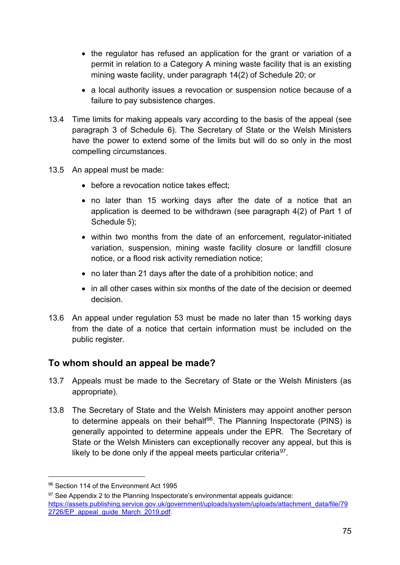- the regulator has refused an application for the grant or variation of a permit in relation to a Category A mining waste facility that is an existing mining waste facility, under paragraph 14(2) of Schedule 20; or
- a local authority issues a revocation or suspension notice because of a failure to pay subsistence charges.
- 13.4 Time limits for making appeals vary according to the basis of the appeal (see paragraph 3 of Schedule 6). The Secretary of State or the Welsh Ministers have the power to extend some of the limits but will do so only in the most compelling circumstances.
- 13.5 An appeal must be made:
	- before a revocation notice takes effect;
	- no later than 15 working days after the date of a notice that an application is deemed to be withdrawn (see paragraph 4(2) of Part 1 of Schedule 5):
	- within two months from the date of an enforcement, regulator-initiated variation, suspension, mining waste facility closure or landfill closure notice, or a flood risk activity remediation notice;
	- no later than 21 days after the date of a prohibition notice; and
	- in all other cases within six months of the date of the decision or deemed decision.
- 13.6 An appeal under regulation 53 must be made no later than 15 working days from the date of a notice that certain information must be included on the public register.

### **To whom should an appeal be made?**

- 13.7 Appeals must be made to the Secretary of State or the Welsh Ministers (as appropriate).
- 13.8 The Secretary of State and the Welsh Ministers may appoint another person to determine appeals on their behalf<sup>96</sup>. The Planning Inspectorate (PINS) is generally appointed to determine appeals under the EPR. The Secretary of State or the Welsh Ministers can exceptionally recover any appeal, but this is likely to be done only if the appeal meets particular criteria<sup>97</sup>.

<u>.</u>

<span id="page-74-0"></span><sup>96</sup> Section 114 of the Environment Act 1995

<span id="page-74-1"></span> $97$  See Appendix 2 to the Planning Inspectorate's environmental appeals quidance: [https://assets.publishing.service.gov.uk/government/uploads/system/uploads/attachment\\_data/file/79](https://assets.publishing.service.gov.uk/government/uploads/system/uploads/attachment_data/file/792726/EP_appeal_guide_March_2019.pdf) 2726/EP\_appeal\_quide\_March\_2019.pdf.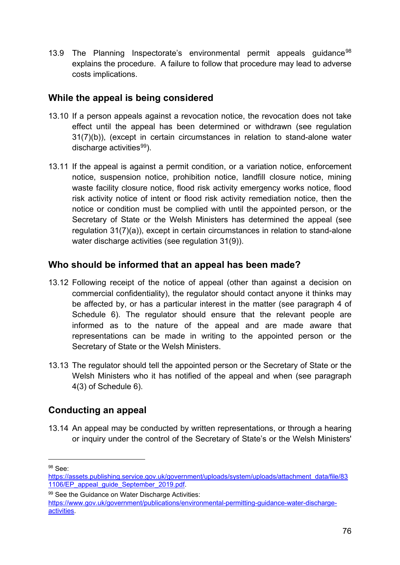13.9 The Planning Inspectorate's environmental permit appeals guidance<sup>[98](#page-75-0)</sup> explains the procedure. A failure to follow that procedure may lead to adverse costs implications.

### **While the appeal is being considered**

- 13.10 If a person appeals against a revocation notice, the revocation does not take effect until the appeal has been determined or withdrawn (see regulation 31(7)(b)), (except in certain circumstances in relation to stand-alone water discharge activities $99$ ).
- 13.11 If the appeal is against a permit condition, or a variation notice, enforcement notice, suspension notice, prohibition notice, landfill closure notice, mining waste facility closure notice, flood risk activity emergency works notice, flood risk activity notice of intent or flood risk activity remediation notice, then the notice or condition must be complied with until the appointed person, or the Secretary of State or the Welsh Ministers has determined the appeal (see regulation 31(7)(a)), except in certain circumstances in relation to stand-alone water discharge activities (see regulation 31(9)).

### **Who should be informed that an appeal has been made?**

- 13.12 Following receipt of the notice of appeal (other than against a decision on commercial confidentiality), the regulator should contact anyone it thinks may be affected by, or has a particular interest in the matter (see paragraph 4 of Schedule 6). The regulator should ensure that the relevant people are informed as to the nature of the appeal and are made aware that representations can be made in writing to the appointed person or the Secretary of State or the Welsh Ministers.
- 13.13 The regulator should tell the appointed person or the Secretary of State or the Welsh Ministers who it has notified of the appeal and when (see paragraph 4(3) of Schedule 6).

### **Conducting an appeal**

13.14 An appeal may be conducted by written representations, or through a hearing or inquiry under the control of the Secretary of State's or the Welsh Ministers'

<span id="page-75-0"></span><sup>98</sup> See:

[https://assets.publishing.service.gov.uk/government/uploads/system/uploads/attachment\\_data/file/83](https://assets.publishing.service.gov.uk/government/uploads/system/uploads/attachment_data/file/831106/EP_appeal_guide_September_2019.pdf) 1106/EP\_appeal\_quide\_September\_2019.pdf.

<span id="page-75-1"></span><sup>99</sup> See the Guidance on Water Discharge Activities:

[https://www.gov.uk/government/publications/environmental-permitting-guidance-water-discharge](https://www.gov.uk/government/publications/environmental-permitting-guidance-water-discharge-activities)[activities.](https://www.gov.uk/government/publications/environmental-permitting-guidance-water-discharge-activities)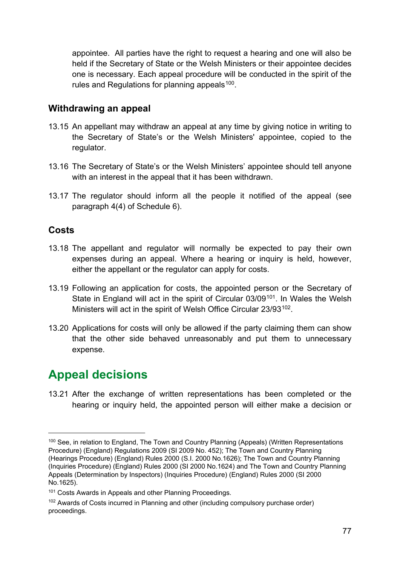appointee. All parties have the right to request a hearing and one will also be held if the Secretary of State or the Welsh Ministers or their appointee decides one is necessary. Each appeal procedure will be conducted in the spirit of the rules and Regulations for planning appeals  $100$ .

### **Withdrawing an appeal**

- 13.15 An appellant may withdraw an appeal at any time by giving notice in writing to the Secretary of State's or the Welsh Ministers' appointee, copied to the regulator.
- 13.16 The Secretary of State's or the Welsh Ministers' appointee should tell anyone with an interest in the appeal that it has been withdrawn.
- 13.17 The regulator should inform all the people it notified of the appeal (see paragraph 4(4) of Schedule 6).

### **Costs**

-

- 13.18 The appellant and regulator will normally be expected to pay their own expenses during an appeal. Where a hearing or inquiry is held, however, either the appellant or the regulator can apply for costs.
- 13.19 Following an application for costs, the appointed person or the Secretary of State in England will act in the spirit of Circular 03/09<sup>101</sup>. In Wales the Welsh Ministers will act in the spirit of Welsh Office Circular 23/93<sup>102</sup>.
- 13.20 Applications for costs will only be allowed if the party claiming them can show that the other side behaved unreasonably and put them to unnecessary expense.

## **Appeal decisions**

13.21 After the exchange of written representations has been completed or the hearing or inquiry held, the appointed person will either make a decision or

<span id="page-76-0"></span><sup>&</sup>lt;sup>100</sup> See, in relation to England, The Town and Country Planning (Appeals) (Written Representations Procedure) (England) Regulations 2009 (SI 2009 No. 452); The Town and Country Planning (Hearings Procedure) (England) Rules 2000 (S.I. 2000 No.1626); The Town and Country Planning (Inquiries Procedure) (England) Rules 2000 (SI 2000 No.1624) and The Town and Country Planning Appeals (Determination by Inspectors) (Inquiries Procedure) (England) Rules 2000 (SI 2000 No.1625).

<span id="page-76-1"></span><sup>&</sup>lt;sup>101</sup> Costs Awards in Appeals and other Planning Proceedings.

<span id="page-76-2"></span><sup>&</sup>lt;sup>102</sup> Awards of Costs incurred in Planning and other (including compulsory purchase order) proceedings.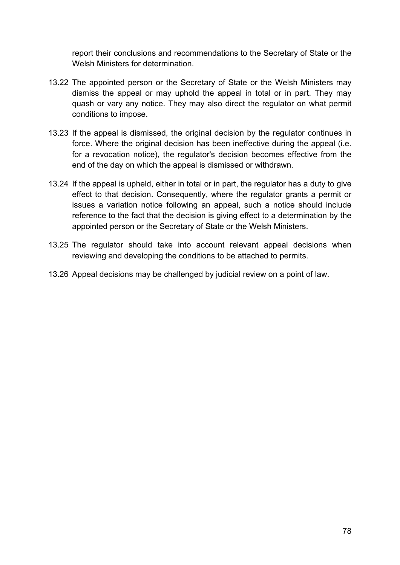report their conclusions and recommendations to the Secretary of State or the Welsh Ministers for determination.

- 13.22 The appointed person or the Secretary of State or the Welsh Ministers may dismiss the appeal or may uphold the appeal in total or in part. They may quash or vary any notice. They may also direct the regulator on what permit conditions to impose.
- 13.23 If the appeal is dismissed, the original decision by the regulator continues in force. Where the original decision has been ineffective during the appeal (i.e. for a revocation notice), the regulator's decision becomes effective from the end of the day on which the appeal is dismissed or withdrawn.
- 13.24 If the appeal is upheld, either in total or in part, the regulator has a duty to give effect to that decision. Consequently, where the regulator grants a permit or issues a variation notice following an appeal, such a notice should include reference to the fact that the decision is giving effect to a determination by the appointed person or the Secretary of State or the Welsh Ministers.
- 13.25 The regulator should take into account relevant appeal decisions when reviewing and developing the conditions to be attached to permits.
- 13.26 Appeal decisions may be challenged by judicial review on a point of law.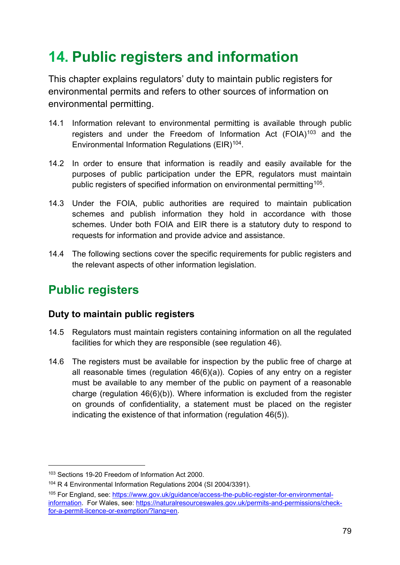# **14. Public registers and information**

This chapter explains regulators' duty to maintain public registers for environmental permits and refers to other sources of information on environmental permitting.

- 14.1 Information relevant to environmental permitting is available through public registers and under the Freedom of Information Act  $(FOIA)^{103}$  $(FOIA)^{103}$  $(FOIA)^{103}$  and the Environmental Information Regulations (EIR)<sup>[104](#page-78-1)</sup>.
- 14.2 In order to ensure that information is readily and easily available for the purposes of public participation under the EPR, regulators must maintain public registers of specified information on environmental permitting<sup>[105](#page-78-2)</sup>.
- 14.3 Under the FOIA, public authorities are required to maintain publication schemes and publish information they hold in accordance with those schemes. Under both FOIA and EIR there is a statutory duty to respond to requests for information and provide advice and assistance.
- 14.4 The following sections cover the specific requirements for public registers and the relevant aspects of other information legislation.

### **Public registers**

### **Duty to maintain public registers**

- 14.5 Regulators must maintain registers containing information on all the regulated facilities for which they are responsible (see regulation 46).
- 14.6 The registers must be available for inspection by the public free of charge at all reasonable times (regulation 46(6)(a)). Copies of any entry on a register must be available to any member of the public on payment of a reasonable charge (regulation 46(6)(b)). Where information is excluded from the register on grounds of confidentiality, a statement must be placed on the register indicating the existence of that information (regulation 46(5)).

<span id="page-78-0"></span><sup>103</sup> Sections 19-20 Freedom of Information Act 2000.

<span id="page-78-1"></span><sup>104</sup> R 4 Environmental Information Regulations 2004 (SI 2004/3391).

<span id="page-78-2"></span><sup>105</sup> For England, see: [https://www.gov.uk/guidance/access-the-public-register-for-environmental](https://www.gov.uk/guidance/access-the-public-register-for-environmental-information)[information.](https://www.gov.uk/guidance/access-the-public-register-for-environmental-information) For Wales, see: [https://naturalresourceswales.gov.uk/permits-and-permissions/check](https://naturalresourceswales.gov.uk/permits-and-permissions/check-for-a-permit-licence-or-exemption/?lang=en)[for-a-permit-licence-or-exemption/?lang=en.](https://naturalresourceswales.gov.uk/permits-and-permissions/check-for-a-permit-licence-or-exemption/?lang=en)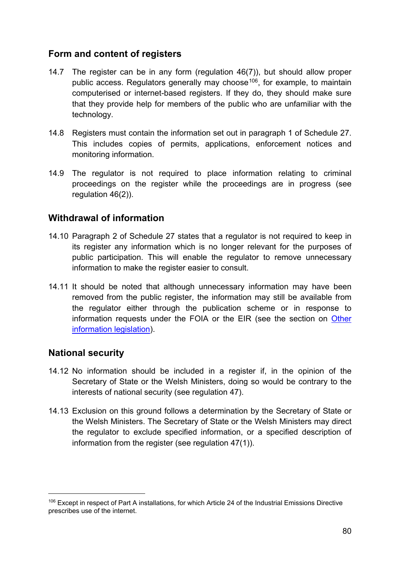### **Form and content of registers**

- 14.7 The register can be in any form (regulation 46(7)), but should allow proper public access. Regulators generally may choose<sup>106</sup>, for example, to maintain computerised or internet-based registers. If they do, they should make sure that they provide help for members of the public who are unfamiliar with the technology.
- 14.8 Registers must contain the information set out in paragraph 1 of Schedule 27. This includes copies of permits, applications, enforcement notices and monitoring information.
- 14.9 The regulator is not required to place information relating to criminal proceedings on the register while the proceedings are in progress (see regulation 46(2)).

### **Withdrawal of information**

- 14.10 Paragraph 2 of Schedule 27 states that a regulator is not required to keep in its register any information which is no longer relevant for the purposes of public participation. This will enable the regulator to remove unnecessary information to make the register easier to consult.
- 14.11 It should be noted that although unnecessary information may have been removed from the public register, the information may still be available from the regulator either through the publication scheme or in response to information requests under the FOIA or the EIR (see the section on [Other](#page-82-0)  [information legislation\)](#page-82-0).

### **National security**

- 14.12 No information should be included in a register if, in the opinion of the Secretary of State or the Welsh Ministers, doing so would be contrary to the interests of national security (see regulation 47).
- 14.13 Exclusion on this ground follows a determination by the Secretary of State or the Welsh Ministers. The Secretary of State or the Welsh Ministers may direct the regulator to exclude specified information, or a specified description of information from the register (see regulation 47(1)).

<span id="page-79-0"></span><sup>106</sup> Except in respect of Part A installations, for which Article 24 of the Industrial Emissions Directive prescribes use of the internet.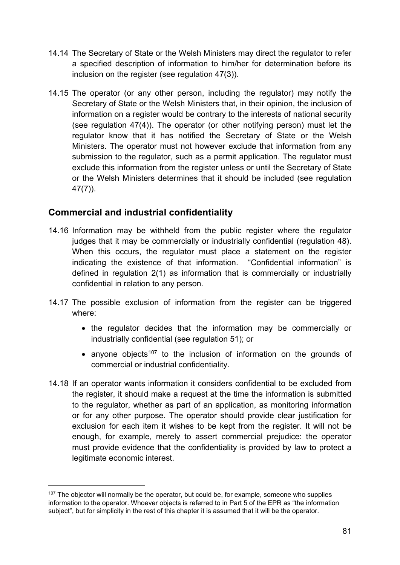- 14.14 The Secretary of State or the Welsh Ministers may direct the regulator to refer a specified description of information to him/her for determination before its inclusion on the register (see regulation 47(3)).
- 14.15 The operator (or any other person, including the regulator) may notify the Secretary of State or the Welsh Ministers that, in their opinion, the inclusion of information on a register would be contrary to the interests of national security (see regulation 47(4)). The operator (or other notifying person) must let the regulator know that it has notified the Secretary of State or the Welsh Ministers. The operator must not however exclude that information from any submission to the regulator, such as a permit application. The regulator must exclude this information from the register unless or until the Secretary of State or the Welsh Ministers determines that it should be included (see regulation 47(7)).

### **Commercial and industrial confidentiality**

- 14.16 Information may be withheld from the public register where the regulator judges that it may be commercially or industrially confidential (regulation 48). When this occurs, the regulator must place a statement on the register indicating the existence of that information. "Confidential information" is defined in regulation 2(1) as information that is commercially or industrially confidential in relation to any person.
- 14.17 The possible exclusion of information from the register can be triggered where:
	- the regulator decides that the information may be commercially or industrially confidential (see regulation 51); or
	- anyone objects<sup>[107](#page-80-0)</sup> to the inclusion of information on the grounds of commercial or industrial confidentiality.
- 14.18 If an operator wants information it considers confidential to be excluded from the register, it should make a request at the time the information is submitted to the regulator, whether as part of an application, as monitoring information or for any other purpose. The operator should provide clear justification for exclusion for each item it wishes to be kept from the register. It will not be enough, for example, merely to assert commercial prejudice: the operator must provide evidence that the confidentiality is provided by law to protect a legitimate economic interest.

<span id="page-80-0"></span> $107$  The objector will normally be the operator, but could be, for example, someone who supplies information to the operator. Whoever objects is referred to in Part 5 of the EPR as "the information subject", but for simplicity in the rest of this chapter it is assumed that it will be the operator.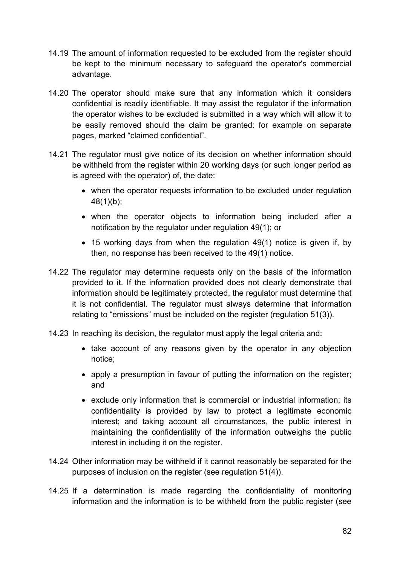- 14.19 The amount of information requested to be excluded from the register should be kept to the minimum necessary to safeguard the operator's commercial advantage.
- 14.20 The operator should make sure that any information which it considers confidential is readily identifiable. It may assist the regulator if the information the operator wishes to be excluded is submitted in a way which will allow it to be easily removed should the claim be granted: for example on separate pages, marked "claimed confidential".
- 14.21 The regulator must give notice of its decision on whether information should be withheld from the register within 20 working days (or such longer period as is agreed with the operator) of, the date:
	- when the operator requests information to be excluded under regulation 48(1)(b);
	- when the operator objects to information being included after a notification by the regulator under regulation 49(1); or
	- 15 working days from when the regulation 49(1) notice is given if, by then, no response has been received to the 49(1) notice.
- 14.22 The regulator may determine requests only on the basis of the information provided to it. If the information provided does not clearly demonstrate that information should be legitimately protected, the regulator must determine that it is not confidential. The regulator must always determine that information relating to "emissions" must be included on the register (regulation 51(3)).
- 14.23 In reaching its decision, the regulator must apply the legal criteria and:
	- take account of any reasons given by the operator in any objection notice;
	- apply a presumption in favour of putting the information on the register; and
	- exclude only information that is commercial or industrial information; its confidentiality is provided by law to protect a legitimate economic interest; and taking account all circumstances, the public interest in maintaining the confidentiality of the information outweighs the public interest in including it on the register.
- 14.24 Other information may be withheld if it cannot reasonably be separated for the purposes of inclusion on the register (see regulation 51(4)).
- 14.25 If a determination is made regarding the confidentiality of monitoring information and the information is to be withheld from the public register (see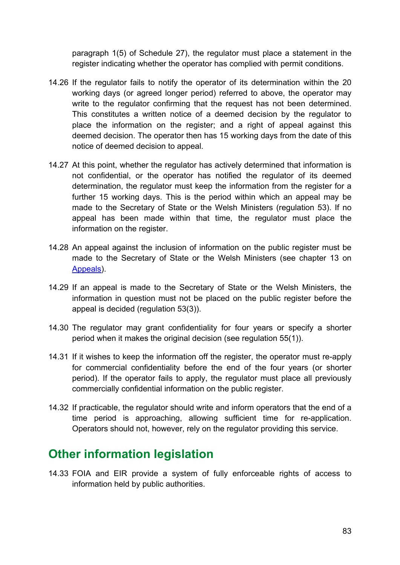paragraph 1(5) of Schedule 27), the regulator must place a statement in the register indicating whether the operator has complied with permit conditions.

- 14.26 If the regulator fails to notify the operator of its determination within the 20 working days (or agreed longer period) referred to above, the operator may write to the regulator confirming that the request has not been determined. This constitutes a written notice of a deemed decision by the regulator to place the information on the register; and a right of appeal against this deemed decision. The operator then has 15 working days from the date of this notice of deemed decision to appeal.
- 14.27 At this point, whether the regulator has actively determined that information is not confidential, or the operator has notified the regulator of its deemed determination, the regulator must keep the information from the register for a further 15 working days. This is the period within which an appeal may be made to the Secretary of State or the Welsh Ministers (regulation 53). If no appeal has been made within that time, the regulator must place the information on the register.
- 14.28 An appeal against the inclusion of information on the public register must be made to the Secretary of State or the Welsh Ministers (see chapter 13 on [Appeals\)](#page-72-2).
- 14.29 If an appeal is made to the Secretary of State or the Welsh Ministers, the information in question must not be placed on the public register before the appeal is decided (regulation 53(3)).
- 14.30 The regulator may grant confidentiality for four years or specify a shorter period when it makes the original decision (see regulation 55(1)).
- 14.31 If it wishes to keep the information off the register, the operator must re-apply for commercial confidentiality before the end of the four years (or shorter period). If the operator fails to apply, the regulator must place all previously commercially confidential information on the public register.
- 14.32 If practicable, the regulator should write and inform operators that the end of a time period is approaching, allowing sufficient time for re-application. Operators should not, however, rely on the regulator providing this service.

### <span id="page-82-0"></span>**Other information legislation**

14.33 FOIA and EIR provide a system of fully enforceable rights of access to information held by public authorities.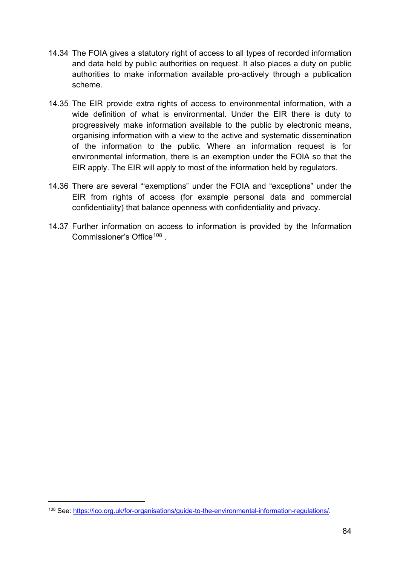- 14.34 The FOIA gives a statutory right of access to all types of recorded information and data held by public authorities on request. It also places a duty on public authorities to make information available pro-actively through a publication scheme.
- 14.35 The EIR provide extra rights of access to environmental information, with a wide definition of what is environmental. Under the EIR there is duty to progressively make information available to the public by electronic means, organising information with a view to the active and systematic dissemination of the information to the public. Where an information request is for environmental information, there is an exemption under the FOIA so that the EIR apply. The EIR will apply to most of the information held by regulators.
- 14.36 There are several "'exemptions" under the FOIA and "exceptions" under the EIR from rights of access (for example personal data and commercial confidentiality) that balance openness with confidentiality and privacy.
- 14.37 Further information on access to information is provided by the Information Commissioner's Office<sup>[108](#page-83-0)</sup>

<span id="page-83-0"></span><sup>108</sup> See: [https://ico.org.uk/for-organisations/guide-to-the-environmental-information-regulations/.](https://ico.org.uk/for-organisations/guide-to-the-environmental-information-regulations/)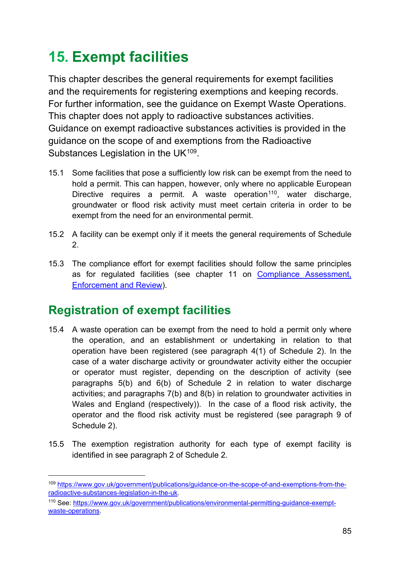# **15. Exempt facilities**

This chapter describes the general requirements for exempt facilities and the requirements for registering exemptions and keeping records. For further information, see the guidance on Exempt Waste Operations. This chapter does not apply to radioactive substances activities. Guidance on exempt radioactive substances activities is provided in the guidance on the scope of and exemptions from the Radioactive Substances Legislation in the UK<sup>109</sup>.

- 15.1 Some facilities that pose a sufficiently low risk can be exempt from the need to hold a permit. This can happen, however, only where no applicable European Directive requires a permit. A waste operation<sup>[110](#page-84-1)</sup>, water discharge, groundwater or flood risk activity must meet certain criteria in order to be exempt from the need for an environmental permit.
- 15.2 A facility can be exempt only if it meets the general requirements of Schedule 2.
- 15.3 The compliance effort for exempt facilities should follow the same principles as for regulated facilities (see chapter 11 on Compliance Assessment, [Enforcement and Review\)](#page-64-0).

## **Registration of exempt facilities**

- 15.4 A waste operation can be exempt from the need to hold a permit only where the operation, and an establishment or undertaking in relation to that operation have been registered (see paragraph 4(1) of Schedule 2). In the case of a water discharge activity or groundwater activity either the occupier or operator must register, depending on the description of activity (see paragraphs 5(b) and 6(b) of Schedule 2 in relation to water discharge activities; and paragraphs 7(b) and 8(b) in relation to groundwater activities in Wales and England (respectively)). In the case of a flood risk activity, the operator and the flood risk activity must be registered (see paragraph 9 of Schedule 2).
- 15.5 The exemption registration authority for each type of exempt facility is identified in see paragraph 2 of Schedule 2.

<span id="page-84-0"></span><sup>109</sup> [https://www.gov.uk/government/publications/guidance-on-the-scope-of-and-exemptions-from-the](https://www.gov.uk/government/publications/guidance-on-the-scope-of-and-exemptions-from-the-radioactive-substances-legislation-in-the-uk)[radioactive-substances-legislation-in-the-uk.](https://www.gov.uk/government/publications/guidance-on-the-scope-of-and-exemptions-from-the-radioactive-substances-legislation-in-the-uk)

<span id="page-84-1"></span><sup>110</sup> See: [https://www.gov.uk/government/publications/environmental-permitting-guidance-exempt](https://www.gov.uk/government/publications/environmental-permitting-guidance-exempt-waste-operations)[waste-operations.](https://www.gov.uk/government/publications/environmental-permitting-guidance-exempt-waste-operations)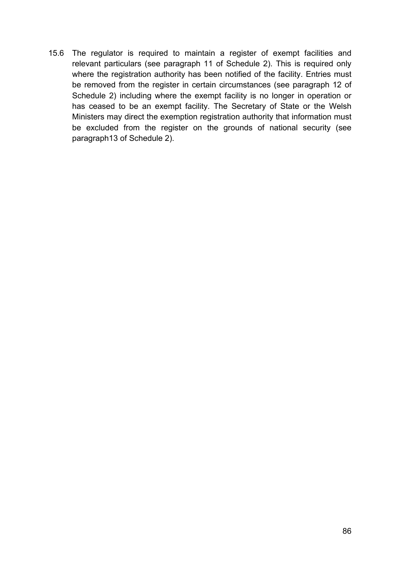15.6 The regulator is required to maintain a register of exempt facilities and relevant particulars (see paragraph 11 of Schedule 2). This is required only where the registration authority has been notified of the facility. Entries must be removed from the register in certain circumstances (see paragraph 12 of Schedule 2) including where the exempt facility is no longer in operation or has ceased to be an exempt facility. The Secretary of State or the Welsh Ministers may direct the exemption registration authority that information must be excluded from the register on the grounds of national security (see paragraph13 of Schedule 2).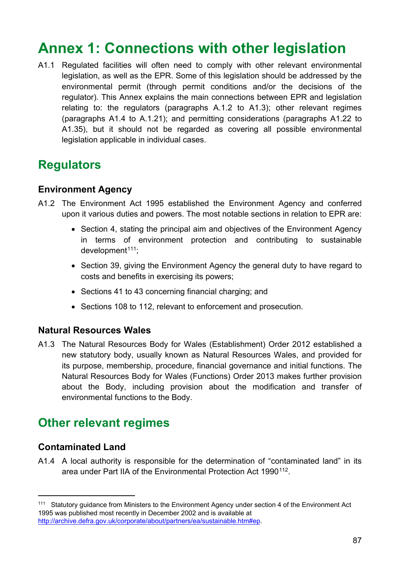# **Annex 1: Connections with other legislation**

A1.1 Regulated facilities will often need to comply with other relevant environmental legislation, as well as the EPR. Some of this legislation should be addressed by the environmental permit (through permit conditions and/or the decisions of the regulator). This Annex explains the main connections between EPR and legislation relating to: the regulators (paragraphs A.1.2 to A1.3); other relevant regimes (paragraphs A1.4 to A.1.21); and permitting considerations (paragraphs A1.22 to A1.35), but it should not be regarded as covering all possible environmental legislation applicable in individual cases.

### **Regulators**

#### **Environment Agency**

- A1.2 The Environment Act 1995 established the Environment Agency and conferred upon it various duties and powers. The most notable sections in relation to EPR are:
	- Section 4, stating the principal aim and objectives of the Environment Agency in terms of environment protection and contributing to sustainable  $d$ evelopment<sup> $111$ </sup>:
	- Section 39, giving the Environment Agency the general duty to have regard to costs and benefits in exercising its powers;
	- Sections 41 to 43 concerning financial charging; and
	- Sections 108 to 112, relevant to enforcement and prosecution.

### **Natural Resources Wales**

A1.3 The Natural Resources Body for Wales (Establishment) Order 2012 established a new statutory body, usually known as Natural Resources Wales, and provided for its purpose, membership, procedure, financial governance and initial functions. The Natural Resources Body for Wales (Functions) Order 2013 makes further provision about the Body, including provision about the modification and transfer of environmental functions to the Body.

### **Other relevant regimes**

### **Contaminated Land**

 $\overline{a}$ 

A1.4 A local authority is responsible for the determination of "contaminated land" in its area under Part IIA of the Environmental Protection Act 1990<sup>112</sup>.

<span id="page-86-1"></span><span id="page-86-0"></span><sup>111</sup> Statutory guidance from Ministers to the Environment Agency under section 4 of the Environment Act 1995 was published most recently in December 2002 and is available at [http://archive.defra.gov.uk/corporate/about/partners/ea/sustainable.htm#ep.](http://archive.defra.gov.uk/corporate/about/partners/ea/sustainable.htm#ep)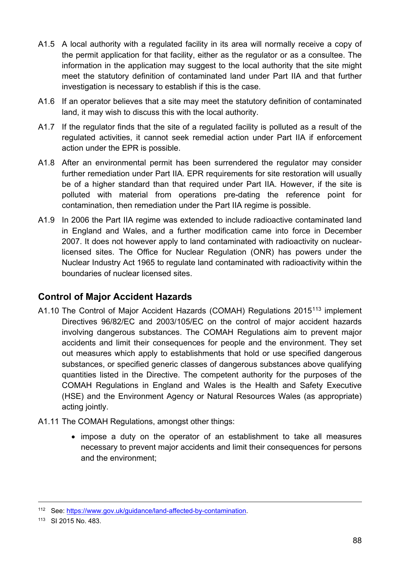- A1.5 A local authority with a regulated facility in its area will normally receive a copy of the permit application for that facility, either as the regulator or as a consultee. The information in the application may suggest to the local authority that the site might meet the statutory definition of contaminated land under Part IIA and that further investigation is necessary to establish if this is the case.
- A1.6 If an operator believes that a site may meet the statutory definition of contaminated land, it may wish to discuss this with the local authority.
- A1.7 If the regulator finds that the site of a regulated facility is polluted as a result of the regulated activities, it cannot seek remedial action under Part IIA if enforcement action under the EPR is possible.
- A1.8 After an environmental permit has been surrendered the regulator may consider further remediation under Part IIA. EPR requirements for site restoration will usually be of a higher standard than that required under Part IIA. However, if the site is polluted with material from operations pre-dating the reference point for contamination, then remediation under the Part IIA regime is possible.
- A1.9 In 2006 the Part IIA regime was extended to include radioactive contaminated land in England and Wales, and a further modification came into force in December 2007. It does not however apply to land contaminated with radioactivity on nuclearlicensed sites. The Office for Nuclear Regulation (ONR) has powers under the Nuclear Industry Act 1965 to regulate land contaminated with radioactivity within the boundaries of nuclear licensed sites.

### **Control of Major Accident Hazards**

- A1.10 The Control of Major Accident Hazards (COMAH) Regulations 2015<sup>[113](#page-87-0)</sup> implement Directives 96/82/EC and 2003/105/EC on the control of major accident hazards involving dangerous substances. The COMAH Regulations aim to prevent major accidents and limit their consequences for people and the environment. They set out measures which apply to establishments that hold or use specified dangerous substances, or specified generic classes of dangerous substances above qualifying quantities listed in the Directive. The competent authority for the purposes of the COMAH Regulations in England and Wales is the Health and Safety Executive (HSE) and the Environment Agency or Natural Resources Wales (as appropriate) acting jointly.
- A1.11 The COMAH Regulations, amongst other things:
	- impose a duty on the operator of an establishment to take all measures necessary to prevent major accidents and limit their consequences for persons and the environment;

<sup>112</sup> See: [https://www.gov.uk/guidance/land-affected-by-contamination.](https://www.gov.uk/guidance/land-affected-by-contamination)

<span id="page-87-0"></span><sup>113</sup> SI 2015 No. 483.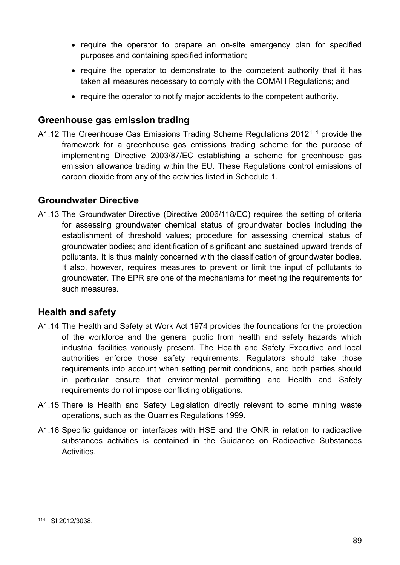- require the operator to prepare an on-site emergency plan for specified purposes and containing specified information;
- require the operator to demonstrate to the competent authority that it has taken all measures necessary to comply with the COMAH Regulations; and
- require the operator to notify major accidents to the competent authority.

#### **Greenhouse gas emission trading**

A1.12 The Greenhouse Gas Emissions Trading Scheme Regulations 2012[114](#page-88-0) provide the framework for a greenhouse gas emissions trading scheme for the purpose of implementing Directive 2003/87/EC establishing a scheme for greenhouse gas emission allowance trading within the EU. These Regulations control emissions of carbon dioxide from any of the activities listed in Schedule 1.

#### **Groundwater Directive**

A1.13 The Groundwater Directive (Directive 2006/118/EC) requires the setting of criteria for assessing groundwater chemical status of groundwater bodies including the establishment of threshold values; procedure for assessing chemical status of groundwater bodies; and identification of significant and sustained upward trends of pollutants. It is thus mainly concerned with the classification of groundwater bodies. It also, however, requires measures to prevent or limit the input of pollutants to groundwater. The EPR are one of the mechanisms for meeting the requirements for such measures.

### **Health and safety**

- A1.14 The Health and Safety at Work Act 1974 provides the foundations for the protection of the workforce and the general public from health and safety hazards which industrial facilities variously present. The Health and Safety Executive and local authorities enforce those safety requirements. Regulators should take those requirements into account when setting permit conditions, and both parties should in particular ensure that environmental permitting and Health and Safety requirements do not impose conflicting obligations.
- A1.15 There is Health and Safety Legislation directly relevant to some mining waste operations, such as the Quarries Regulations 1999.
- A1.16 Specific guidance on interfaces with HSE and the ONR in relation to radioactive substances activities is contained in the Guidance on Radioactive Substances Activities.

<span id="page-88-0"></span><sup>114</sup> SI 2012/3038.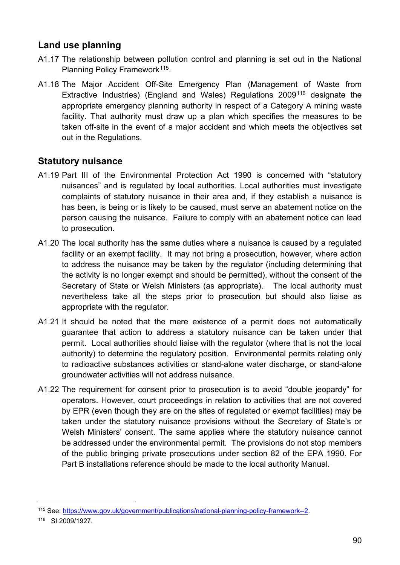### **Land use planning**

- A1.17 The relationship between pollution control and planning is set out in the National Planning Policy Framework<sup>[115](#page-89-0)</sup>.
- A1.18 The Major Accident Off-Site Emergency Plan (Management of Waste from Extractive Industries) (England and Wales) Regulations 2009[116](#page-89-1) designate the appropriate emergency planning authority in respect of a Category A mining waste facility. That authority must draw up a plan which specifies the measures to be taken off-site in the event of a major accident and which meets the objectives set out in the Regulations.

### **Statutory nuisance**

- A1.19 Part III of the Environmental Protection Act 1990 is concerned with "statutory nuisances" and is regulated by local authorities. Local authorities must investigate complaints of statutory nuisance in their area and, if they establish a nuisance is has been, is being or is likely to be caused, must serve an abatement notice on the person causing the nuisance. Failure to comply with an abatement notice can lead to prosecution.
- A1.20 The local authority has the same duties where a nuisance is caused by a regulated facility or an exempt facility. It may not bring a prosecution, however, where action to address the nuisance may be taken by the regulator (including determining that the activity is no longer exempt and should be permitted), without the consent of the Secretary of State or Welsh Ministers (as appropriate). The local authority must nevertheless take all the steps prior to prosecution but should also liaise as appropriate with the regulator.
- A1.21 It should be noted that the mere existence of a permit does not automatically guarantee that action to address a statutory nuisance can be taken under that permit. Local authorities should liaise with the regulator (where that is not the local authority) to determine the regulatory position. Environmental permits relating only to radioactive substances activities or stand-alone water discharge, or stand-alone groundwater activities will not address nuisance.
- A1.22 The requirement for consent prior to prosecution is to avoid "double jeopardy" for operators. However, court proceedings in relation to activities that are not covered by EPR (even though they are on the sites of regulated or exempt facilities) may be taken under the statutory nuisance provisions without the Secretary of State's or Welsh Ministers' consent. The same applies where the statutory nuisance cannot be addressed under the environmental permit. The provisions do not stop members of the public bringing private prosecutions under section 82 of the EPA 1990. For Part B installations reference should be made to the local authority Manual.

<span id="page-89-0"></span><sup>115</sup> See: [https://www.gov.uk/government/publications/national-planning-policy-framework--2.](https://www.gov.uk/government/publications/national-planning-policy-framework--2)

<span id="page-89-1"></span><sup>116</sup> SI 2009/1927.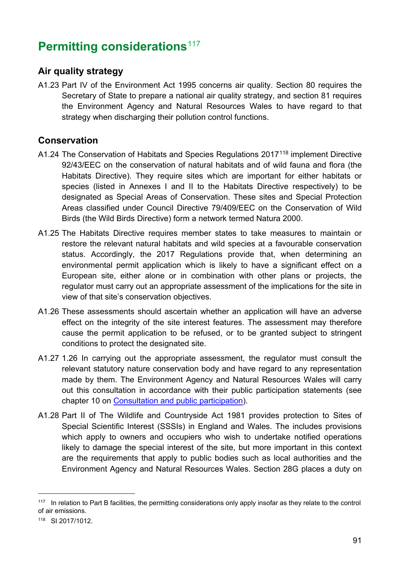## **Permitting considerations**<sup>[117](#page-90-0)</sup>

### **Air quality strategy**

A1.23 Part IV of the Environment Act 1995 concerns air quality. Section 80 requires the Secretary of State to prepare a national air quality strategy, and section 81 requires the Environment Agency and Natural Resources Wales to have regard to that strategy when discharging their pollution control functions.

### **Conservation**

- A1.24 The Conservation of Habitats and Species Regulations 2017<sup>[118](#page-90-1)</sup> implement Directive 92/43/EEC on the conservation of natural habitats and of wild fauna and flora (the Habitats Directive). They require sites which are important for either habitats or species (listed in Annexes I and II to the Habitats Directive respectively) to be designated as Special Areas of Conservation. These sites and Special Protection Areas classified under Council Directive 79/409/EEC on the Conservation of Wild Birds (the Wild Birds Directive) form a network termed Natura 2000.
- A1.25 The Habitats Directive requires member states to take measures to maintain or restore the relevant natural habitats and wild species at a favourable conservation status. Accordingly, the 2017 Regulations provide that, when determining an environmental permit application which is likely to have a significant effect on a European site, either alone or in combination with other plans or projects, the regulator must carry out an appropriate assessment of the implications for the site in view of that site's conservation objectives.
- A1.26 These assessments should ascertain whether an application will have an adverse effect on the integrity of the site interest features. The assessment may therefore cause the permit application to be refused, or to be granted subject to stringent conditions to protect the designated site.
- A1.27 1.26 In carrying out the appropriate assessment, the regulator must consult the relevant statutory nature conservation body and have regard to any representation made by them. The Environment Agency and Natural Resources Wales will carry out this consultation in accordance with their public participation statements (see chapter 10 on [Consultation and public participation\)](#page-61-0).
- A1.28 Part II of The Wildlife and Countryside Act 1981 provides protection to Sites of Special Scientific Interest (SSSIs) in England and Wales. The includes provisions which apply to owners and occupiers who wish to undertake notified operations likely to damage the special interest of the site, but more important in this context are the requirements that apply to public bodies such as local authorities and the Environment Agency and Natural Resources Wales. Section 28G places a duty on

<span id="page-90-0"></span><sup>&</sup>lt;sup>117</sup> In relation to Part B facilities, the permitting considerations only apply insofar as they relate to the control of air emissions.

<span id="page-90-1"></span><sup>118</sup> SI 2017/1012.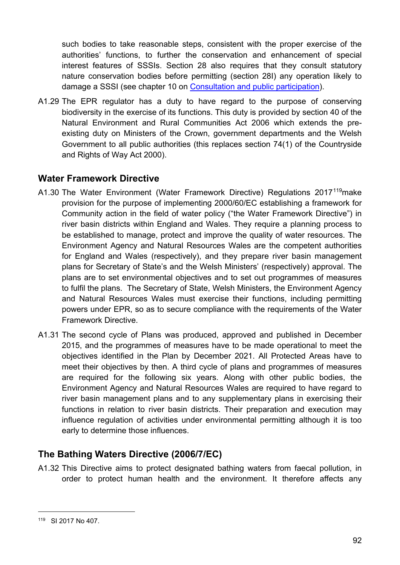such bodies to take reasonable steps, consistent with the proper exercise of the authorities' functions, to further the conservation and enhancement of special interest features of SSSIs. Section 28 also requires that they consult statutory nature conservation bodies before permitting (section 28I) any operation likely to damage a SSSI (see chapter 10 on [Consultation and public participation\)](#page-61-0).

A1.29 The EPR regulator has a duty to have regard to the purpose of conserving biodiversity in the exercise of its functions. This duty is provided by section 40 of the Natural Environment and Rural Communities Act 2006 which extends the preexisting duty on Ministers of the Crown, government departments and the Welsh Government to all public authorities (this replaces section 74(1) of the Countryside and Rights of Way Act 2000).

### **Water Framework Directive**

- A1.30 The Water Environment (Water Framework Directive) Regulations 2017[119](#page-91-0)make provision for the purpose of implementing 2000/60/EC establishing a framework for Community action in the field of water policy ("the Water Framework Directive") in river basin districts within England and Wales. They require a planning process to be established to manage, protect and improve the quality of water resources. The Environment Agency and Natural Resources Wales are the competent authorities for England and Wales (respectively), and they prepare river basin management plans for Secretary of State's and the Welsh Ministers' (respectively) approval. The plans are to set environmental objectives and to set out programmes of measures to fulfil the plans. The Secretary of State, Welsh Ministers, the Environment Agency and Natural Resources Wales must exercise their functions, including permitting powers under EPR, so as to secure compliance with the requirements of the Water Framework Directive.
- A1.31 The second cycle of Plans was produced, approved and published in December 2015, and the programmes of measures have to be made operational to meet the objectives identified in the Plan by December 2021. All Protected Areas have to meet their objectives by then. A third cycle of plans and programmes of measures are required for the following six years. Along with other public bodies, the Environment Agency and Natural Resources Wales are required to have regard to river basin management plans and to any supplementary plans in exercising their functions in relation to river basin districts. Their preparation and execution may influence regulation of activities under environmental permitting although it is too early to determine those influences.

### **The Bathing Waters Directive (2006/7/EC)**

A1.32 This Directive aims to protect designated bathing waters from faecal pollution, in order to protect human health and the environment. It therefore affects any

<span id="page-91-0"></span><sup>119</sup> SI 2017 No 407.